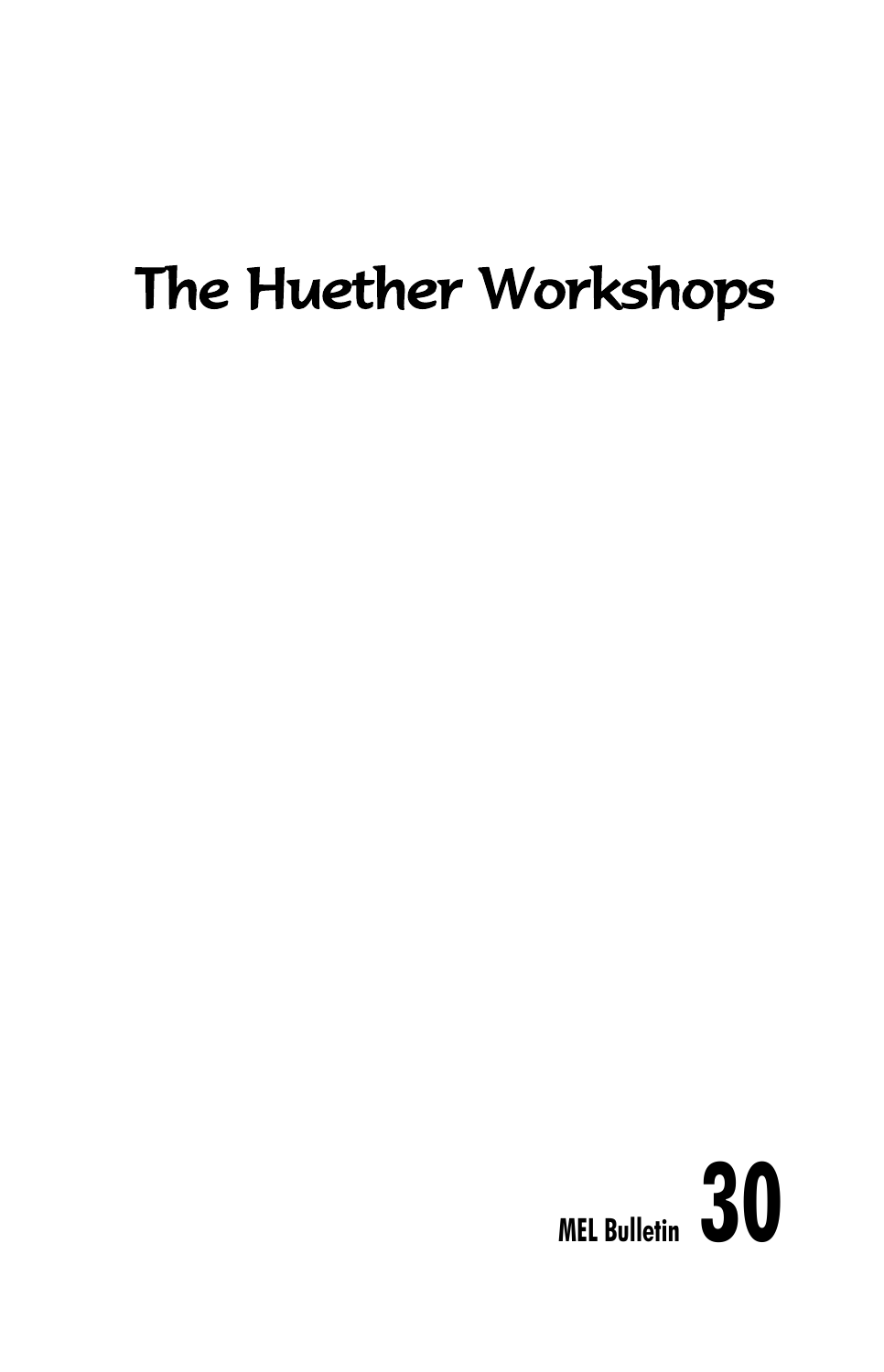# The Huether Workshops

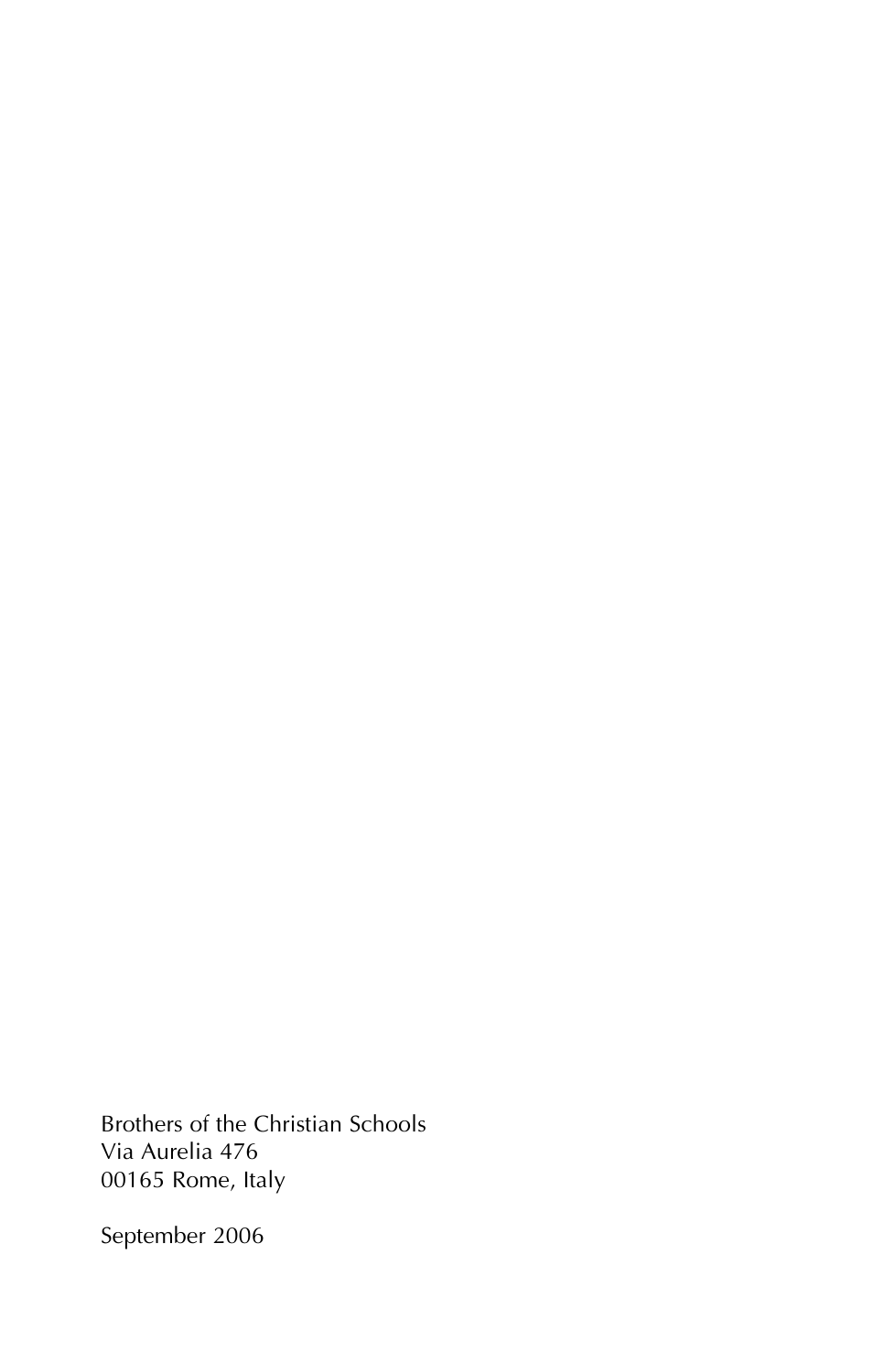Brothers of the Christian Schools Via Aurelia 476 00165 Rome, Italy

September 2006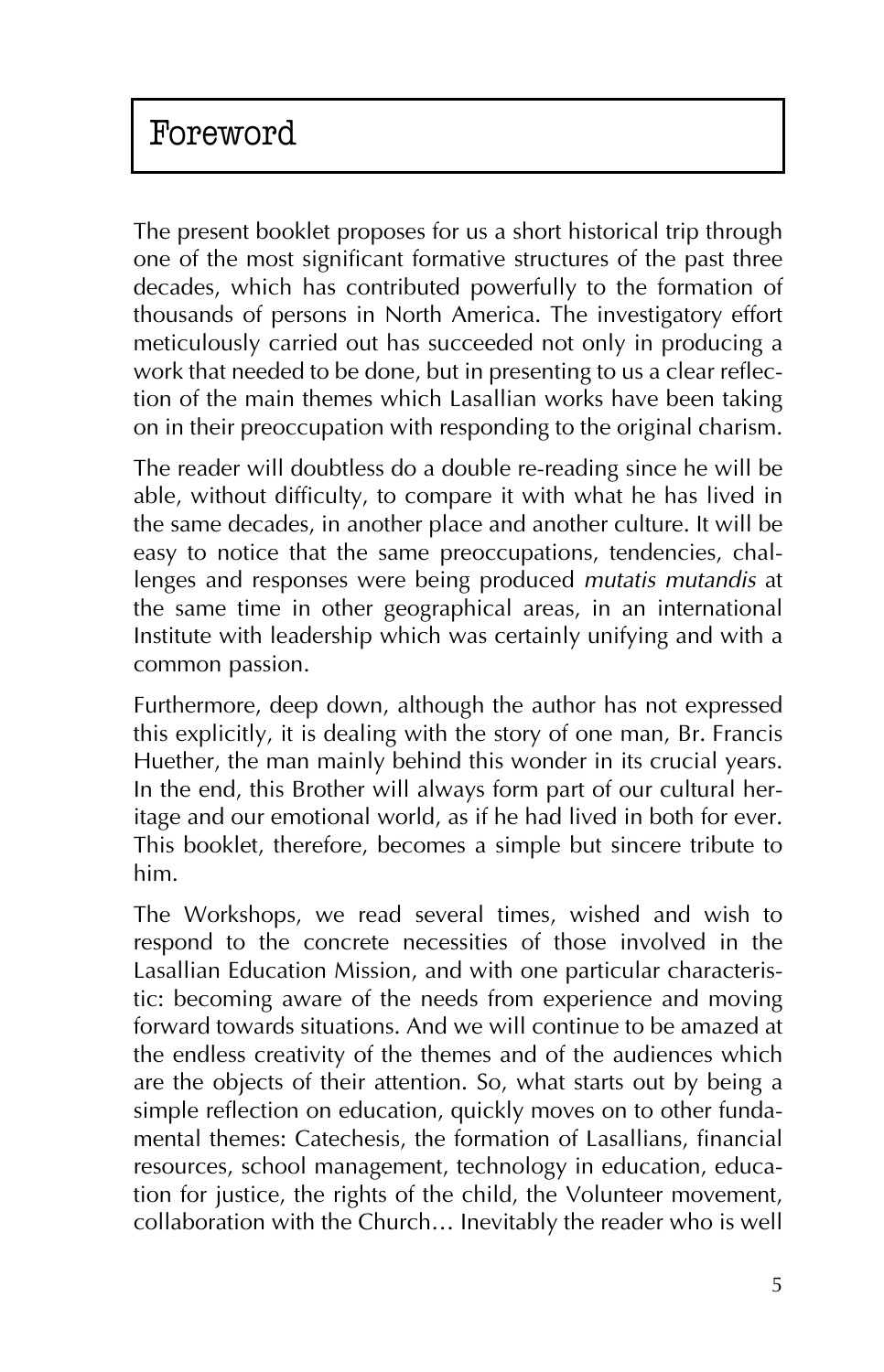The present booklet proposes for us a short historical trip through one of the most significant formative structures of the past three decades, which has contributed powerfully to the formation of thousands of persons in North America. The investigatory effort meticulously carried out has succeeded not only in producing a work that needed to be done, but in presenting to us a clear reflection of the main themes which Lasallian works have been taking on in their preoccupation with responding to the original charism.

The reader will doubtless do a double re-reading since he will be able, without difficulty, to compare it with what he has lived in the same decades, in another place and another culture. It will be easy to notice that the same preoccupations, tendencies, challenges and responses were being produced *mutatis mutandis* at the same time in other geographical areas, in an international Institute with leadership which was certainly unifying and with a common passion.

Furthermore, deep down, although the author has not expressed this explicitly, it is dealing with the story of one man, Br. Francis Huether, the man mainly behind this wonder in its crucial years. In the end, this Brother will always form part of our cultural heritage and our emotional world, as if he had lived in both for ever. This booklet, therefore, becomes a simple but sincere tribute to him.

The Workshops, we read several times, wished and wish to respond to the concrete necessities of those involved in the Lasallian Education Mission, and with one particular characteristic: becoming aware of the needs from experience and moving forward towards situations. And we will continue to be amazed at the endless creativity of the themes and of the audiences which are the objects of their attention. So, what starts out by being a simple reflection on education, quickly moves on to other fundamental themes: Catechesis, the formation of Lasallians, financial resources, school management, technology in education, education for justice, the rights of the child, the Volunteer movement, collaboration with the Church… Inevitably the reader who is well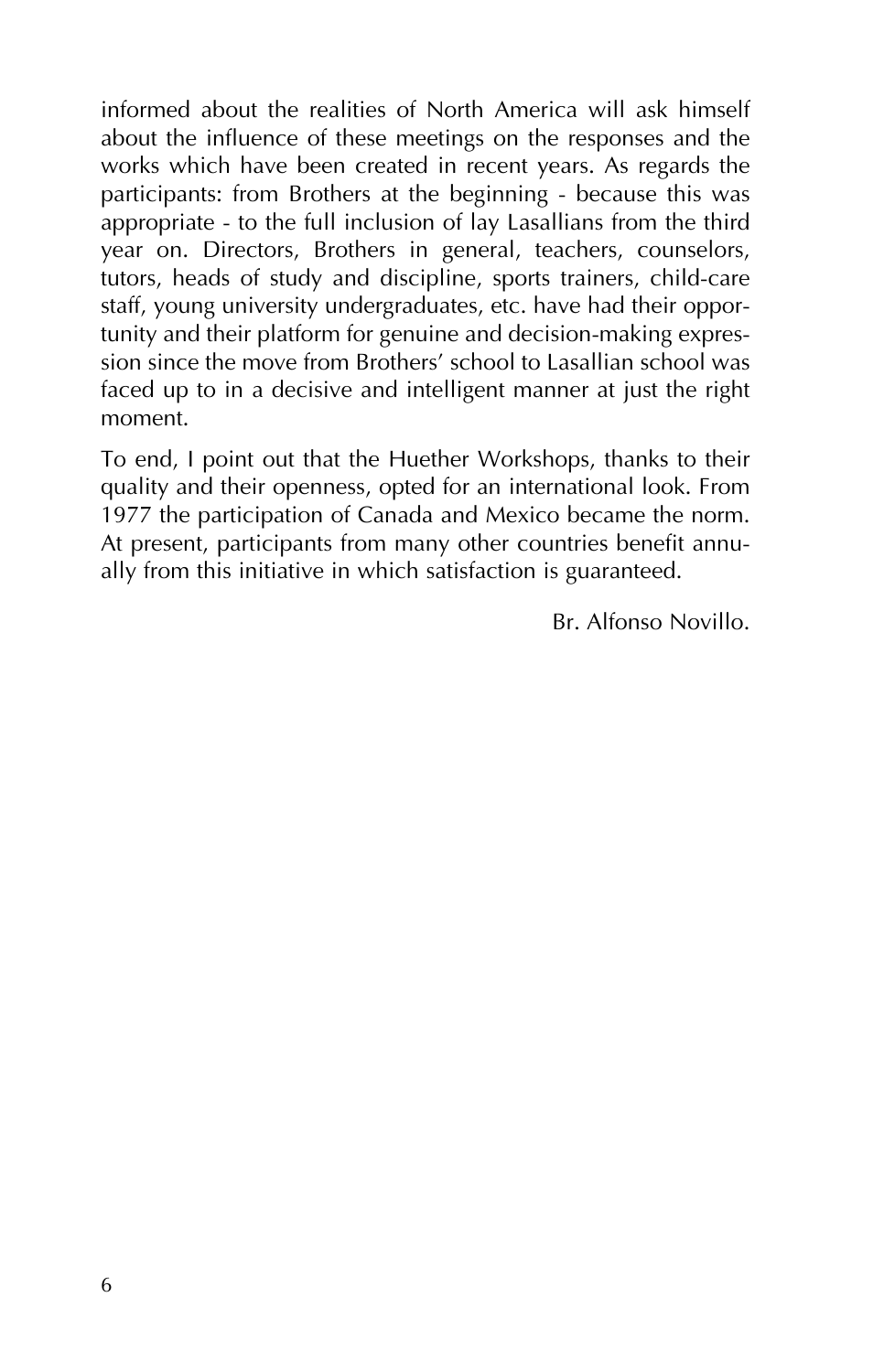informed about the realities of North America will ask himself about the influence of these meetings on the responses and the works which have been created in recent years. As regards the participants: from Brothers at the beginning - because this was appropriate - to the full inclusion of lay Lasallians from the third year on. Directors, Brothers in general, teachers, counselors, tutors, heads of study and discipline, sports trainers, child-care staff, young university undergraduates, etc. have had their opportunity and their platform for genuine and decision-making expression since the move from Brothers' school to Lasallian school was faced up to in a decisive and intelligent manner at just the right moment.

To end, I point out that the Huether Workshops, thanks to their quality and their openness, opted for an international look. From 1977 the participation of Canada and Mexico became the norm. At present, participants from many other countries benefit annually from this initiative in which satisfaction is guaranteed.

Br. Alfonso Novillo.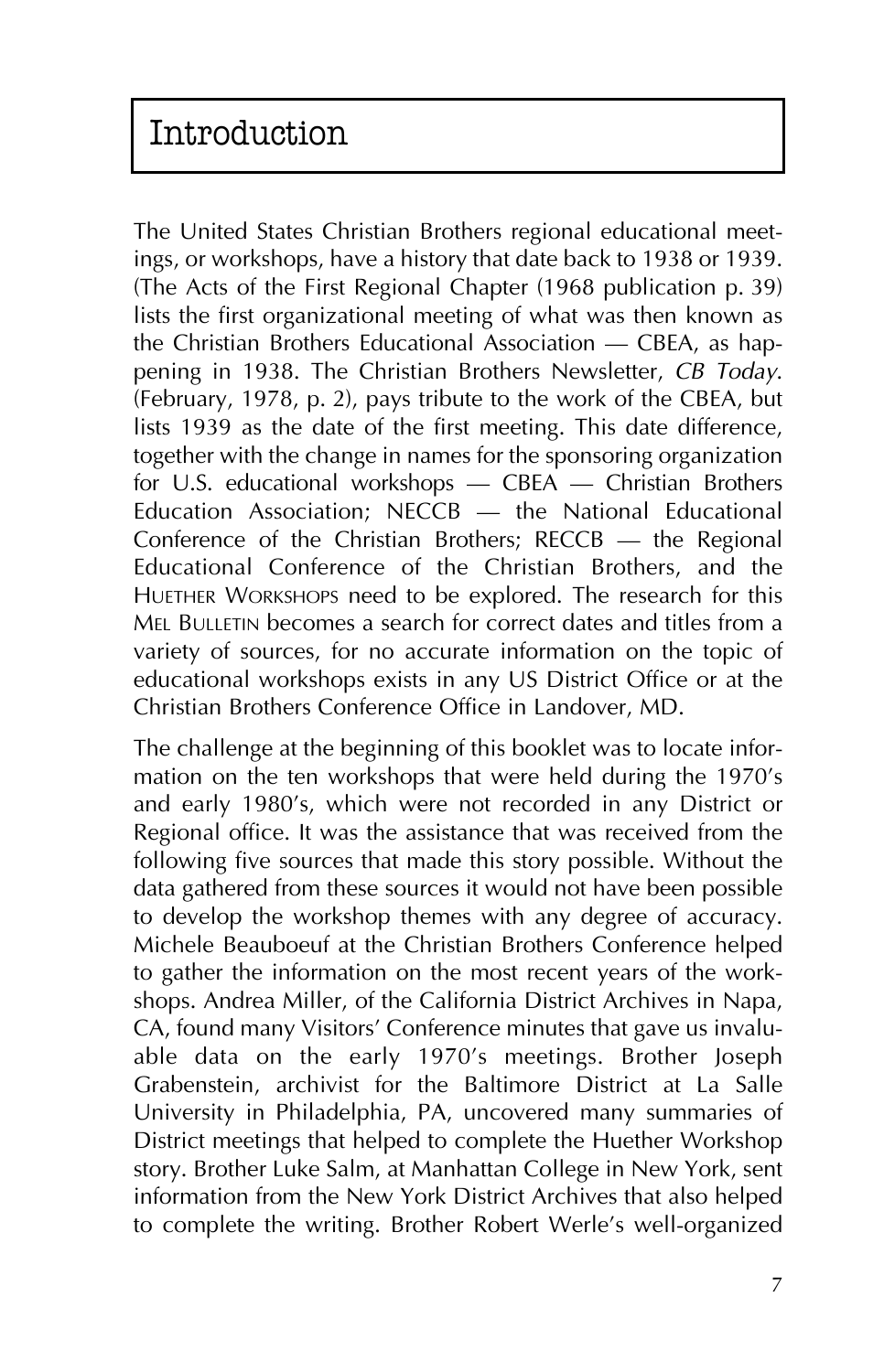The United States Christian Brothers regional educational meetings, or workshops, have a history that date back to 1938 or 1939. (The Acts of the First Regional Chapter (1968 publication p. 39) lists the first organizational meeting of what was then known as the Christian Brothers Educational Association – CBEA, as happening in 1938. The Christian Brothers Newsletter, *CB Today*. (February, 1978, p. 2), pays tribute to the work of the CBEA, but lists 1939 as the date of the first meeting. This date difference, together with the change in names for the sponsoring organization for U.S. educational workshops – CBEA – Christian Brothers Education Association;  $NE\overline{C}B$  — the National Educational Conference of the Christian Brothers; RECCB — the Regional Educational Conference of the Christian Brothers, and the HUETHER WORKSHOPS need to be explored. The research for this MEL BULLETIN becomes a search for correct dates and titles from a variety of sources, for no accurate information on the topic of educational workshops exists in any US District Office or at the Christian Brothers Conference Office in Landover, MD.

The challenge at the beginning of this booklet was to locate information on the ten workshops that were held during the 1970's and early 1980's, which were not recorded in any District or Regional office. It was the assistance that was received from the following five sources that made this story possible. Without the data gathered from these sources it would not have been possible to develop the workshop themes with any degree of accuracy. Michele Beauboeuf at the Christian Brothers Conference helped to gather the information on the most recent years of the workshops. Andrea Miller, of the California District Archives in Napa, CA, found many Visitors' Conference minutes that gave us invaluable data on the early 1970's meetings. Brother Joseph Grabenstein, archivist for the Baltimore District at La Salle University in Philadelphia, PA, uncovered many summaries of District meetings that helped to complete the Huether Workshop story. Brother Luke Salm, at Manhattan College in New York, sent information from the New York District Archives that also helped to complete the writing. Brother Robert Werle's well-organized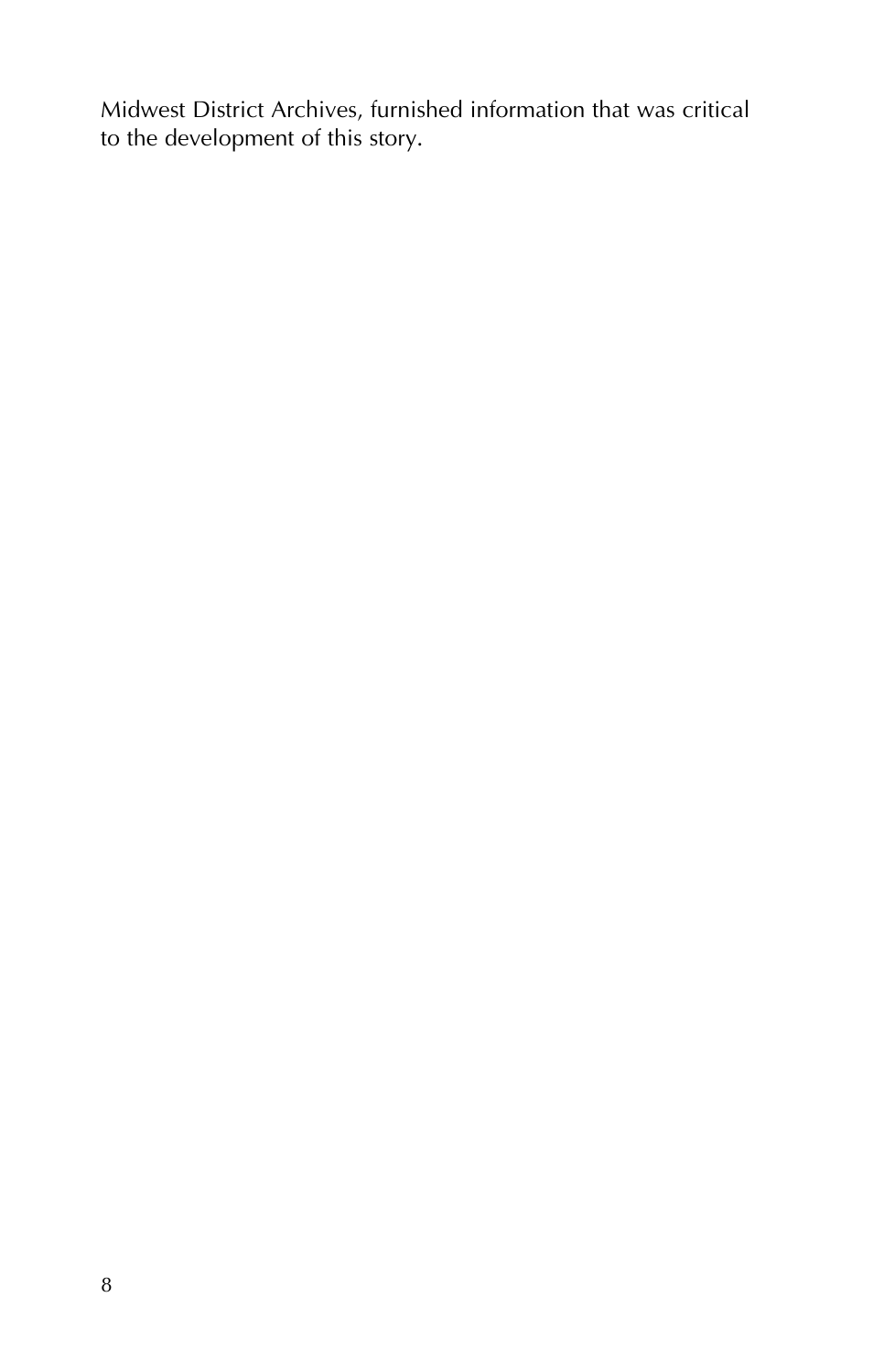Midwest District Archives, furnished information that was critical to the development of this story.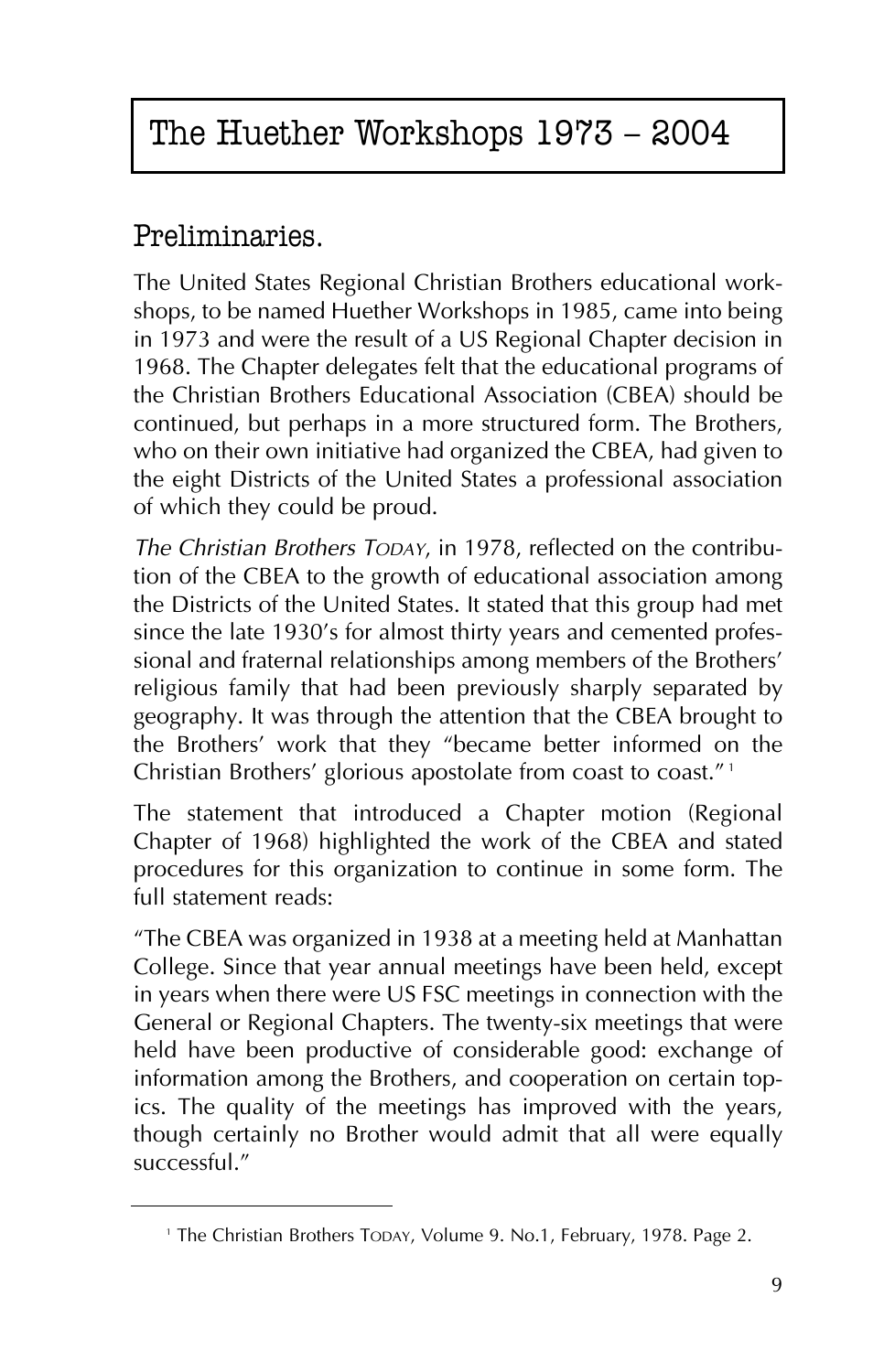### Preliminaries.

The United States Regional Christian Brothers educational workshops, to be named Huether Workshops in 1985, came into being in 1973 and were the result of a US Regional Chapter decision in 1968. The Chapter delegates felt that the educational programs of the Christian Brothers Educational Association (CBEA) should be continued, but perhaps in a more structured form. The Brothers, who on their own initiative had organized the CBEA, had given to the eight Districts of the United States a professional association of which they could be proud.

*The Christian Brothers TODAY*, in 1978, reflected on the contribution of the CBEA to the growth of educational association among the Districts of the United States. It stated that this group had met since the late 1930's for almost thirty years and cemented professional and fraternal relationships among members of the Brothers' religious family that had been previously sharply separated by geography. It was through the attention that the CBEA brought to the Brothers' work that they "became better informed on the Christian Brothers' glorious apostolate from coast to coast."<sup>1</sup>

The statement that introduced a Chapter motion (Regional Chapter of 1968) highlighted the work of the CBEA and stated procedures for this organization to continue in some form. The full statement reads:

"The CBEA was organized in 1938 at a meeting held at Manhattan College. Since that year annual meetings have been held, except in years when there were US FSC meetings in connection with the General or Regional Chapters. The twenty-six meetings that were held have been productive of considerable good: exchange of information among the Brothers, and cooperation on certain topics. The quality of the meetings has improved with the years, though certainly no Brother would admit that all were equally successful."

<sup>&</sup>lt;sup>1</sup> The Christian Brothers TODAY, Volume 9. No.1, February, 1978. Page 2.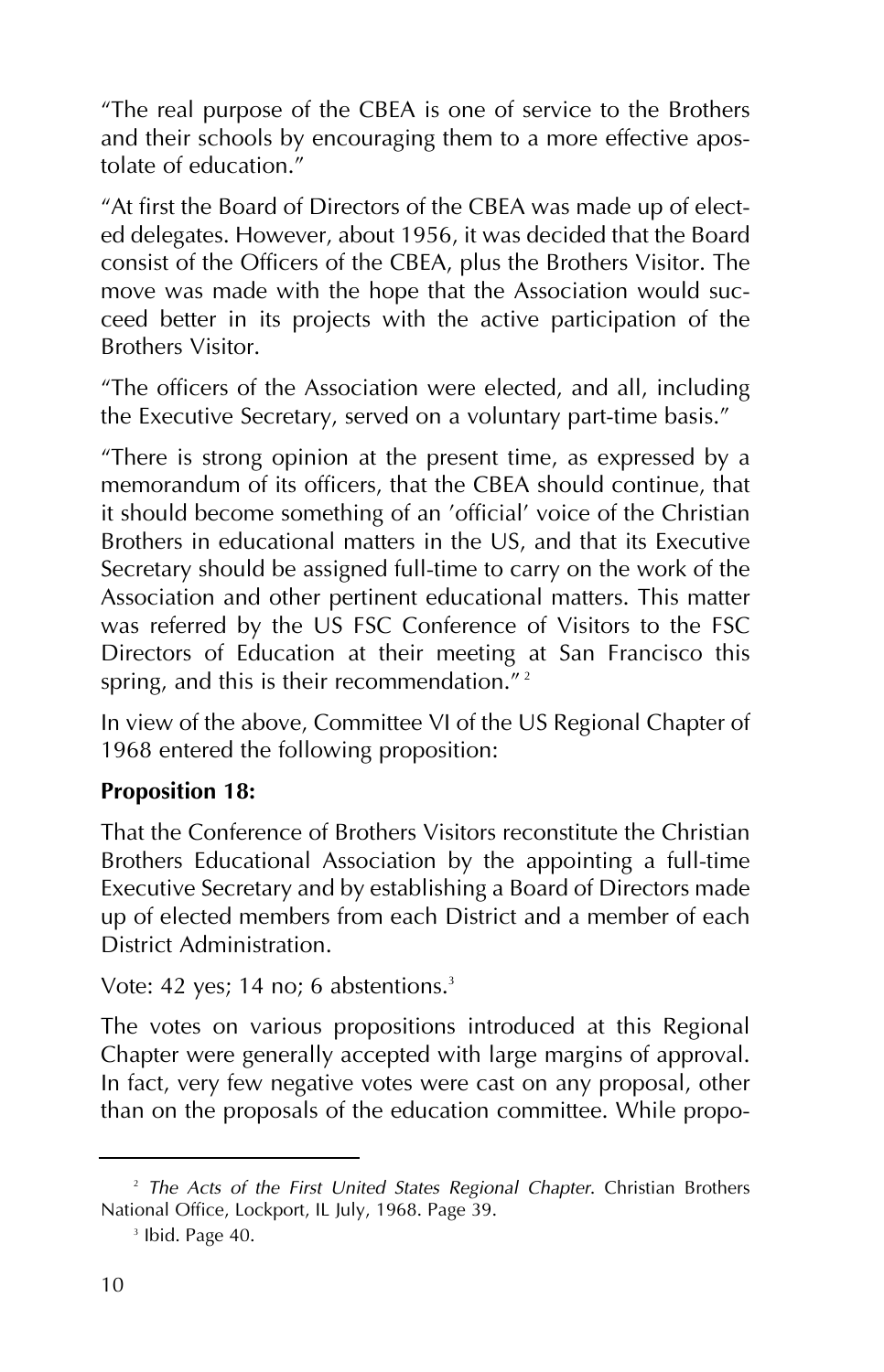"The real purpose of the CBEA is one of service to the Brothers and their schools by encouraging them to a more effective apostolate of education."

"At first the Board of Directors of the CBEA was made up of elected delegates. However, about 1956, it was decided that the Board consist of the Officers of the CBEA, plus the Brothers Visitor. The move was made with the hope that the Association would succeed better in its projects with the active participation of the Brothers Visitor.

"The officers of the Association were elected, and all, including the Executive Secretary, served on a voluntary part-time basis."

"There is strong opinion at the present time, as expressed by a memorandum of its officers, that the CBEA should continue, that it should become something of an 'official' voice of the Christian Brothers in educational matters in the US, and that its Executive Secretary should be assigned full-time to carry on the work of the Association and other pertinent educational matters. This matter was referred by the US FSC Conference of Visitors to the FSC Directors of Education at their meeting at San Francisco this spring, and this is their recommendation."<sup>2</sup>

In view of the above, Committee VI of the US Regional Chapter of 1968 entered the following proposition:

#### **Proposition 18:**

That the Conference of Brothers Visitors reconstitute the Christian Brothers Educational Association by the appointing a full-time Executive Secretary and by establishing a Board of Directors made up of elected members from each District and a member of each District Administration.

Vote: 42 yes; 14 no; 6 abstentions.<sup>3</sup>

The votes on various propositions introduced at this Regional Chapter were generally accepted with large margins of approval. In fact, very few negative votes were cast on any proposal, other than on the proposals of the education committee. While propo-

<sup>2</sup> *The Acts of the First United States Regional Chapter*. Christian Brothers National Office, Lockport, IL July, 1968. Page 39.

<sup>&</sup>lt;sup>3</sup> Ibid. Page 40.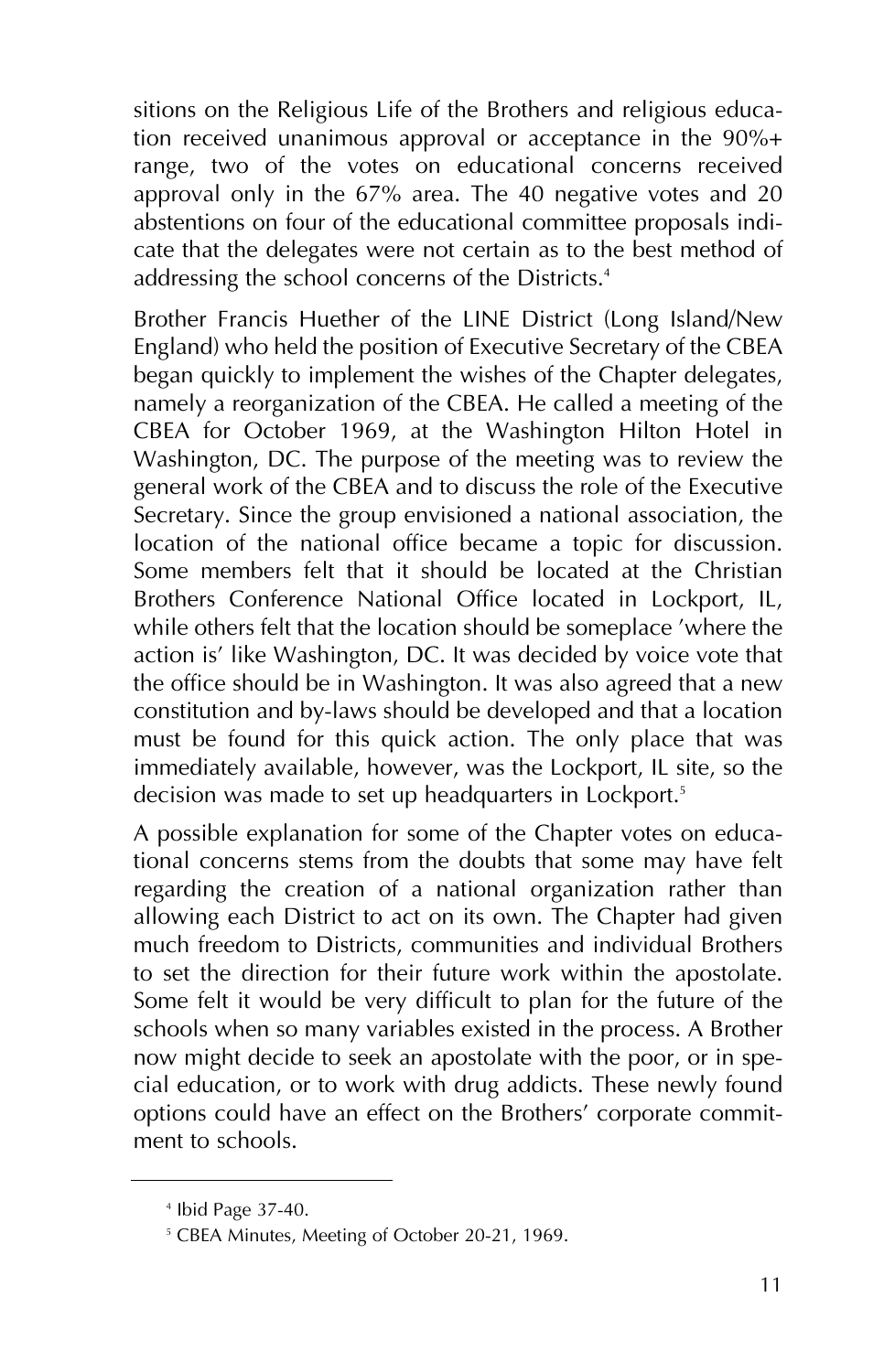sitions on the Religious Life of the Brothers and religious education received unanimous approval or acceptance in the 90%+ range, two of the votes on educational concerns received approval only in the 67% area. The 40 negative votes and 20 abstentions on four of the educational committee proposals indicate that the delegates were not certain as to the best method of addressing the school concerns of the Districts.<sup>4</sup>

Brother Francis Huether of the LINE District (Long Island/New England) who held the position of Executive Secretary of the CBEA began quickly to implement the wishes of the Chapter delegates, namely a reorganization of the CBEA. He called a meeting of the CBEA for October 1969, at the Washington Hilton Hotel in Washington, DC. The purpose of the meeting was to review the general work of the CBEA and to discuss the role of the Executive Secretary. Since the group envisioned a national association, the location of the national office became a topic for discussion. Some members felt that it should be located at the Christian Brothers Conference National Office located in Lockport, IL, while others felt that the location should be someplace 'where the action is' like Washington, DC. It was decided by voice vote that the office should be in Washington. It was also agreed that a new constitution and by-laws should be developed and that a location must be found for this quick action. The only place that was immediately available, however, was the Lockport, IL site, so the decision was made to set up headquarters in Lockport.<sup>5</sup>

A possible explanation for some of the Chapter votes on educational concerns stems from the doubts that some may have felt regarding the creation of a national organization rather than allowing each District to act on its own. The Chapter had given much freedom to Districts, communities and individual Brothers to set the direction for their future work within the apostolate. Some felt it would be very difficult to plan for the future of the schools when so many variables existed in the process. A Brother now might decide to seek an apostolate with the poor, or in special education, or to work with drug addicts. These newly found options could have an effect on the Brothers' corporate commitment to schools.

<sup>4</sup> Ibid Page 37-40.

<sup>5</sup> CBEA Minutes, Meeting of October 20-21, 1969.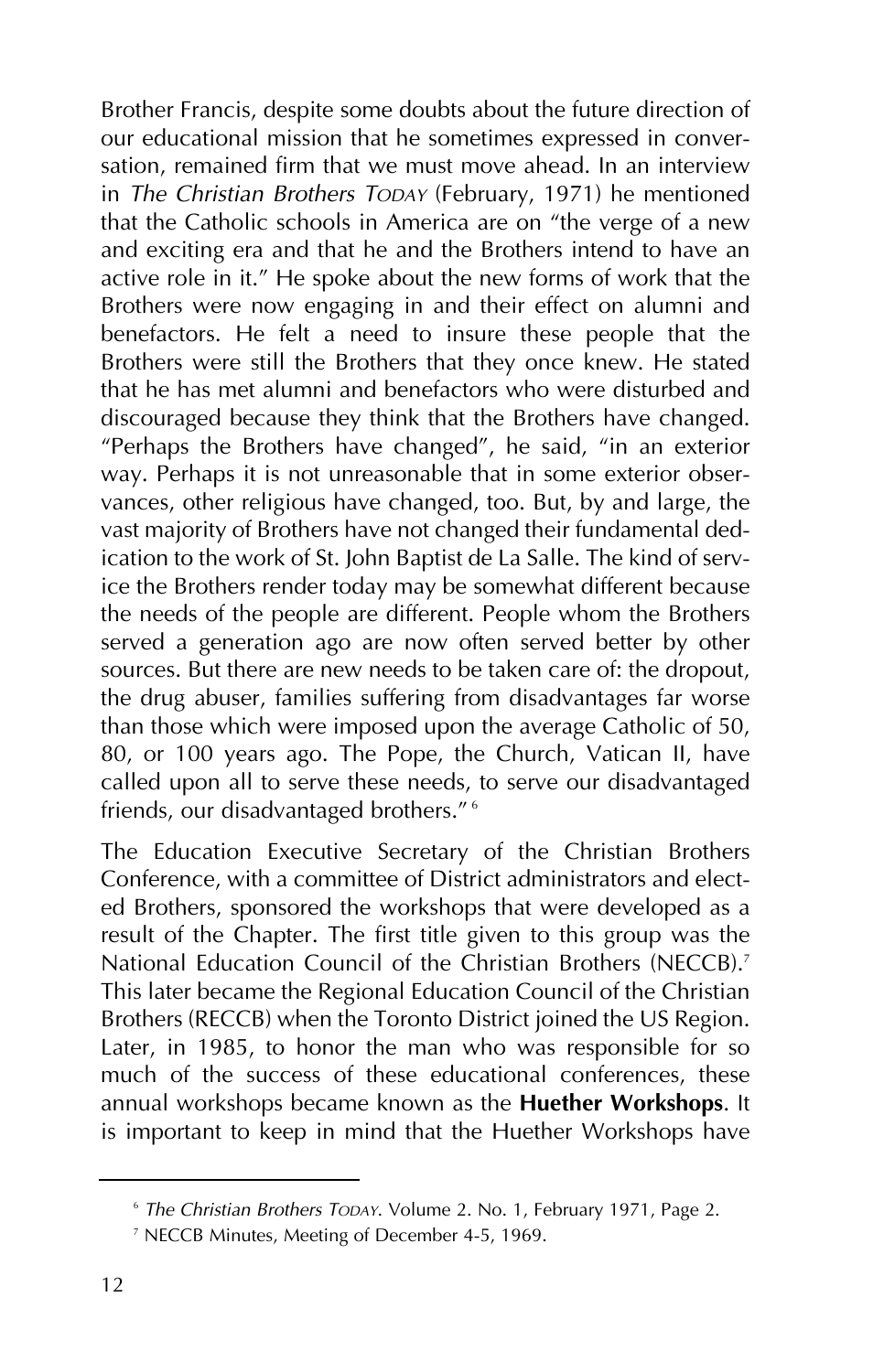Brother Francis, despite some doubts about the future direction of our educational mission that he sometimes expressed in conversation, remained firm that we must move ahead. In an interview in *The Christian Brothers TODAY* (February, 1971) he mentioned that the Catholic schools in America are on "the verge of a new and exciting era and that he and the Brothers intend to have an active role in it." He spoke about the new forms of work that the Brothers were now engaging in and their effect on alumni and benefactors. He felt a need to insure these people that the Brothers were still the Brothers that they once knew. He stated that he has met alumni and benefactors who were disturbed and discouraged because they think that the Brothers have changed. "Perhaps the Brothers have changed", he said, "in an exterior way. Perhaps it is not unreasonable that in some exterior observances, other religious have changed, too. But, by and large, the vast majority of Brothers have not changed their fundamental dedication to the work of St. John Baptist de La Salle. The kind of service the Brothers render today may be somewhat different because the needs of the people are different. People whom the Brothers served a generation ago are now often served better by other sources. But there are new needs to be taken care of: the dropout, the drug abuser, families suffering from disadvantages far worse than those which were imposed upon the average Catholic of 50, 80, or 100 years ago. The Pope, the Church, Vatican II, have called upon all to serve these needs, to serve our disadvantaged friends, our disadvantaged brothers." <sup>6</sup>

The Education Executive Secretary of the Christian Brothers Conference, with a committee of District administrators and elected Brothers, sponsored the workshops that were developed as a result of the Chapter. The first title given to this group was the National Education Council of the Christian Brothers (NECCB).<sup>7</sup> This later became the Regional Education Council of the Christian Brothers (RECCB) when the Toronto District joined the US Region. Later, in 1985, to honor the man who was responsible for so much of the success of these educational conferences, these annual workshops became known as the **Huether Workshops**. It is important to keep in mind that the Huether Workshops have

<sup>6</sup> *The Christian Brothers TODAY*. Volume 2. No. 1, February 1971, Page 2.

<sup>7</sup> NECCB Minutes, Meeting of December 4-5, 1969.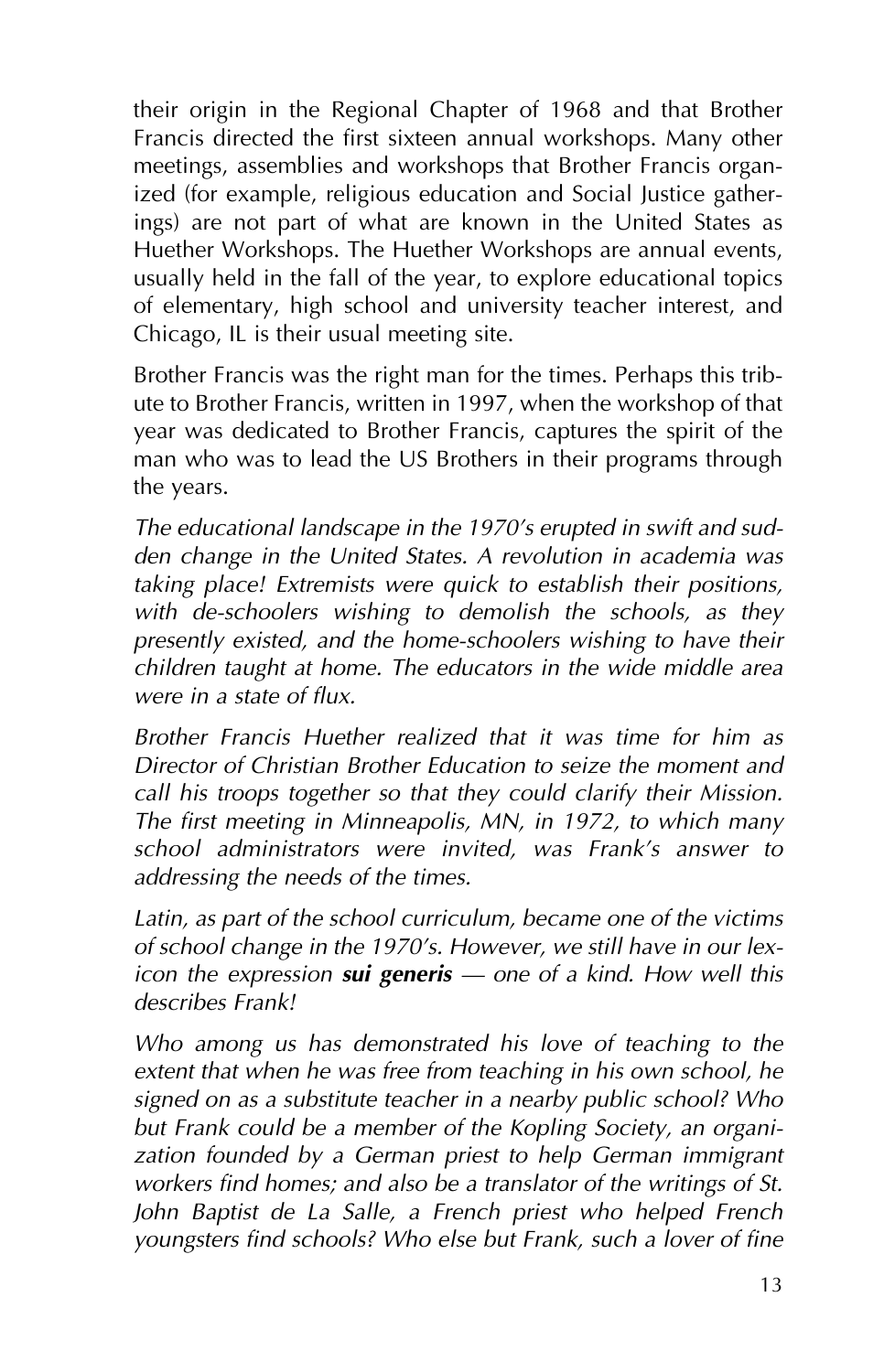their origin in the Regional Chapter of 1968 and that Brother Francis directed the first sixteen annual workshops. Many other meetings, assemblies and workshops that Brother Francis organized (for example, religious education and Social Justice gatherings) are not part of what are known in the United States as Huether Workshops. The Huether Workshops are annual events, usually held in the fall of the year, to explore educational topics of elementary, high school and university teacher interest, and Chicago, IL is their usual meeting site.

Brother Francis was the right man for the times. Perhaps this tribute to Brother Francis, written in 1997, when the workshop of that year was dedicated to Brother Francis, captures the spirit of the man who was to lead the US Brothers in their programs through the years.

*The educational landscape in the 1970's erupted in swift and sudden change in the United States. A revolution in academia was taking place! Extremists were quick to establish their positions, with de-schoolers wishing to demolish the schools, as they presently existed, and the home-schoolers wishing to have their children taught at home. The educators in the wide middle area were in a state of flux.*

*Brother Francis Huether realized that it was time for him as Director of Christian Brother Education to seize the moment and call his troops together so that they could clarify their Mission. The first meeting in Minneapolis, MN, in 1972, to which many school administrators were invited, was Frank's answer to addressing the needs of the times.*

*Latin, as part of the school curriculum, became one of the victims of school change in the 1970's. However, we still have in our lexicon the expression sui generis – one of a kind. How well this describes Frank!*

*Who among us has demonstrated his love of teaching to the extent that when he was free from teaching in his own school, he signed on as a substitute teacher in a nearby public school? Who but Frank could be a member of the Kopling Society, an organization founded by a German priest to help German immigrant workers find homes; and also be a translator of the writings of St. John Baptist de La Salle, a French priest who helped French youngsters find schools? Who else but Frank, such a lover of fine*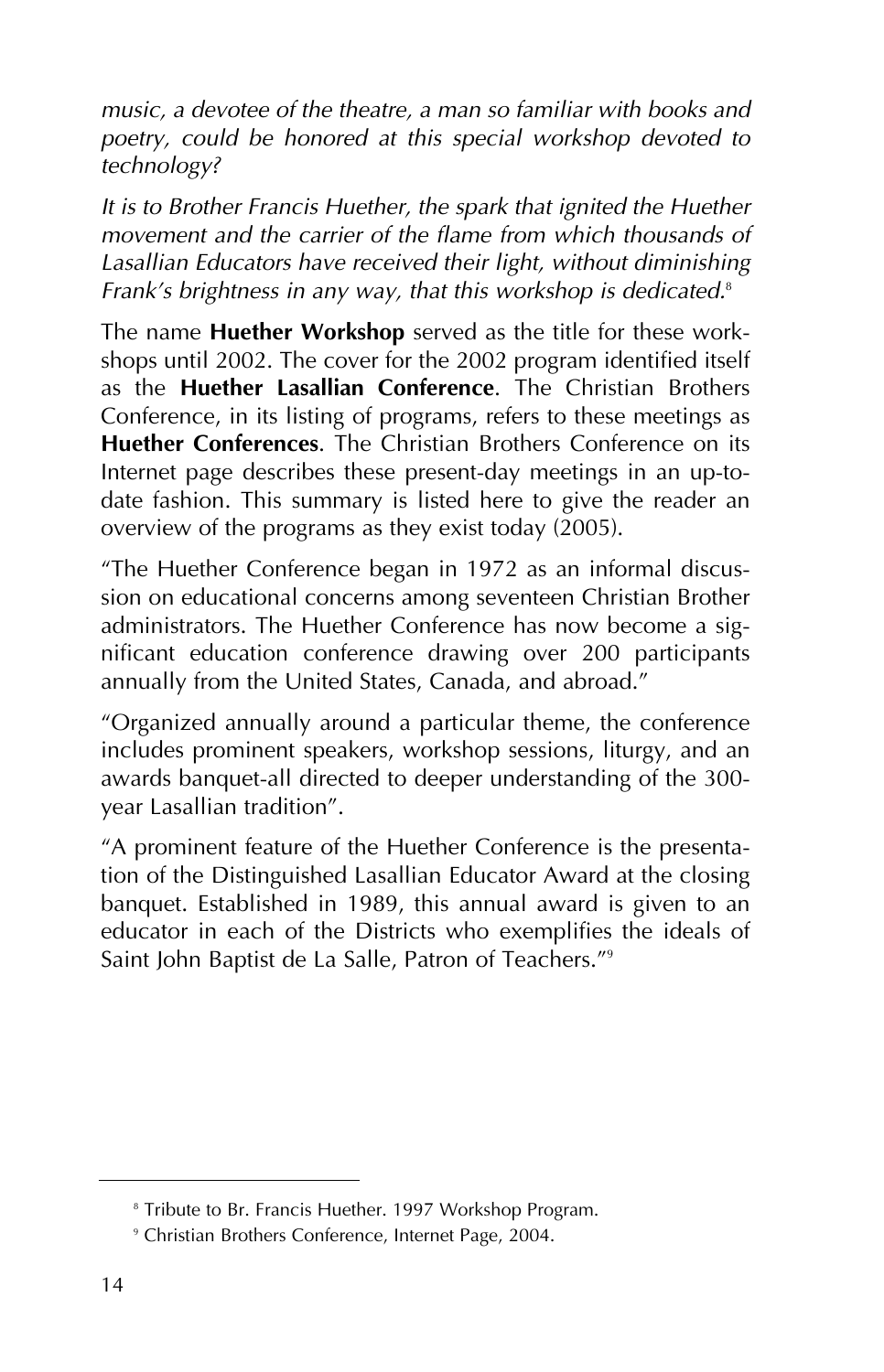*music, a devotee of the theatre, a man so familiar with books and poetry, could be honored at this special workshop devoted to technology?*

*It is to Brother Francis Huether, the spark that ignited the Huether movement and the carrier of the flame from which thousands of Lasallian Educators have received their light, without diminishing Frank's brightness in any way, that this workshop is dedicated.*<sup>8</sup>

The name **Huether Workshop** served as the title for these workshops until 2002. The cover for the 2002 program identified itself as the **Huether Lasallian Conference**. The Christian Brothers Conference, in its listing of programs, refers to these meetings as **Huether Conferences**. The Christian Brothers Conference on its Internet page describes these present-day meetings in an up-todate fashion. This summary is listed here to give the reader an overview of the programs as they exist today (2005).

"The Huether Conference began in 1972 as an informal discussion on educational concerns among seventeen Christian Brother administrators. The Huether Conference has now become a significant education conference drawing over 200 participants annually from the United States, Canada, and abroad."

"Organized annually around a particular theme, the conference includes prominent speakers, workshop sessions, liturgy, and an awards banquet-all directed to deeper understanding of the 300 year Lasallian tradition".

"A prominent feature of the Huether Conference is the presentation of the Distinguished Lasallian Educator Award at the closing banquet. Established in 1989, this annual award is given to an educator in each of the Districts who exemplifies the ideals of Saint John Baptist de La Salle, Patron of Teachers."9

<sup>&</sup>lt;sup>8</sup> Tribute to Br. Francis Huether. 1997 Workshop Program.

<sup>9</sup> Christian Brothers Conference, Internet Page, 2004.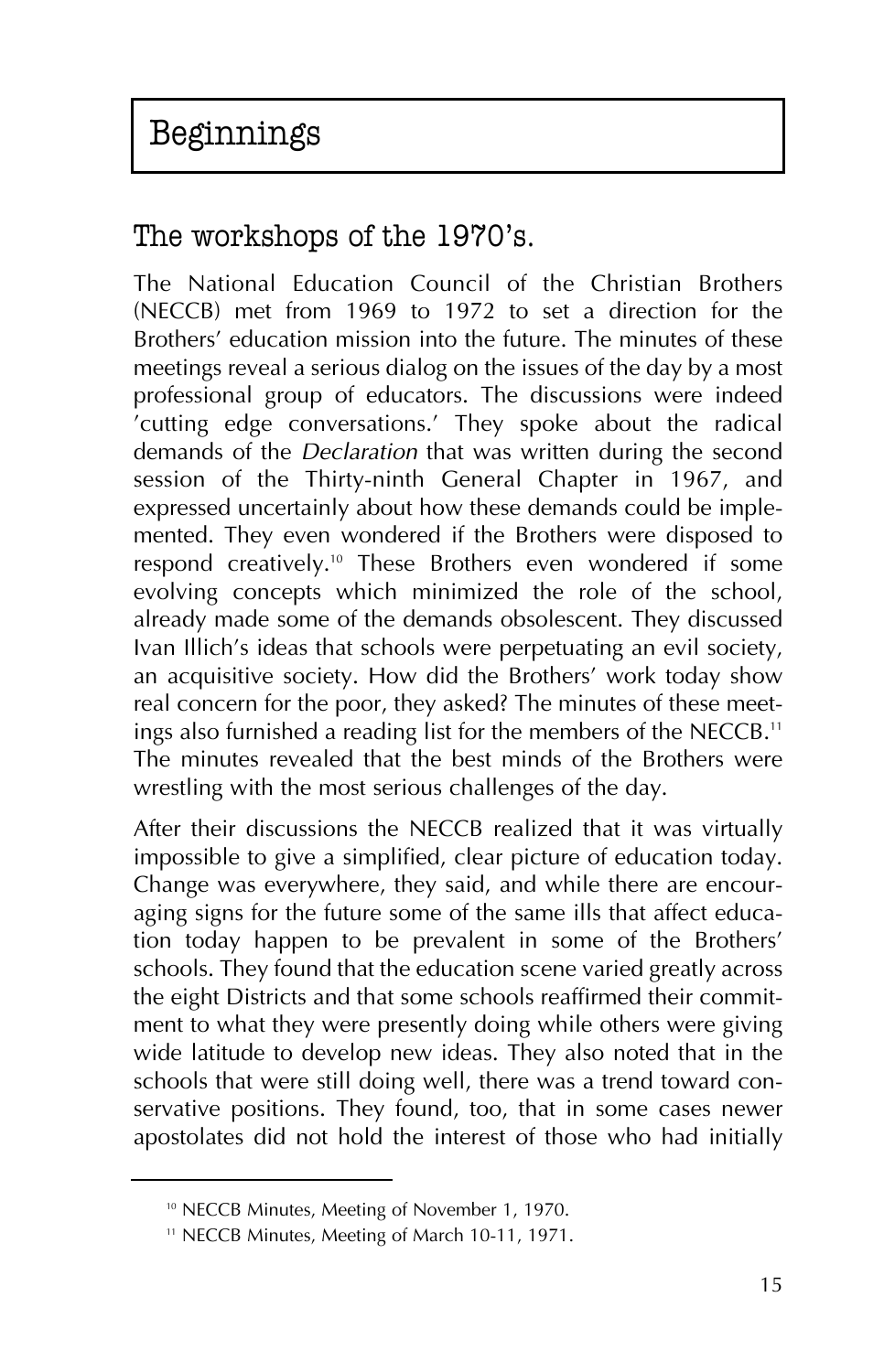## The workshops of the 1970's.

The National Education Council of the Christian Brothers (NECCB) met from 1969 to 1972 to set a direction for the Brothers' education mission into the future. The minutes of these meetings reveal a serious dialog on the issues of the day by a most professional group of educators. The discussions were indeed 'cutting edge conversations.' They spoke about the radical demands of the *Declaration* that was written during the second session of the Thirty-ninth General Chapter in 1967, and expressed uncertainly about how these demands could be implemented. They even wondered if the Brothers were disposed to respond creatively.10 These Brothers even wondered if some evolving concepts which minimized the role of the school, already made some of the demands obsolescent. They discussed Ivan Illich's ideas that schools were perpetuating an evil society, an acquisitive society. How did the Brothers' work today show real concern for the poor, they asked? The minutes of these meetings also furnished a reading list for the members of the NECCB.<sup>11</sup> The minutes revealed that the best minds of the Brothers were wrestling with the most serious challenges of the day.

After their discussions the NECCB realized that it was virtually impossible to give a simplified, clear picture of education today. Change was everywhere, they said, and while there are encouraging signs for the future some of the same ills that affect education today happen to be prevalent in some of the Brothers' schools. They found that the education scene varied greatly across the eight Districts and that some schools reaffirmed their commitment to what they were presently doing while others were giving wide latitude to develop new ideas. They also noted that in the schools that were still doing well, there was a trend toward conservative positions. They found, too, that in some cases newer apostolates did not hold the interest of those who had initially

<sup>&</sup>lt;sup>10</sup> NECCB Minutes, Meeting of November 1, 1970.

<sup>&</sup>lt;sup>11</sup> NECCB Minutes, Meeting of March 10-11, 1971.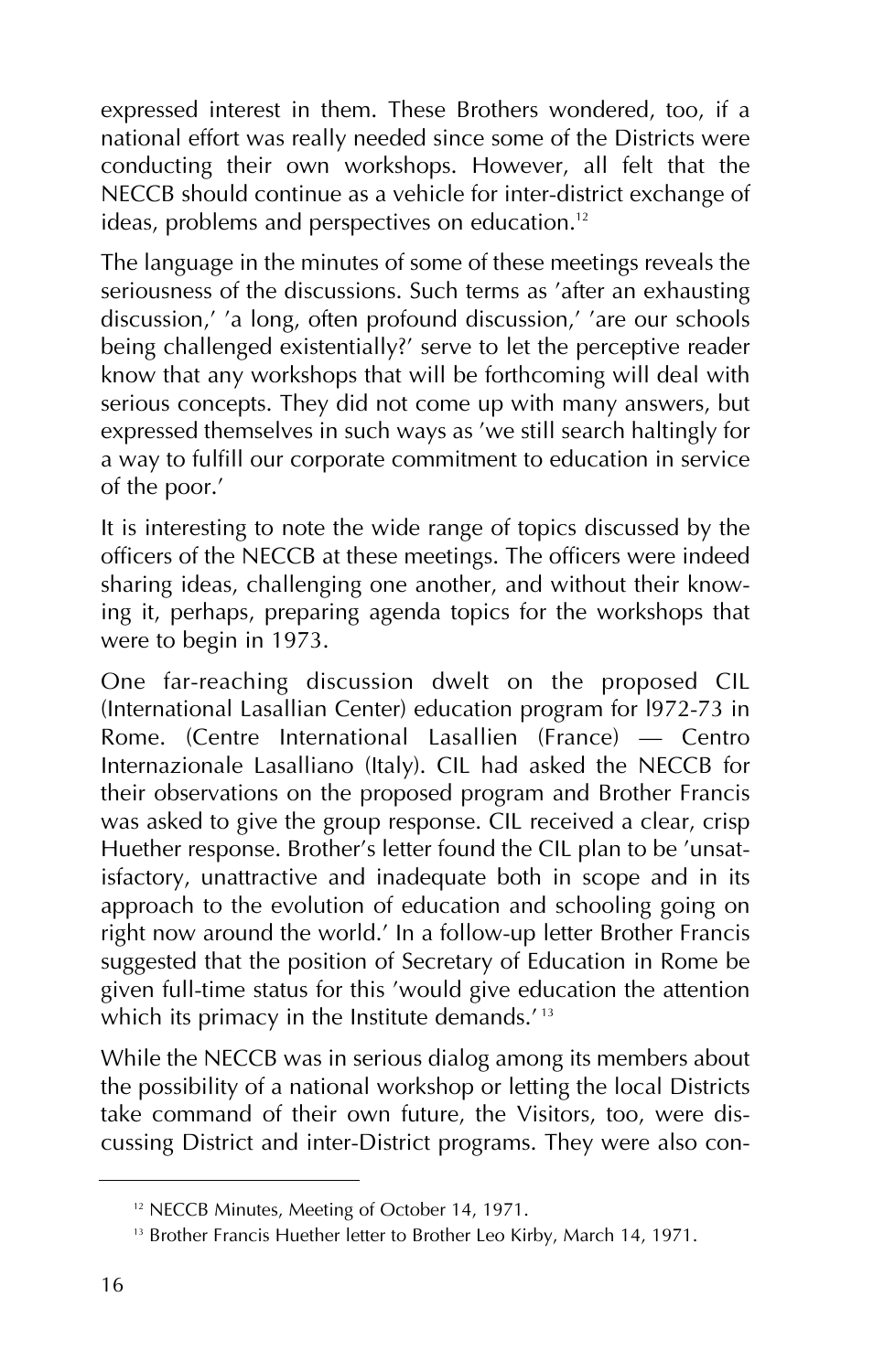expressed interest in them. These Brothers wondered, too, if a national effort was really needed since some of the Districts were conducting their own workshops. However, all felt that the NECCB should continue as a vehicle for inter-district exchange of ideas, problems and perspectives on education.<sup>12</sup>

The language in the minutes of some of these meetings reveals the seriousness of the discussions. Such terms as 'after an exhausting discussion,' 'a long, often profound discussion,' 'are our schools being challenged existentially?' serve to let the perceptive reader know that any workshops that will be forthcoming will deal with serious concepts. They did not come up with many answers, but expressed themselves in such ways as 'we still search haltingly for a way to fulfill our corporate commitment to education in service of the poor.'

It is interesting to note the wide range of topics discussed by the officers of the NECCB at these meetings. The officers were indeed sharing ideas, challenging one another, and without their knowing it, perhaps, preparing agenda topics for the workshops that were to begin in 1973.

One far-reaching discussion dwelt on the proposed CIL (International Lasallian Center) education program for l972-73 in Rome. (Centre International Lasallien (France) – Centro Internazionale Lasalliano (Italy). CIL had asked the NECCB for their observations on the proposed program and Brother Francis was asked to give the group response. CIL received a clear, crisp Huether response. Brother's letter found the CIL plan to be 'unsatisfactory, unattractive and inadequate both in scope and in its approach to the evolution of education and schooling going on right now around the world.' In a follow-up letter Brother Francis suggested that the position of Secretary of Education in Rome be given full-time status for this 'would give education the attention which its primacy in the Institute demands.<sup> $13$ </sup>

While the NECCB was in serious dialog among its members about the possibility of a national workshop or letting the local Districts take command of their own future, the Visitors, too, were discussing District and inter-District programs. They were also con-

<sup>&</sup>lt;sup>12</sup> NECCB Minutes, Meeting of October 14, 1971.

<sup>&</sup>lt;sup>13</sup> Brother Francis Huether letter to Brother Leo Kirby, March 14, 1971.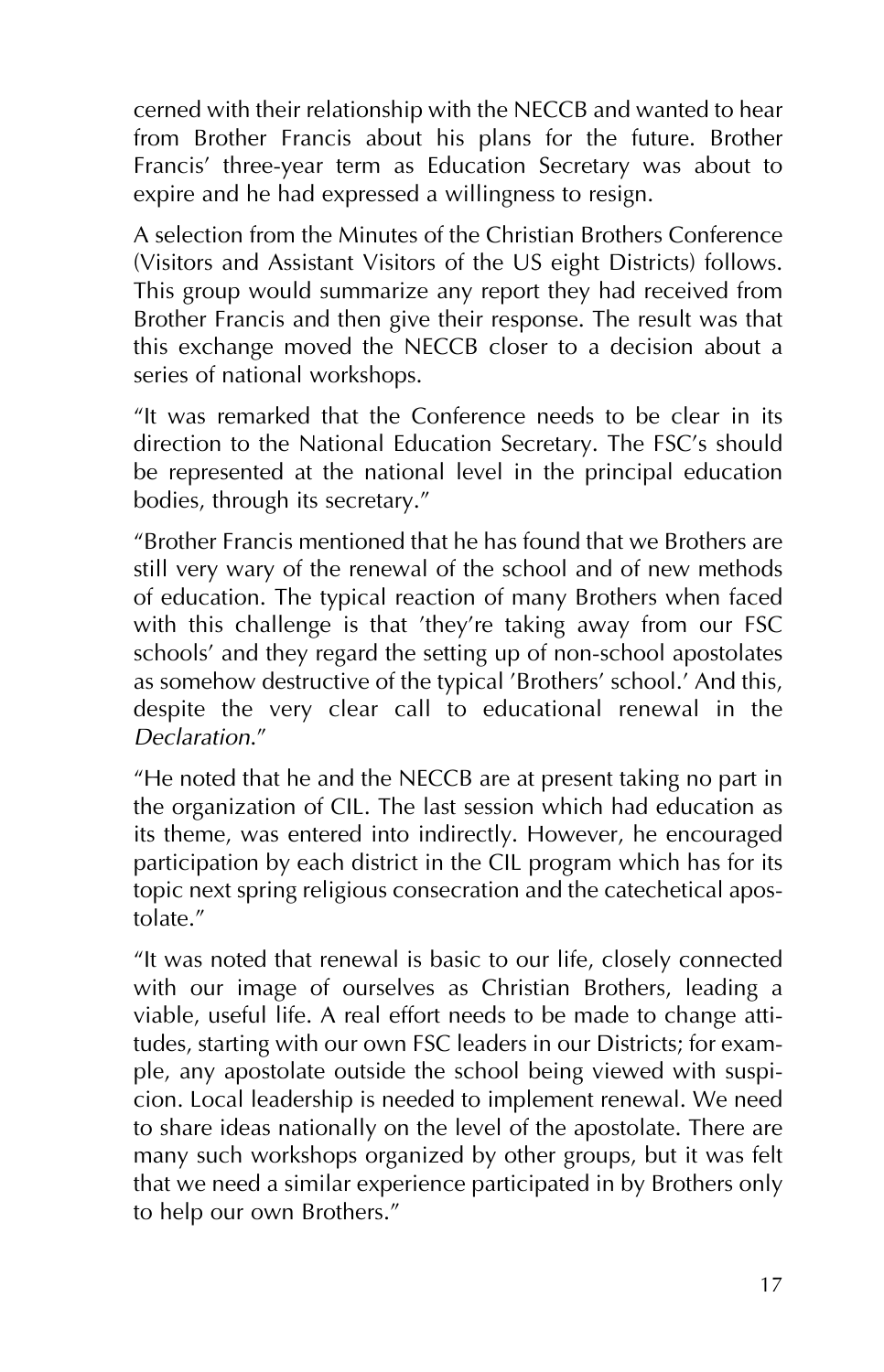cerned with their relationship with the NECCB and wanted to hear from Brother Francis about his plans for the future. Brother Francis' three-year term as Education Secretary was about to expire and he had expressed a willingness to resign.

A selection from the Minutes of the Christian Brothers Conference (Visitors and Assistant Visitors of the US eight Districts) follows. This group would summarize any report they had received from Brother Francis and then give their response. The result was that this exchange moved the NECCB closer to a decision about a series of national workshops.

"It was remarked that the Conference needs to be clear in its direction to the National Education Secretary. The FSC's should be represented at the national level in the principal education bodies, through its secretary."

"Brother Francis mentioned that he has found that we Brothers are still very wary of the renewal of the school and of new methods of education. The typical reaction of many Brothers when faced with this challenge is that 'they're taking away from our FSC schools' and they regard the setting up of non-school apostolates as somehow destructive of the typical 'Brothers' school.' And this, despite the very clear call to educational renewal in the *Declaration*."

"He noted that he and the NECCB are at present taking no part in the organization of CIL. The last session which had education as its theme, was entered into indirectly. However, he encouraged participation by each district in the CIL program which has for its topic next spring religious consecration and the catechetical apostolate."

"It was noted that renewal is basic to our life, closely connected with our image of ourselves as Christian Brothers, leading a viable, useful life. A real effort needs to be made to change attitudes, starting with our own FSC leaders in our Districts; for example, any apostolate outside the school being viewed with suspicion. Local leadership is needed to implement renewal. We need to share ideas nationally on the level of the apostolate. There are many such workshops organized by other groups, but it was felt that we need a similar experience participated in by Brothers only to help our own Brothers."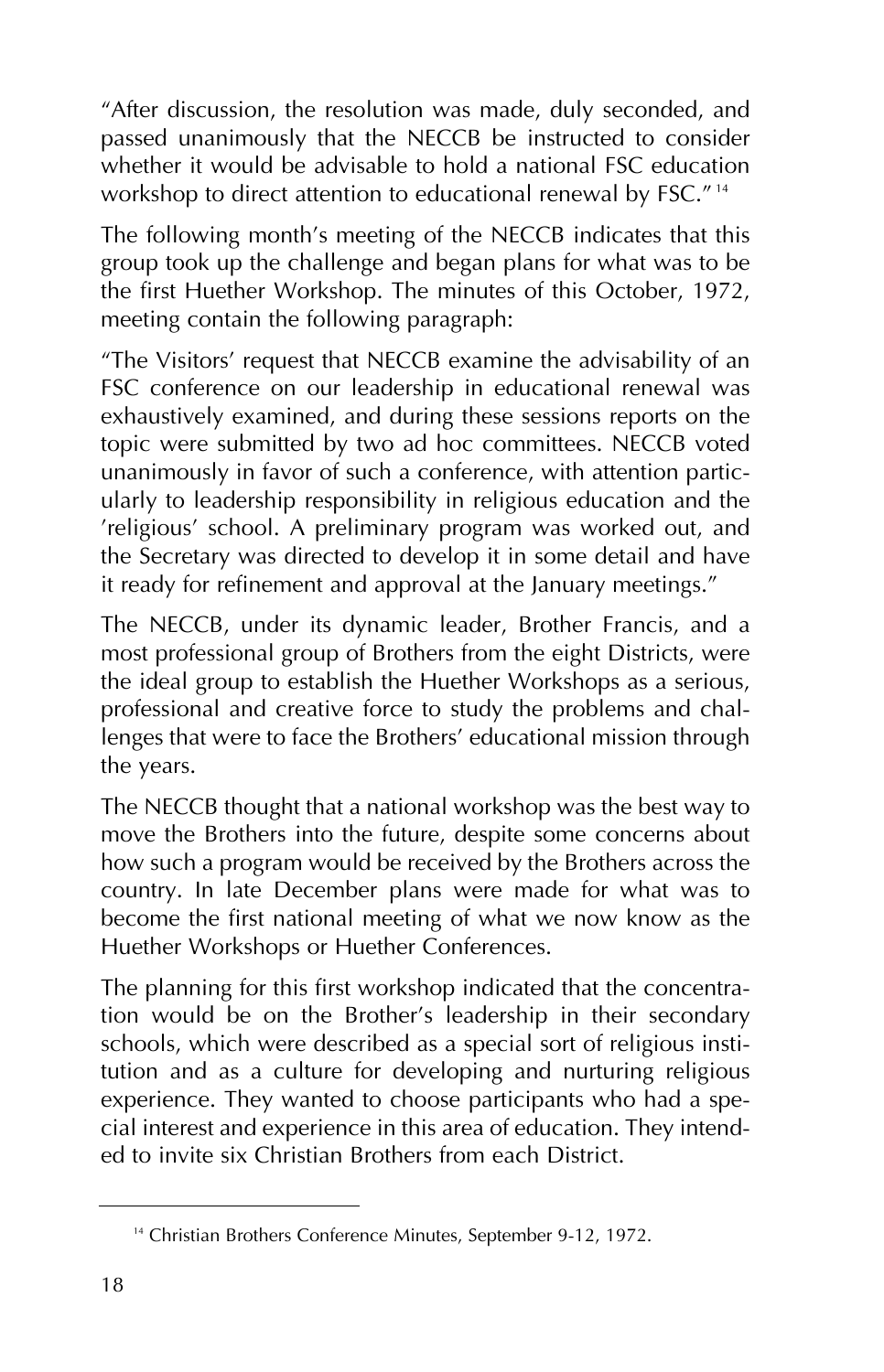"After discussion, the resolution was made, duly seconded, and passed unanimously that the NECCB be instructed to consider whether it would be advisable to hold a national FSC education workshop to direct attention to educational renewal by FSC."<sup>14</sup>

The following month's meeting of the NECCB indicates that this group took up the challenge and began plans for what was to be the first Huether Workshop. The minutes of this October, 1972, meeting contain the following paragraph:

"The Visitors' request that NECCB examine the advisability of an FSC conference on our leadership in educational renewal was exhaustively examined, and during these sessions reports on the topic were submitted by two ad hoc committees. NECCB voted unanimously in favor of such a conference, with attention particularly to leadership responsibility in religious education and the 'religious' school. A preliminary program was worked out, and the Secretary was directed to develop it in some detail and have it ready for refinement and approval at the January meetings."

The NECCB, under its dynamic leader, Brother Francis, and a most professional group of Brothers from the eight Districts, were the ideal group to establish the Huether Workshops as a serious, professional and creative force to study the problems and challenges that were to face the Brothers' educational mission through the years.

The NECCB thought that a national workshop was the best way to move the Brothers into the future, despite some concerns about how such a program would be received by the Brothers across the country. In late December plans were made for what was to become the first national meeting of what we now know as the Huether Workshops or Huether Conferences.

The planning for this first workshop indicated that the concentration would be on the Brother's leadership in their secondary schools, which were described as a special sort of religious institution and as a culture for developing and nurturing religious experience. They wanted to choose participants who had a special interest and experience in this area of education. They intended to invite six Christian Brothers from each District.

<sup>&</sup>lt;sup>14</sup> Christian Brothers Conference Minutes, September 9-12, 1972.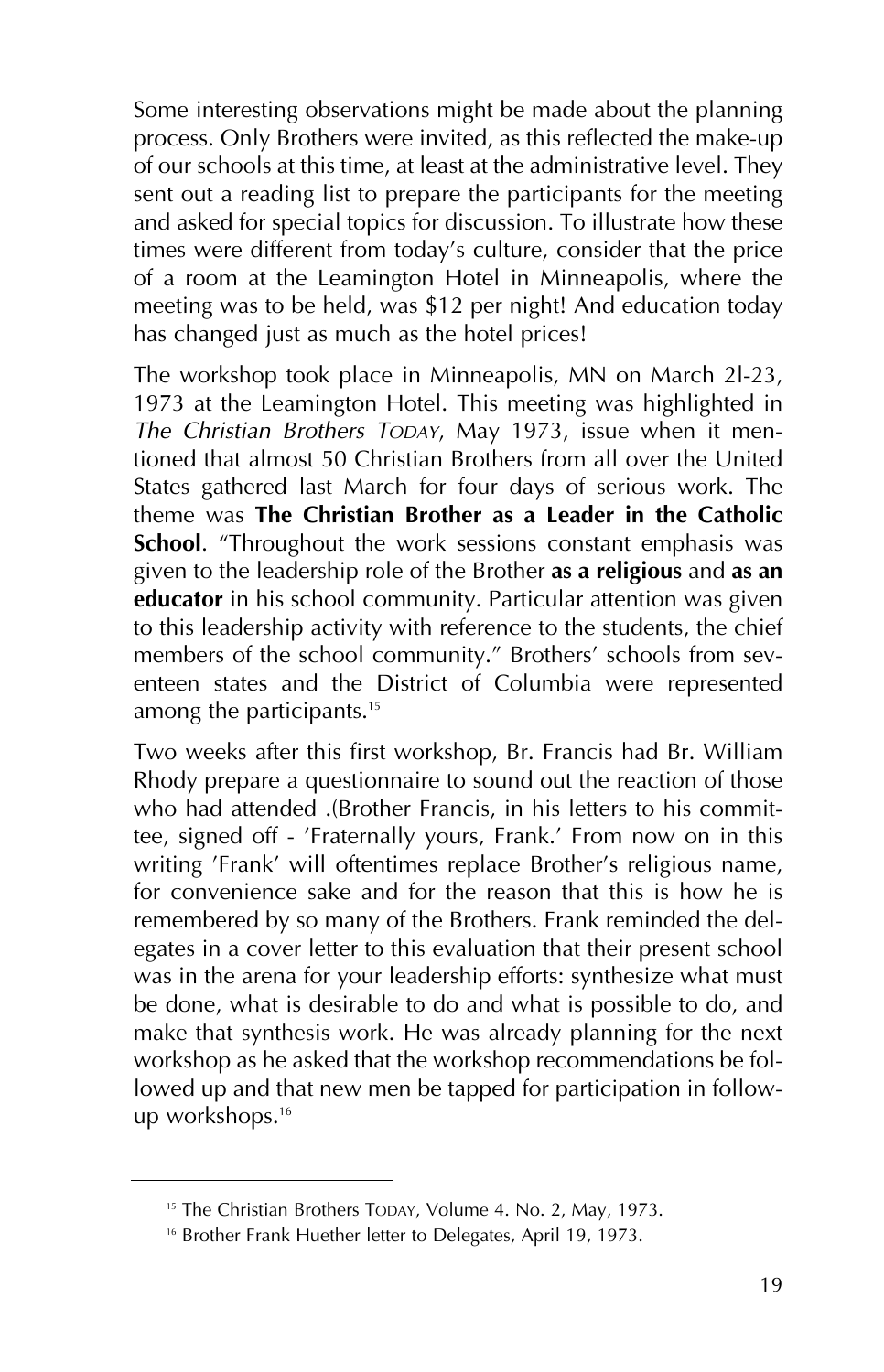Some interesting observations might be made about the planning process. Only Brothers were invited, as this reflected the make-up of our schools at this time, at least at the administrative level. They sent out a reading list to prepare the participants for the meeting and asked for special topics for discussion. To illustrate how these times were different from today's culture, consider that the price of a room at the Leamington Hotel in Minneapolis, where the meeting was to be held, was \$12 per night! And education today has changed just as much as the hotel prices!

The workshop took place in Minneapolis, MN on March 2l-23, 1973 at the Leamington Hotel. This meeting was highlighted in *The Christian Brothers TODAY*, May 1973, issue when it mentioned that almost 50 Christian Brothers from all over the United States gathered last March for four days of serious work. The theme was **The Christian Brother as a Leader in the Catholic School**. "Throughout the work sessions constant emphasis was given to the leadership role of the Brother **as a religious** and **as an educator** in his school community. Particular attention was given to this leadership activity with reference to the students, the chief members of the school community." Brothers' schools from seventeen states and the District of Columbia were represented among the participants.<sup>15</sup>

Two weeks after this first workshop, Br. Francis had Br. William Rhody prepare a questionnaire to sound out the reaction of those who had attended .(Brother Francis, in his letters to his committee, signed off - 'Fraternally yours, Frank.' From now on in this writing 'Frank' will oftentimes replace Brother's religious name, for convenience sake and for the reason that this is how he is remembered by so many of the Brothers. Frank reminded the delegates in a cover letter to this evaluation that their present school was in the arena for your leadership efforts: synthesize what must be done, what is desirable to do and what is possible to do, and make that synthesis work. He was already planning for the next workshop as he asked that the workshop recommendations be followed up and that new men be tapped for participation in followup workshops.16

<sup>&</sup>lt;sup>15</sup> The Christian Brothers TODAY, Volume 4. No. 2, May, 1973.

<sup>&</sup>lt;sup>16</sup> Brother Frank Huether letter to Delegates, April 19, 1973.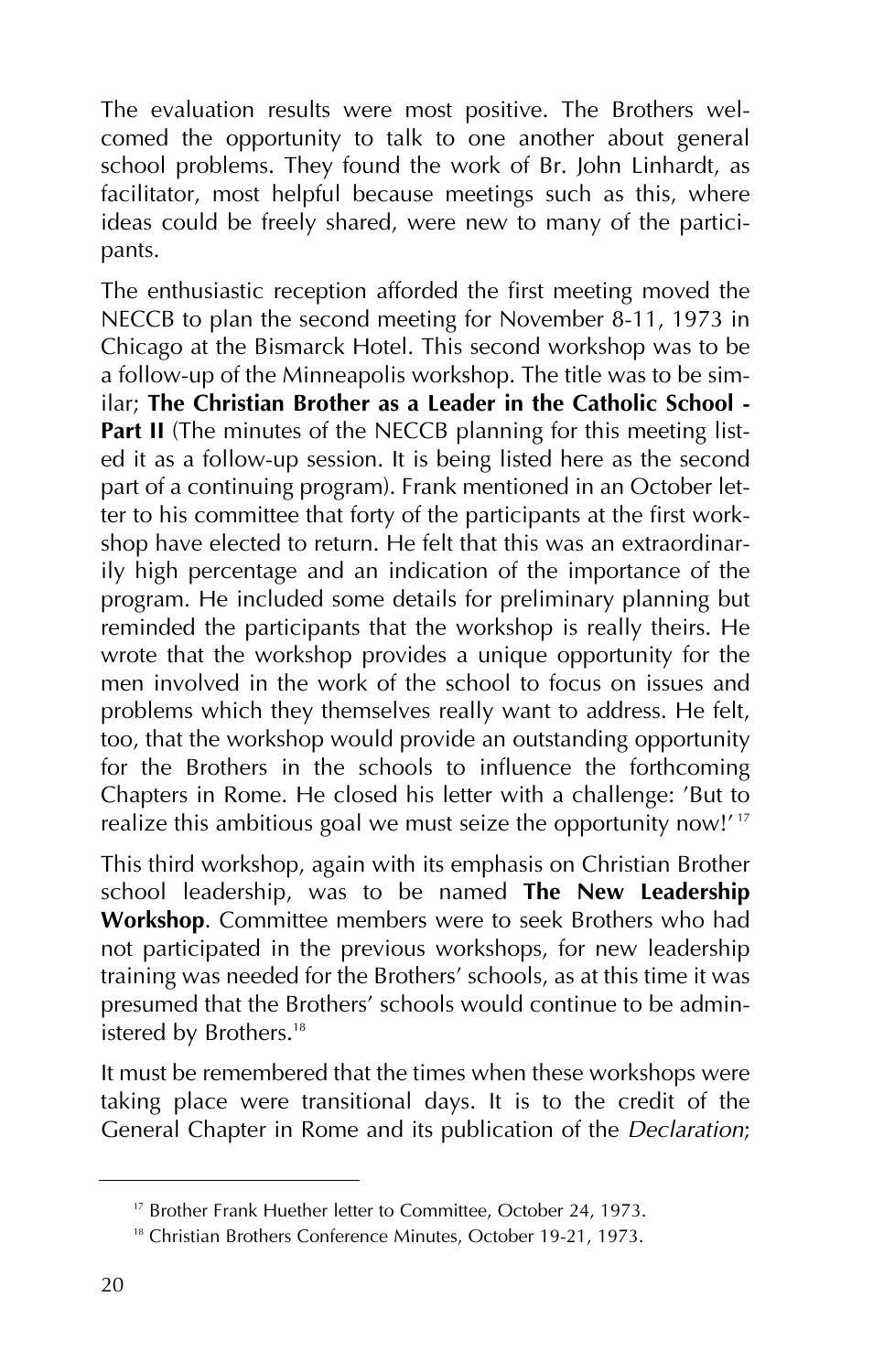The evaluation results were most positive. The Brothers welcomed the opportunity to talk to one another about general school problems. They found the work of Br. John Linhardt, as facilitator, most helpful because meetings such as this, where ideas could be freely shared, were new to many of the participants.

The enthusiastic reception afforded the first meeting moved the NECCB to plan the second meeting for November 8-11, 1973 in Chicago at the Bismarck Hotel. This second workshop was to be a follow-up of the Minneapolis workshop. The title was to be similar; **The Christian Brother as a Leader in the Catholic School - Part II** (The minutes of the NECCB planning for this meeting listed it as a follow-up session. It is being listed here as the second part of a continuing program). Frank mentioned in an October letter to his committee that forty of the participants at the first workshop have elected to return. He felt that this was an extraordinarily high percentage and an indication of the importance of the program. He included some details for preliminary planning but reminded the participants that the workshop is really theirs. He wrote that the workshop provides a unique opportunity for the men involved in the work of the school to focus on issues and problems which they themselves really want to address. He felt, too, that the workshop would provide an outstanding opportunity for the Brothers in the schools to influence the forthcoming Chapters in Rome. He closed his letter with a challenge: 'But to realize this ambitious goal we must seize the opportunity now!'<sup>17</sup>

This third workshop, again with its emphasis on Christian Brother school leadership, was to be named **The New Leadership Workshop**. Committee members were to seek Brothers who had not participated in the previous workshops, for new leadership training was needed for the Brothers' schools, as at this time it was presumed that the Brothers' schools would continue to be administered by Brothers.<sup>18</sup>

It must be remembered that the times when these workshops were taking place were transitional days. It is to the credit of the General Chapter in Rome and its publication of the *Declaration*;

<sup>&</sup>lt;sup>17</sup> Brother Frank Huether letter to Committee, October 24, 1973.

<sup>&</sup>lt;sup>18</sup> Christian Brothers Conference Minutes, October 19-21, 1973.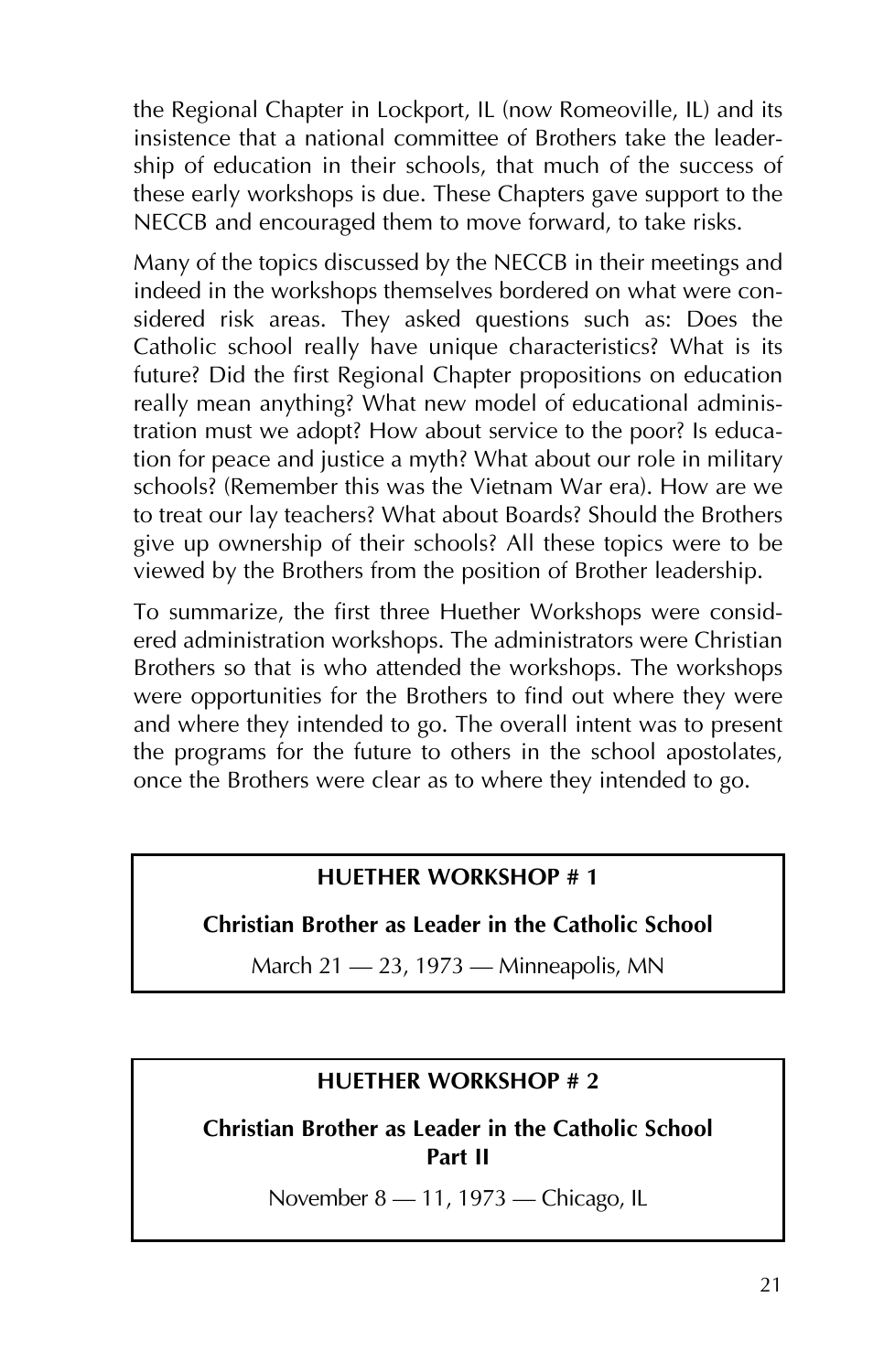the Regional Chapter in Lockport, IL (now Romeoville, IL) and its insistence that a national committee of Brothers take the leadership of education in their schools, that much of the success of these early workshops is due. These Chapters gave support to the NECCB and encouraged them to move forward, to take risks.

Many of the topics discussed by the NECCB in their meetings and indeed in the workshops themselves bordered on what were considered risk areas. They asked questions such as: Does the Catholic school really have unique characteristics? What is its future? Did the first Regional Chapter propositions on education really mean anything? What new model of educational administration must we adopt? How about service to the poor? Is education for peace and justice a myth? What about our role in military schools? (Remember this was the Vietnam War era). How are we to treat our lay teachers? What about Boards? Should the Brothers give up ownership of their schools? All these topics were to be viewed by the Brothers from the position of Brother leadership.

To summarize, the first three Huether Workshops were considered administration workshops. The administrators were Christian Brothers so that is who attended the workshops. The workshops were opportunities for the Brothers to find out where they were and where they intended to go. The overall intent was to present the programs for the future to others in the school apostolates, once the Brothers were clear as to where they intended to go.

#### **HUETHER WORKSHOP # 1**

#### **Christian Brother as Leader in the Catholic School**

March  $21 - 23$ , 1973 – Minneapolis, MN

#### **HUETHER WORKSHOP # 2**

**Christian Brother as Leader in the Catholic School Part II**

November 8 - 11, 1973 - Chicago, IL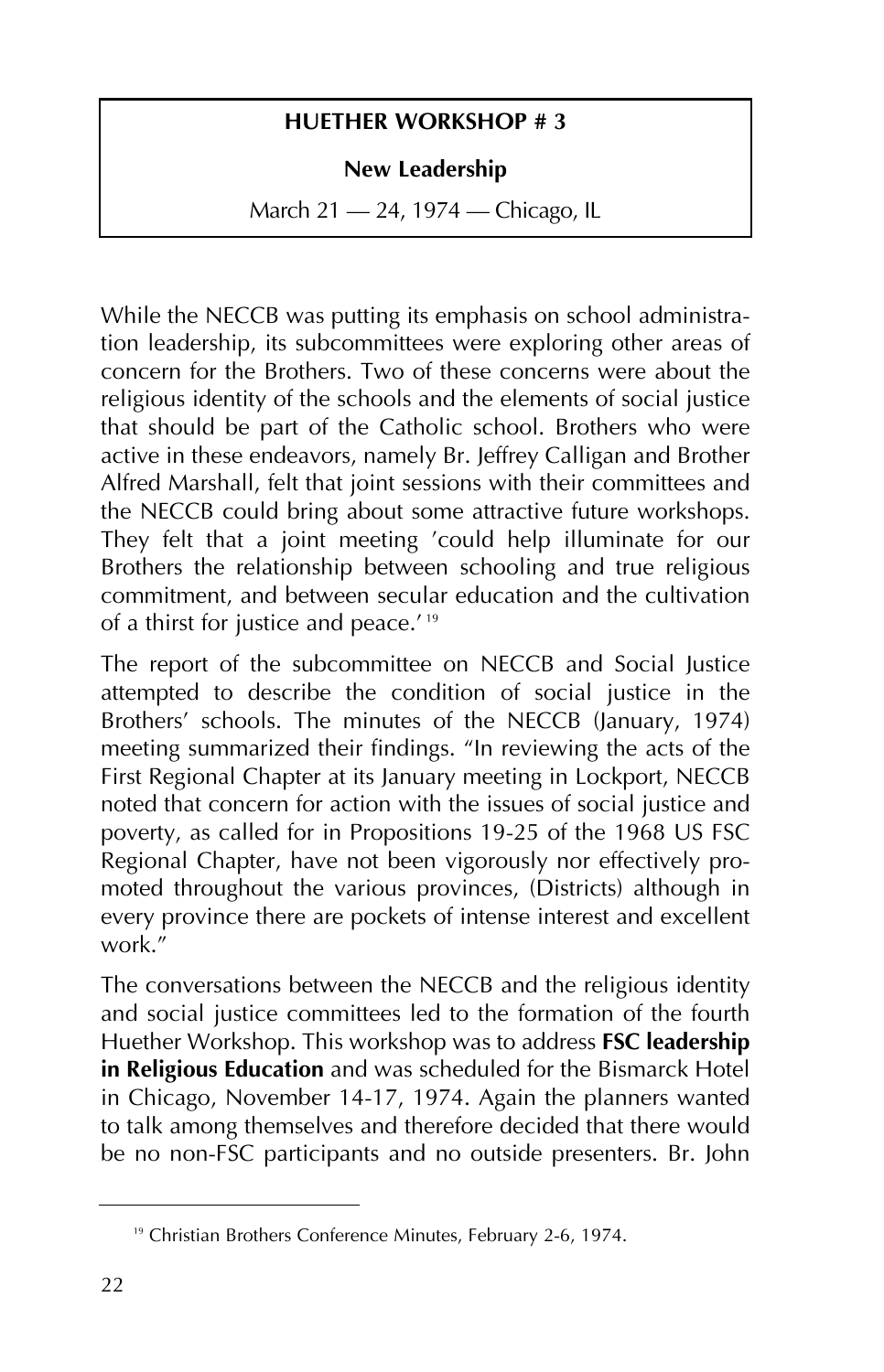#### **HUETHER WORKSHOP # 3**

#### **New Leadership**

March 21 – 24, 1974 – Chicago, IL

While the NECCB was putting its emphasis on school administration leadership, its subcommittees were exploring other areas of concern for the Brothers. Two of these concerns were about the religious identity of the schools and the elements of social justice that should be part of the Catholic school. Brothers who were active in these endeavors, namely Br. Jeffrey Calligan and Brother Alfred Marshall, felt that joint sessions with their committees and the NECCB could bring about some attractive future workshops. They felt that a joint meeting 'could help illuminate for our Brothers the relationship between schooling and true religious commitment, and between secular education and the cultivation of a thirst for justice and peace.' <sup>19</sup>

The report of the subcommittee on NECCB and Social Justice attempted to describe the condition of social justice in the Brothers' schools. The minutes of the NECCB (January, 1974) meeting summarized their findings. "In reviewing the acts of the First Regional Chapter at its January meeting in Lockport, NECCB noted that concern for action with the issues of social justice and poverty, as called for in Propositions 19-25 of the 1968 US FSC Regional Chapter, have not been vigorously nor effectively promoted throughout the various provinces, (Districts) although in every province there are pockets of intense interest and excellent work."

The conversations between the NECCB and the religious identity and social justice committees led to the formation of the fourth Huether Workshop. This workshop was to address **FSC leadership in Religious Education** and was scheduled for the Bismarck Hotel in Chicago, November 14-17, 1974. Again the planners wanted to talk among themselves and therefore decided that there would be no non-FSC participants and no outside presenters. Br. John

<sup>&</sup>lt;sup>19</sup> Christian Brothers Conference Minutes, February 2-6, 1974.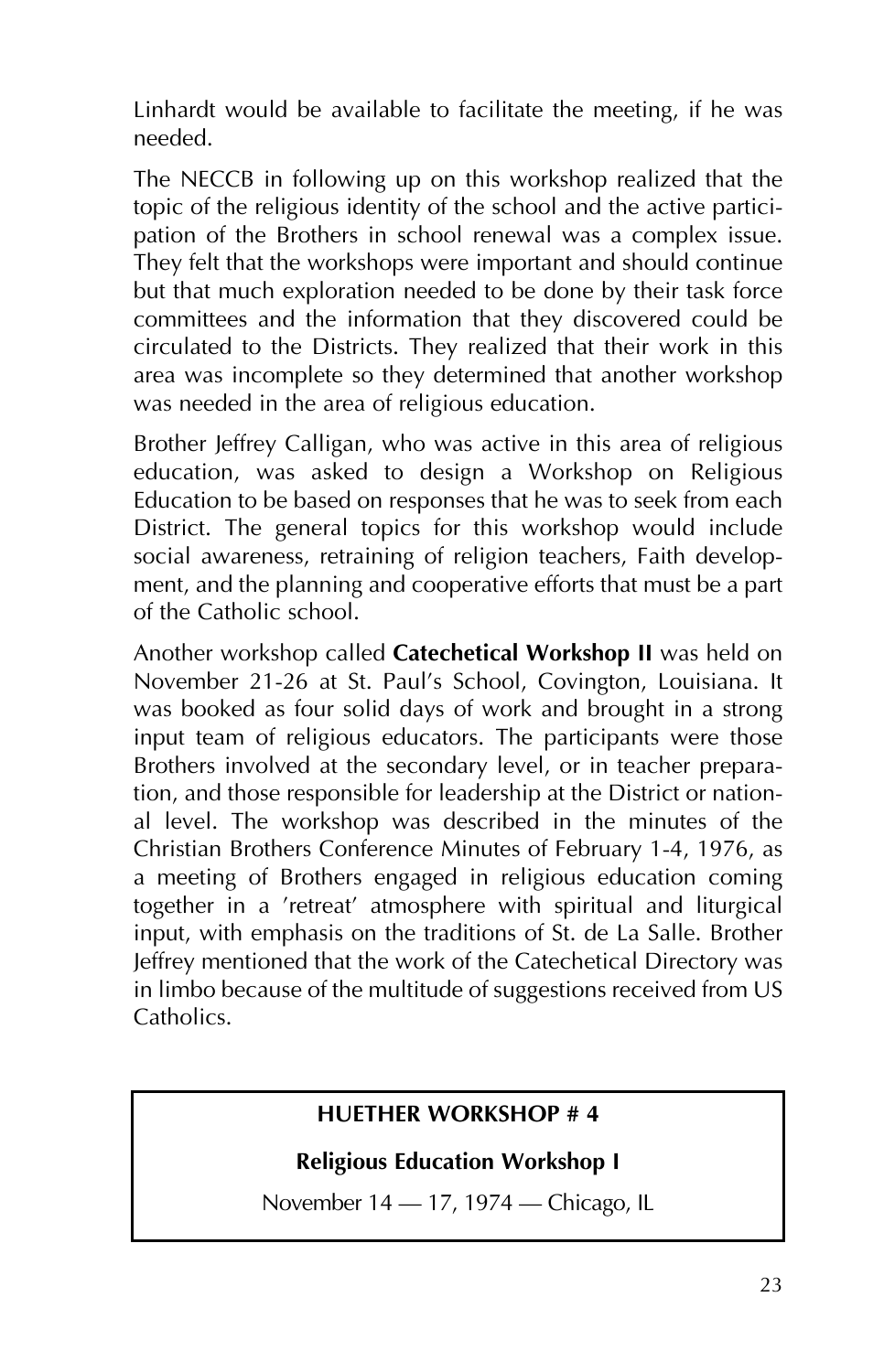Linhardt would be available to facilitate the meeting, if he was needed.

The NECCB in following up on this workshop realized that the topic of the religious identity of the school and the active participation of the Brothers in school renewal was a complex issue. They felt that the workshops were important and should continue but that much exploration needed to be done by their task force committees and the information that they discovered could be circulated to the Districts. They realized that their work in this area was incomplete so they determined that another workshop was needed in the area of religious education.

Brother Jeffrey Calligan, who was active in this area of religious education, was asked to design a Workshop on Religious Education to be based on responses that he was to seek from each District. The general topics for this workshop would include social awareness, retraining of religion teachers, Faith development, and the planning and cooperative efforts that must be a part of the Catholic school.

Another workshop called **Catechetical Workshop II** was held on November 21-26 at St. Paul's School, Covington, Louisiana. It was booked as four solid days of work and brought in a strong input team of religious educators. The participants were those Brothers involved at the secondary level, or in teacher preparation, and those responsible for leadership at the District or national level. The workshop was described in the minutes of the Christian Brothers Conference Minutes of February 1-4, 1976, as a meeting of Brothers engaged in religious education coming together in a 'retreat' atmosphere with spiritual and liturgical input, with emphasis on the traditions of St. de La Salle. Brother Jeffrey mentioned that the work of the Catechetical Directory was in limbo because of the multitude of suggestions received from US Catholics.

#### **HUETHER WORKSHOP # 4**

#### **Religious Education Workshop I**

November 14 – 17, 1974 – Chicago, IL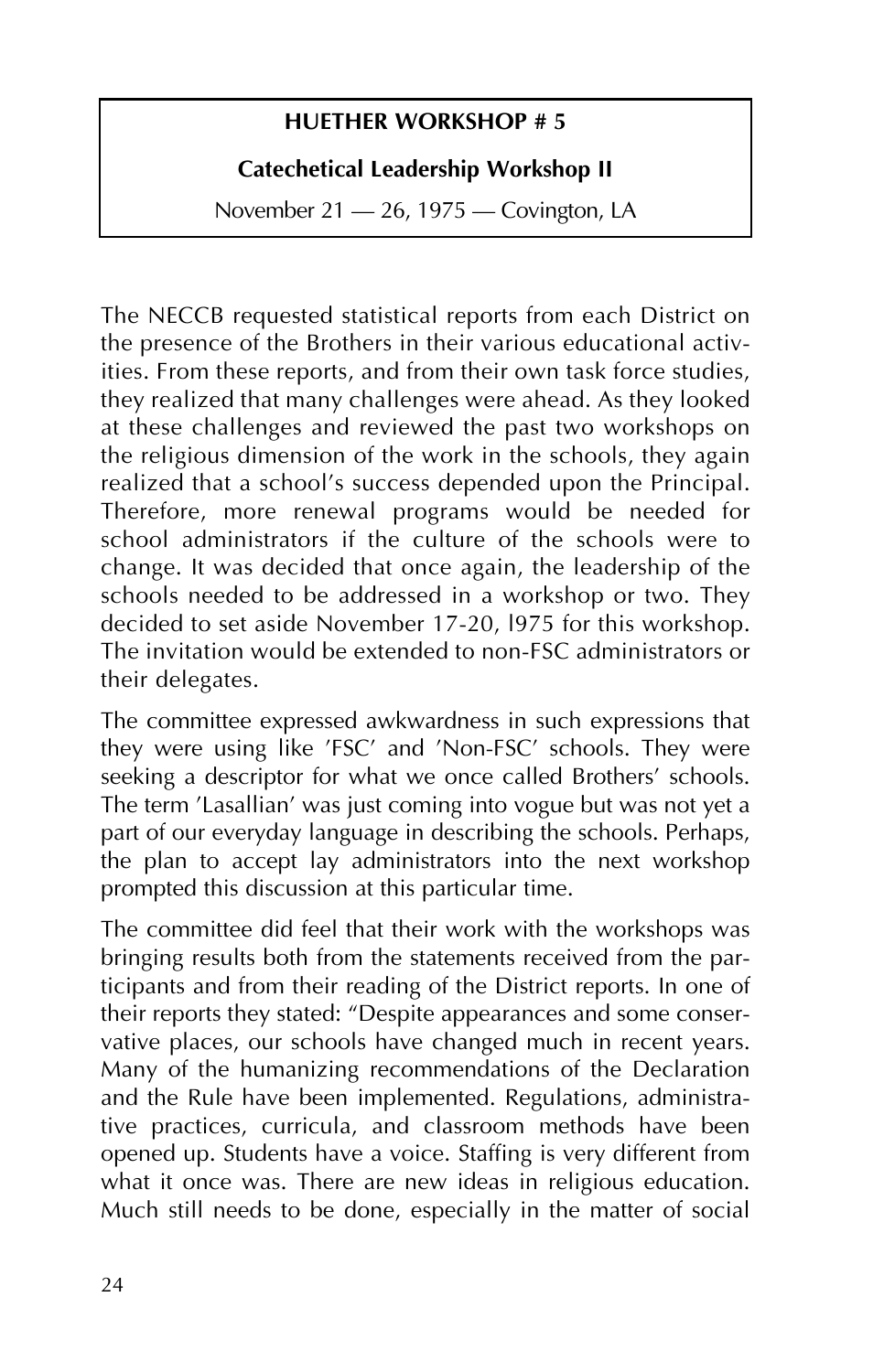#### **HUETHER WORKSHOP # 5**

#### **Catechetical Leadership Workshop II**

November 21 - 26, 1975 - Covington, LA

The NECCB requested statistical reports from each District on the presence of the Brothers in their various educational activities. From these reports, and from their own task force studies, they realized that many challenges were ahead. As they looked at these challenges and reviewed the past two workshops on the religious dimension of the work in the schools, they again realized that a school's success depended upon the Principal. Therefore, more renewal programs would be needed for school administrators if the culture of the schools were to change. It was decided that once again, the leadership of the schools needed to be addressed in a workshop or two. They decided to set aside November 17-20, l975 for this workshop. The invitation would be extended to non-FSC administrators or their delegates.

The committee expressed awkwardness in such expressions that they were using like 'FSC' and 'Non-FSC' schools. They were seeking a descriptor for what we once called Brothers' schools. The term 'Lasallian' was just coming into vogue but was not yet a part of our everyday language in describing the schools. Perhaps, the plan to accept lay administrators into the next workshop prompted this discussion at this particular time.

The committee did feel that their work with the workshops was bringing results both from the statements received from the participants and from their reading of the District reports. In one of their reports they stated: "Despite appearances and some conservative places, our schools have changed much in recent years. Many of the humanizing recommendations of the Declaration and the Rule have been implemented. Regulations, administrative practices, curricula, and classroom methods have been opened up. Students have a voice. Staffing is very different from what it once was. There are new ideas in religious education. Much still needs to be done, especially in the matter of social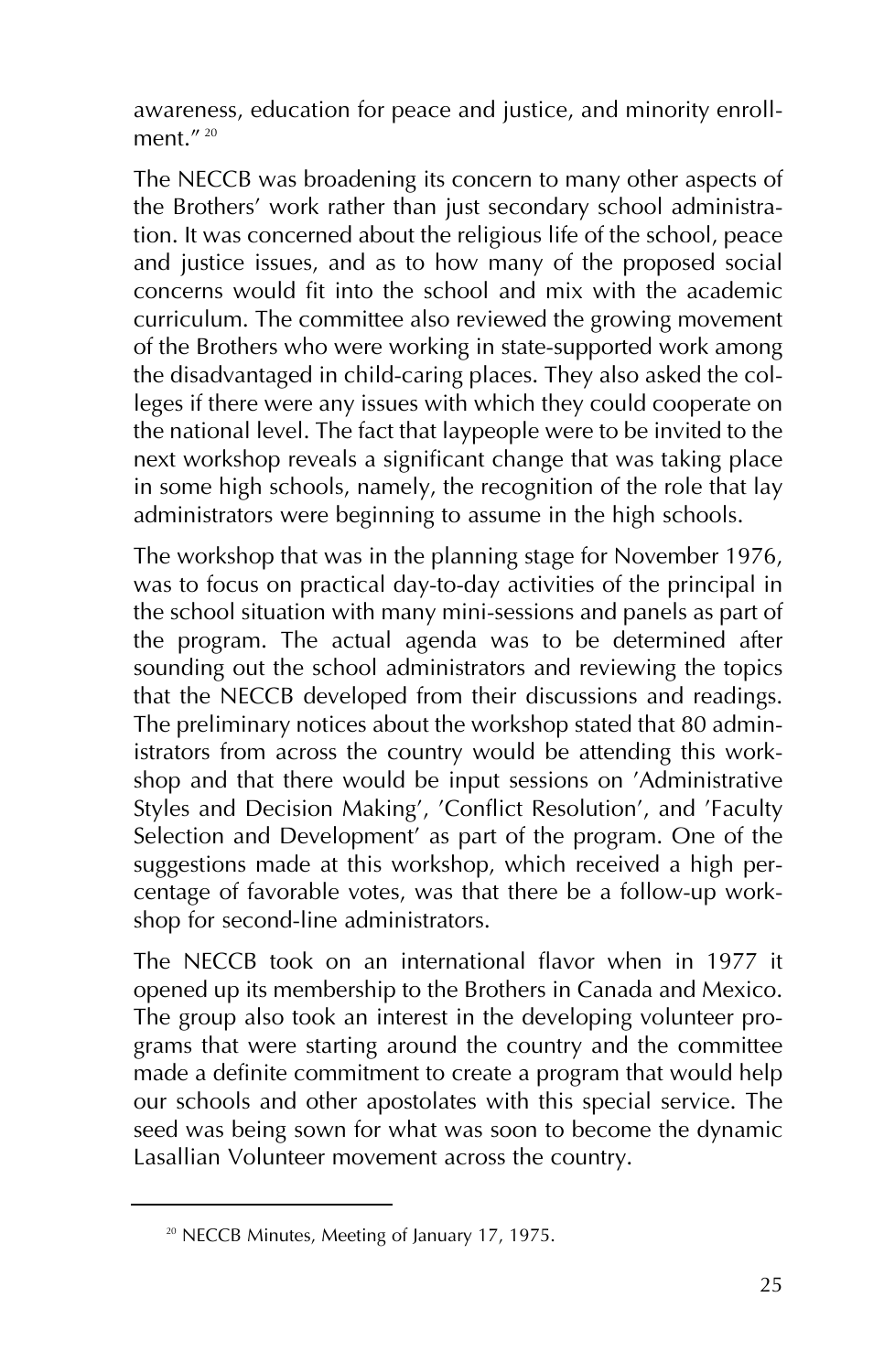awareness, education for peace and justice, and minority enrollment $''$ <sup>20</sup>

The NECCB was broadening its concern to many other aspects of the Brothers' work rather than just secondary school administration. It was concerned about the religious life of the school, peace and justice issues, and as to how many of the proposed social concerns would fit into the school and mix with the academic curriculum. The committee also reviewed the growing movement of the Brothers who were working in state-supported work among the disadvantaged in child-caring places. They also asked the colleges if there were any issues with which they could cooperate on the national level. The fact that laypeople were to be invited to the next workshop reveals a significant change that was taking place in some high schools, namely, the recognition of the role that lay administrators were beginning to assume in the high schools.

The workshop that was in the planning stage for November 1976, was to focus on practical day-to-day activities of the principal in the school situation with many mini-sessions and panels as part of the program. The actual agenda was to be determined after sounding out the school administrators and reviewing the topics that the NECCB developed from their discussions and readings. The preliminary notices about the workshop stated that 80 administrators from across the country would be attending this workshop and that there would be input sessions on 'Administrative Styles and Decision Making', 'Conflict Resolution', and 'Faculty Selection and Development' as part of the program. One of the suggestions made at this workshop, which received a high percentage of favorable votes, was that there be a follow-up workshop for second-line administrators.

The NECCB took on an international flavor when in 1977 it opened up its membership to the Brothers in Canada and Mexico. The group also took an interest in the developing volunteer programs that were starting around the country and the committee made a definite commitment to create a program that would help our schools and other apostolates with this special service. The seed was being sown for what was soon to become the dynamic Lasallian Volunteer movement across the country.

<sup>&</sup>lt;sup>20</sup> NECCB Minutes, Meeting of January 17, 1975.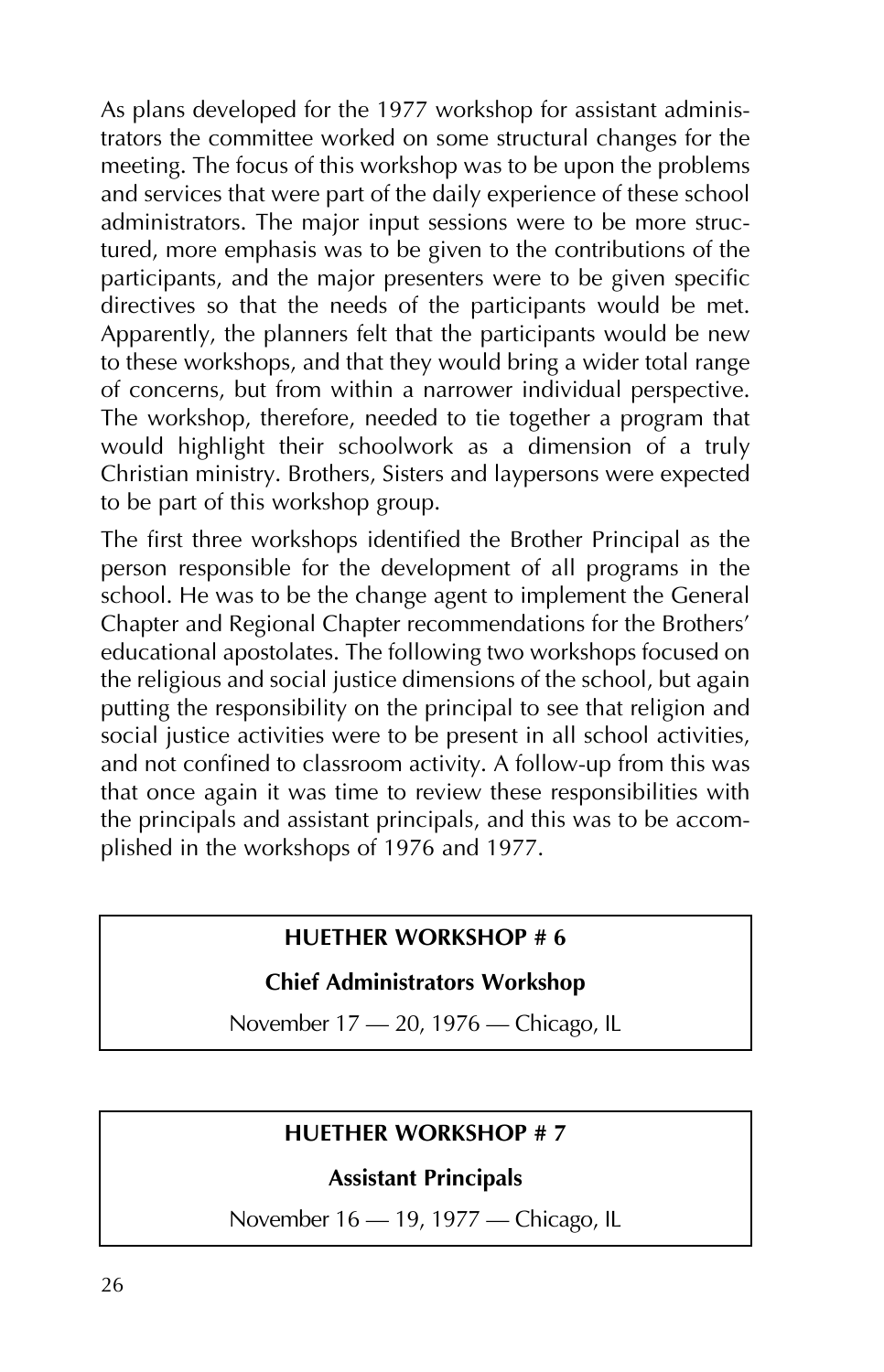As plans developed for the 1977 workshop for assistant administrators the committee worked on some structural changes for the meeting. The focus of this workshop was to be upon the problems and services that were part of the daily experience of these school administrators. The major input sessions were to be more structured, more emphasis was to be given to the contributions of the participants, and the major presenters were to be given specific directives so that the needs of the participants would be met. Apparently, the planners felt that the participants would be new to these workshops, and that they would bring a wider total range of concerns, but from within a narrower individual perspective. The workshop, therefore, needed to tie together a program that would highlight their schoolwork as a dimension of a truly Christian ministry. Brothers, Sisters and laypersons were expected to be part of this workshop group.

The first three workshops identified the Brother Principal as the person responsible for the development of all programs in the school. He was to be the change agent to implement the General Chapter and Regional Chapter recommendations for the Brothers' educational apostolates. The following two workshops focused on the religious and social justice dimensions of the school, but again putting the responsibility on the principal to see that religion and social justice activities were to be present in all school activities, and not confined to classroom activity. A follow-up from this was that once again it was time to review these responsibilities with the principals and assistant principals, and this was to be accomplished in the workshops of 1976 and 1977.

#### **HUETHER WORKSHOP # 6**

#### **Chief Administrators Workshop**

November 17 - 20, 1976 - Chicago, IL

#### **HUETHER WORKSHOP # 7**

#### **Assistant Principals**

November 16 — 19, 1977 — Chicago, IL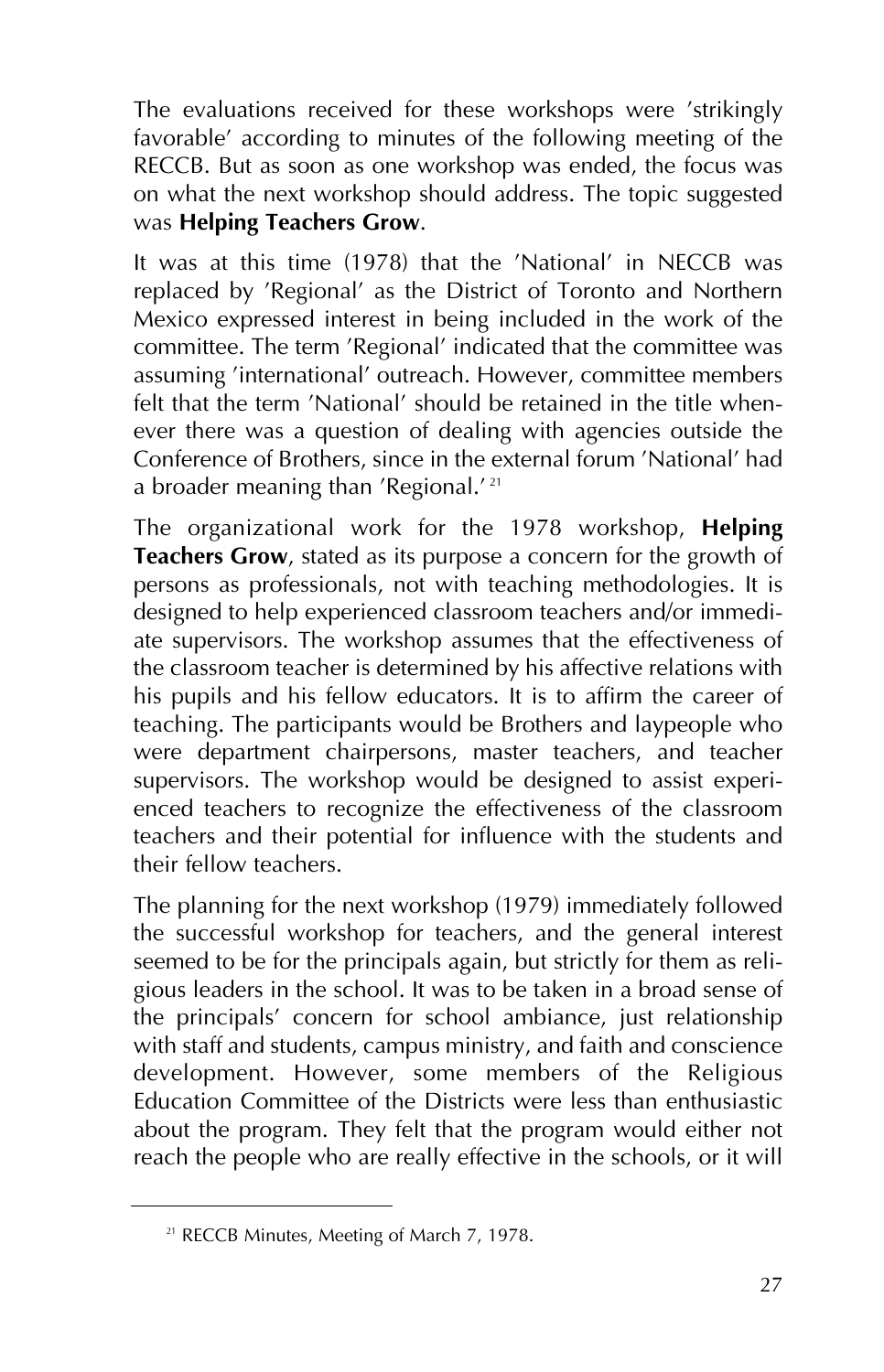The evaluations received for these workshops were 'strikingly favorable' according to minutes of the following meeting of the RECCB. But as soon as one workshop was ended, the focus was on what the next workshop should address. The topic suggested was **Helping Teachers Grow**.

It was at this time (1978) that the 'National' in NECCB was replaced by 'Regional' as the District of Toronto and Northern Mexico expressed interest in being included in the work of the committee. The term 'Regional' indicated that the committee was assuming 'international' outreach. However, committee members felt that the term 'National' should be retained in the title whenever there was a question of dealing with agencies outside the Conference of Brothers, since in the external forum 'National' had a broader meaning than 'Regional.' <sup>21</sup>

The organizational work for the 1978 workshop, **Helping Teachers Grow**, stated as its purpose a concern for the growth of persons as professionals, not with teaching methodologies. It is designed to help experienced classroom teachers and/or immediate supervisors. The workshop assumes that the effectiveness of the classroom teacher is determined by his affective relations with his pupils and his fellow educators. It is to affirm the career of teaching. The participants would be Brothers and laypeople who were department chairpersons, master teachers, and teacher supervisors. The workshop would be designed to assist experienced teachers to recognize the effectiveness of the classroom teachers and their potential for influence with the students and their fellow teachers.

The planning for the next workshop (1979) immediately followed the successful workshop for teachers, and the general interest seemed to be for the principals again, but strictly for them as religious leaders in the school. It was to be taken in a broad sense of the principals' concern for school ambiance, just relationship with staff and students, campus ministry, and faith and conscience development. However, some members of the Religious Education Committee of the Districts were less than enthusiastic about the program. They felt that the program would either not reach the people who are really effective in the schools, or it will

<sup>&</sup>lt;sup>21</sup> RECCB Minutes, Meeting of March 7, 1978.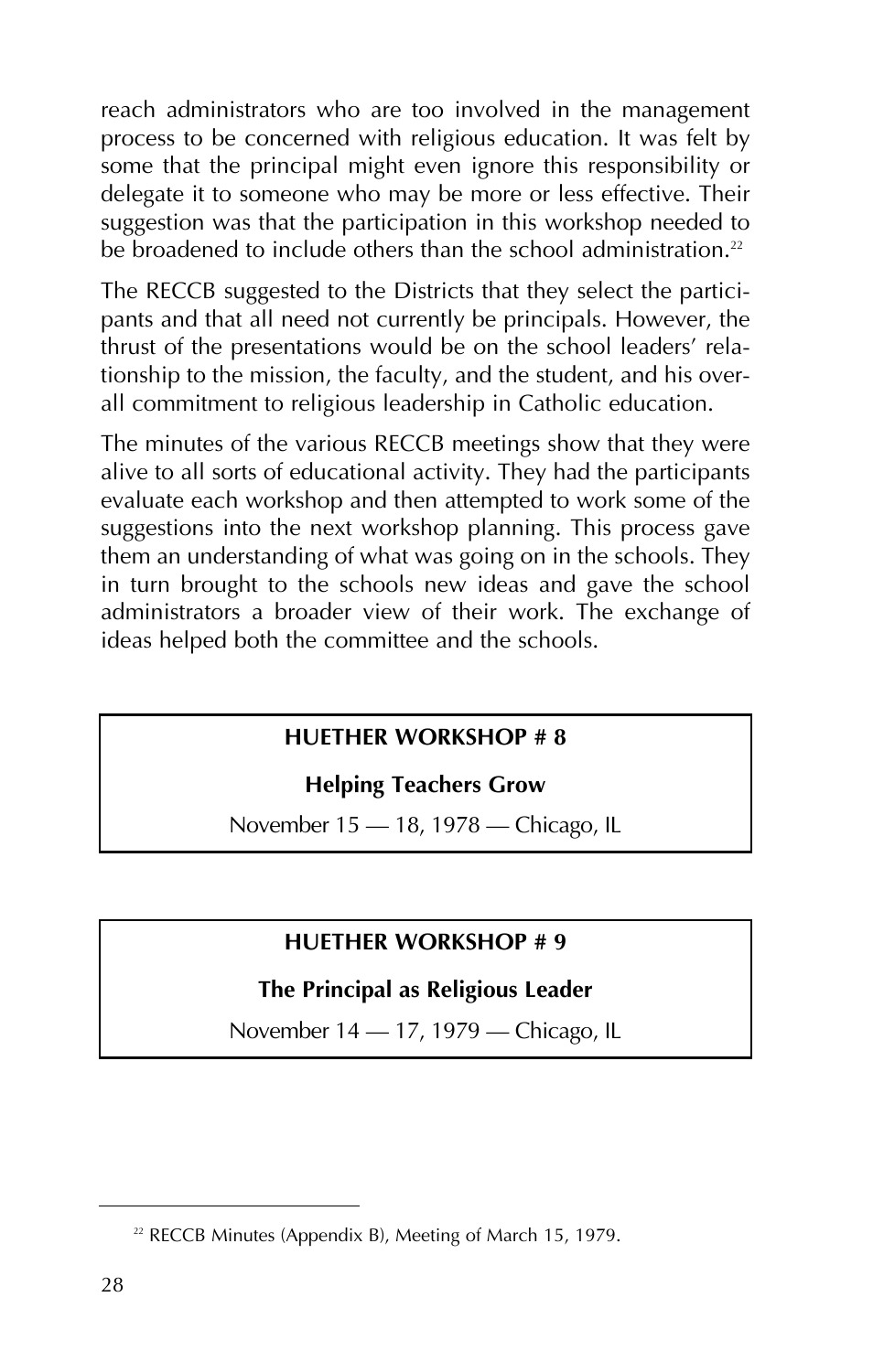reach administrators who are too involved in the management process to be concerned with religious education. It was felt by some that the principal might even ignore this responsibility or delegate it to someone who may be more or less effective. Their suggestion was that the participation in this workshop needed to be broadened to include others than the school administration.<sup>22</sup>

The RECCB suggested to the Districts that they select the participants and that all need not currently be principals. However, the thrust of the presentations would be on the school leaders' relationship to the mission, the faculty, and the student, and his overall commitment to religious leadership in Catholic education.

The minutes of the various RECCB meetings show that they were alive to all sorts of educational activity. They had the participants evaluate each workshop and then attempted to work some of the suggestions into the next workshop planning. This process gave them an understanding of what was going on in the schools. They in turn brought to the schools new ideas and gave the school administrators a broader view of their work. The exchange of ideas helped both the committee and the schools.

#### **HUETHER WORKSHOP # 8**

#### **Helping Teachers Grow**

November 15 – 18, 1978 – Chicago, IL

#### **HUETHER WORKSHOP # 9**

#### **The Principal as Religious Leader**

November 14 – 17, 1979 – Chicago, IL

<sup>&</sup>lt;sup>22</sup> RECCB Minutes (Appendix B), Meeting of March 15, 1979.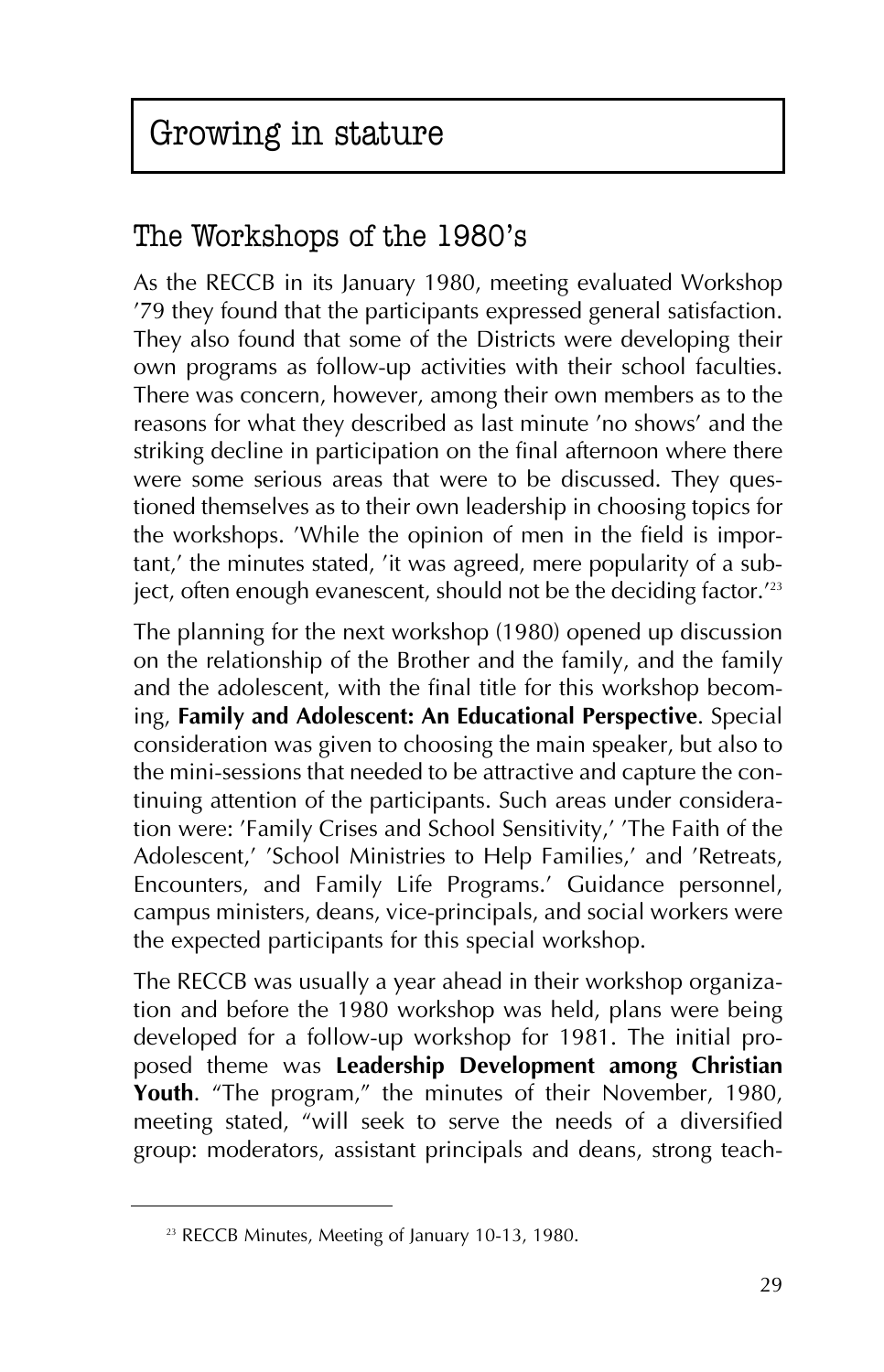# Growing in stature

### The Workshops of the 1980's

As the RECCB in its January 1980, meeting evaluated Workshop '79 they found that the participants expressed general satisfaction. They also found that some of the Districts were developing their own programs as follow-up activities with their school faculties. There was concern, however, among their own members as to the reasons for what they described as last minute 'no shows' and the striking decline in participation on the final afternoon where there were some serious areas that were to be discussed. They questioned themselves as to their own leadership in choosing topics for the workshops. 'While the opinion of men in the field is important,' the minutes stated, 'it was agreed, mere popularity of a subject, often enough evanescent, should not be the deciding factor.<sup>123</sup>

The planning for the next workshop (1980) opened up discussion on the relationship of the Brother and the family, and the family and the adolescent, with the final title for this workshop becoming, **Family and Adolescent: An Educational Perspective**. Special consideration was given to choosing the main speaker, but also to the mini-sessions that needed to be attractive and capture the continuing attention of the participants. Such areas under consideration were: 'Family Crises and School Sensitivity,' 'The Faith of the Adolescent,' 'School Ministries to Help Families,' and 'Retreats, Encounters, and Family Life Programs.' Guidance personnel, campus ministers, deans, vice-principals, and social workers were the expected participants for this special workshop.

The RECCB was usually a year ahead in their workshop organization and before the 1980 workshop was held, plans were being developed for a follow-up workshop for 1981. The initial proposed theme was **Leadership Development among Christian Youth**. "The program," the minutes of their November, 1980, meeting stated, "will seek to serve the needs of a diversified group: moderators, assistant principals and deans, strong teach-

<sup>&</sup>lt;sup>23</sup> RECCB Minutes, Meeting of January 10-13, 1980.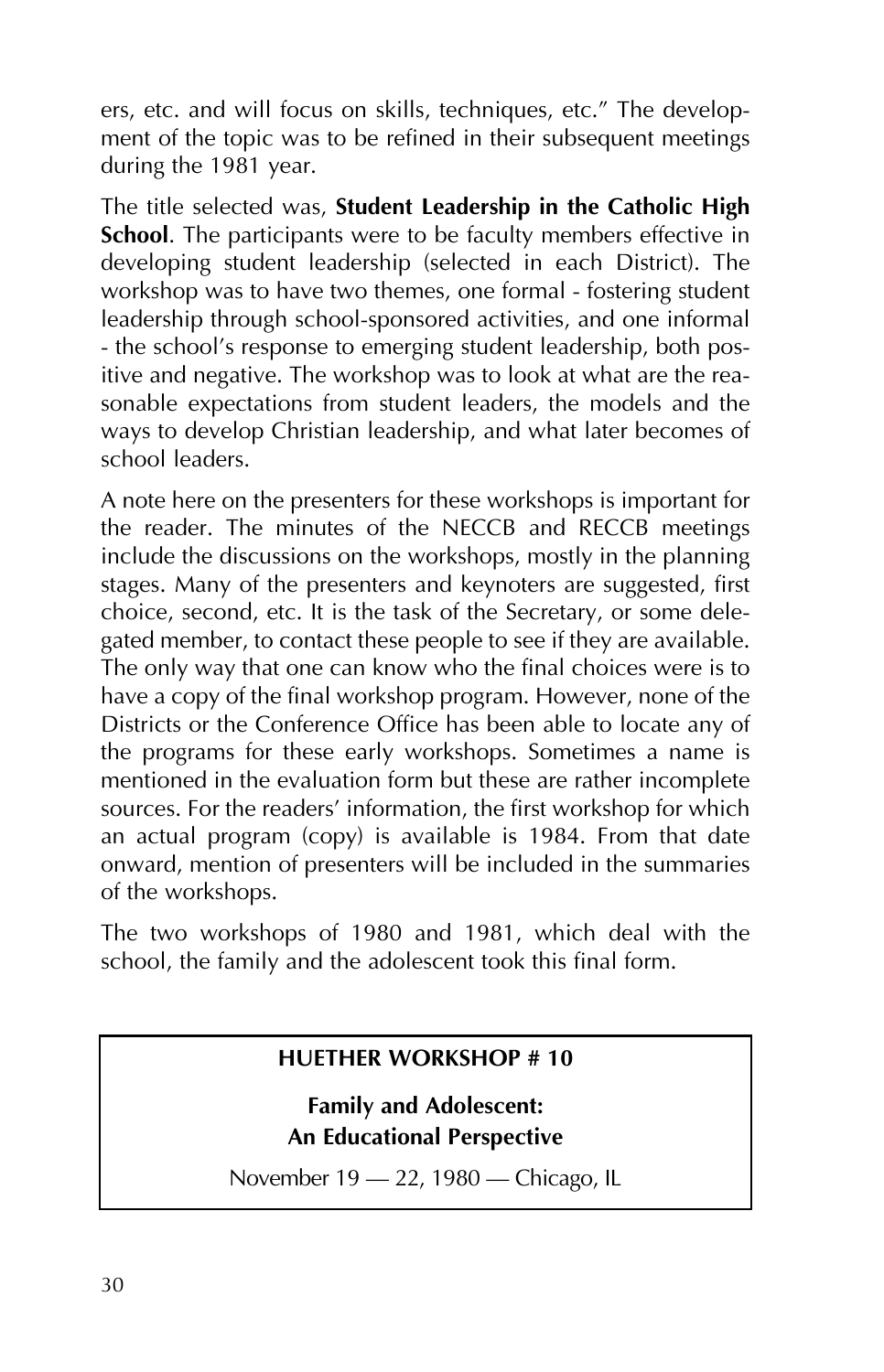ers, etc. and will focus on skills, techniques, etc." The development of the topic was to be refined in their subsequent meetings during the 1981 year.

The title selected was, **Student Leadership in the Catholic High School**. The participants were to be faculty members effective in developing student leadership (selected in each District). The workshop was to have two themes, one formal - fostering student leadership through school-sponsored activities, and one informal - the school's response to emerging student leadership, both positive and negative. The workshop was to look at what are the reasonable expectations from student leaders, the models and the ways to develop Christian leadership, and what later becomes of school leaders.

A note here on the presenters for these workshops is important for the reader. The minutes of the NECCB and RECCB meetings include the discussions on the workshops, mostly in the planning stages. Many of the presenters and keynoters are suggested, first choice, second, etc. It is the task of the Secretary, or some delegated member, to contact these people to see if they are available. The only way that one can know who the final choices were is to have a copy of the final workshop program. However, none of the Districts or the Conference Office has been able to locate any of the programs for these early workshops. Sometimes a name is mentioned in the evaluation form but these are rather incomplete sources. For the readers' information, the first workshop for which an actual program (copy) is available is 1984. From that date onward, mention of presenters will be included in the summaries of the workshops.

The two workshops of 1980 and 1981, which deal with the school, the family and the adolescent took this final form.

#### **HUETHER WORKSHOP # 10**

**Family and Adolescent: An Educational Perspective**

November 19 - 22, 1980 - Chicago, IL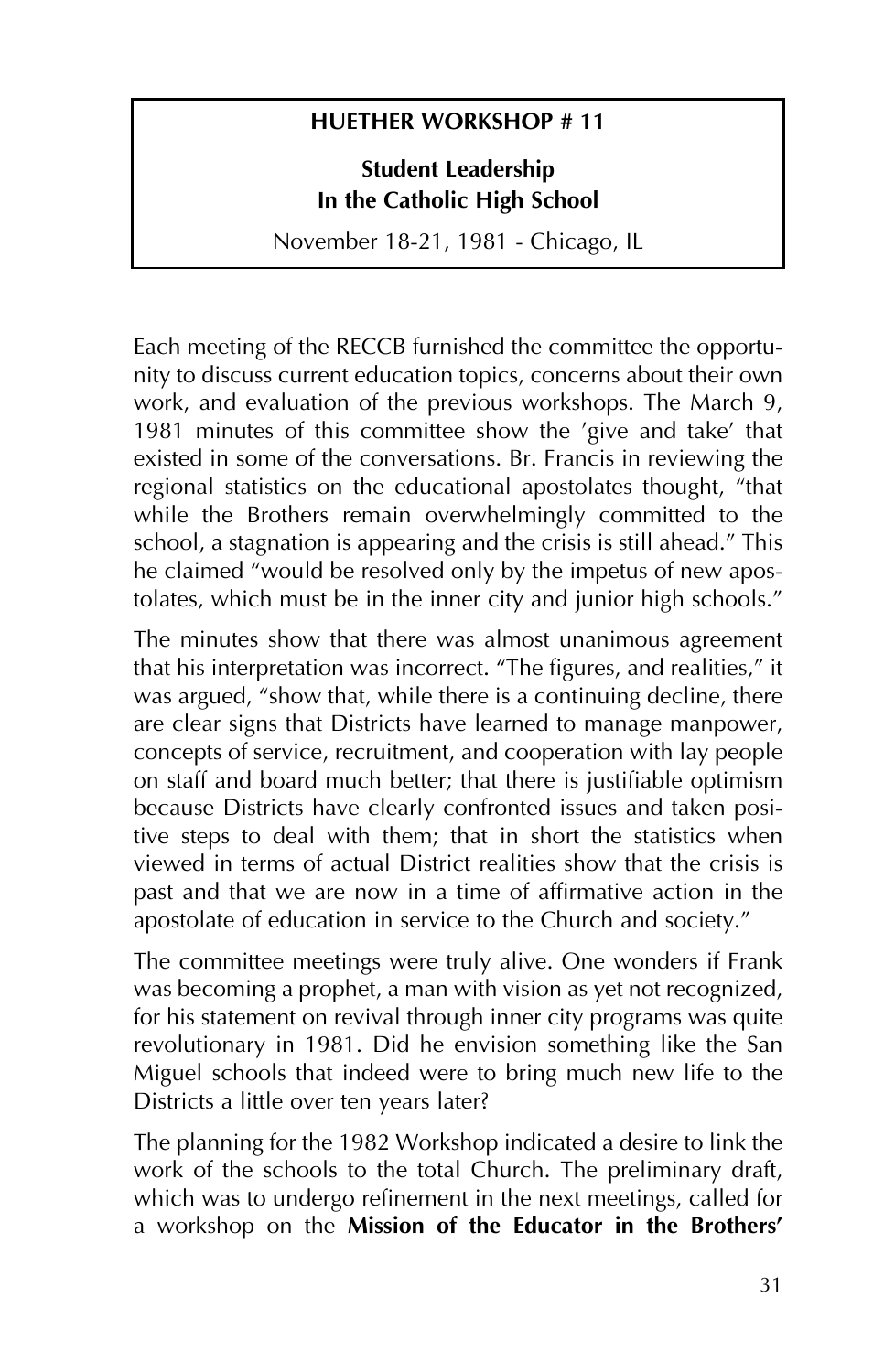#### **HUETHER WORKSHOP # 11**

**Student Leadership In the Catholic High School**

November 18-21, 1981 - Chicago, IL

Each meeting of the RECCB furnished the committee the opportunity to discuss current education topics, concerns about their own work, and evaluation of the previous workshops. The March 9, 1981 minutes of this committee show the 'give and take' that existed in some of the conversations. Br. Francis in reviewing the regional statistics on the educational apostolates thought, "that while the Brothers remain overwhelmingly committed to the school, a stagnation is appearing and the crisis is still ahead." This he claimed "would be resolved only by the impetus of new apostolates, which must be in the inner city and junior high schools."

The minutes show that there was almost unanimous agreement that his interpretation was incorrect. "The figures, and realities," it was argued, "show that, while there is a continuing decline, there are clear signs that Districts have learned to manage manpower, concepts of service, recruitment, and cooperation with lay people on staff and board much better; that there is justifiable optimism because Districts have clearly confronted issues and taken positive steps to deal with them; that in short the statistics when viewed in terms of actual District realities show that the crisis is past and that we are now in a time of affirmative action in the apostolate of education in service to the Church and society."

The committee meetings were truly alive. One wonders if Frank was becoming a prophet, a man with vision as yet not recognized, for his statement on revival through inner city programs was quite revolutionary in 1981. Did he envision something like the San Miguel schools that indeed were to bring much new life to the Districts a little over ten years later?

The planning for the 1982 Workshop indicated a desire to link the work of the schools to the total Church. The preliminary draft, which was to undergo refinement in the next meetings, called for a workshop on the **Mission of the Educator in the Brothers'**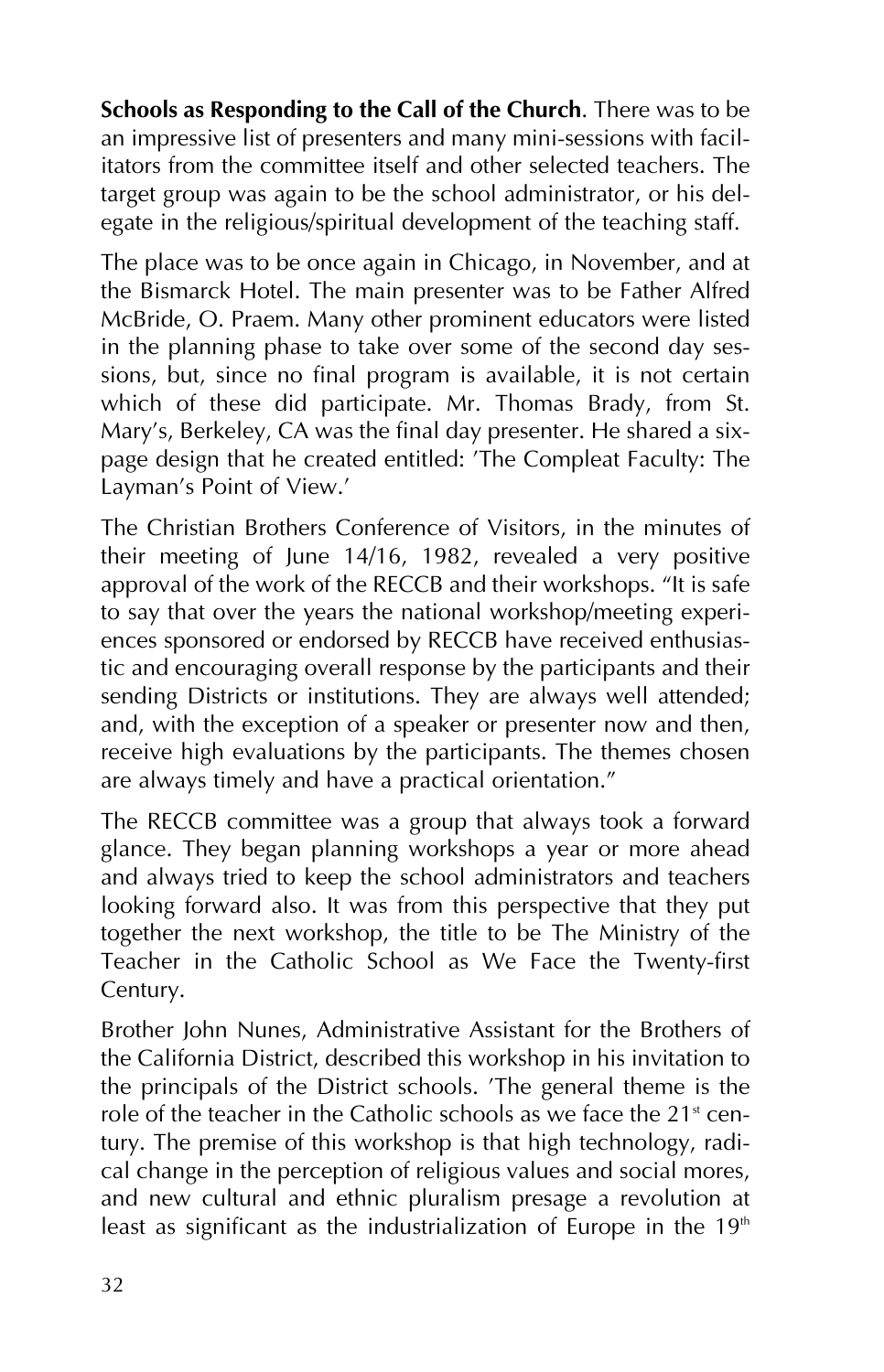**Schools as Responding to the Call of the Church**. There was to be an impressive list of presenters and many mini-sessions with facilitators from the committee itself and other selected teachers. The target group was again to be the school administrator, or his delegate in the religious/spiritual development of the teaching staff.

The place was to be once again in Chicago, in November, and at the Bismarck Hotel. The main presenter was to be Father Alfred McBride, O. Praem. Many other prominent educators were listed in the planning phase to take over some of the second day sessions, but, since no final program is available, it is not certain which of these did participate. Mr. Thomas Brady, from St. Mary's, Berkeley, CA was the final day presenter. He shared a sixpage design that he created entitled: 'The Compleat Faculty: The Layman's Point of View.'

The Christian Brothers Conference of Visitors, in the minutes of their meeting of June 14/16, 1982, revealed a very positive approval of the work of the RECCB and their workshops. "It is safe to say that over the years the national workshop/meeting experiences sponsored or endorsed by RECCB have received enthusiastic and encouraging overall response by the participants and their sending Districts or institutions. They are always well attended; and, with the exception of a speaker or presenter now and then, receive high evaluations by the participants. The themes chosen are always timely and have a practical orientation."

The RECCB committee was a group that always took a forward glance. They began planning workshops a year or more ahead and always tried to keep the school administrators and teachers looking forward also. It was from this perspective that they put together the next workshop, the title to be The Ministry of the Teacher in the Catholic School as We Face the Twenty-first Century.

Brother John Nunes, Administrative Assistant for the Brothers of the California District, described this workshop in his invitation to the principals of the District schools. 'The general theme is the role of the teacher in the Catholic schools as we face the  $21<sup>st</sup>$  century. The premise of this workshop is that high technology, radical change in the perception of religious values and social mores, and new cultural and ethnic pluralism presage a revolution at least as significant as the industrialization of Europe in the  $19<sup>th</sup>$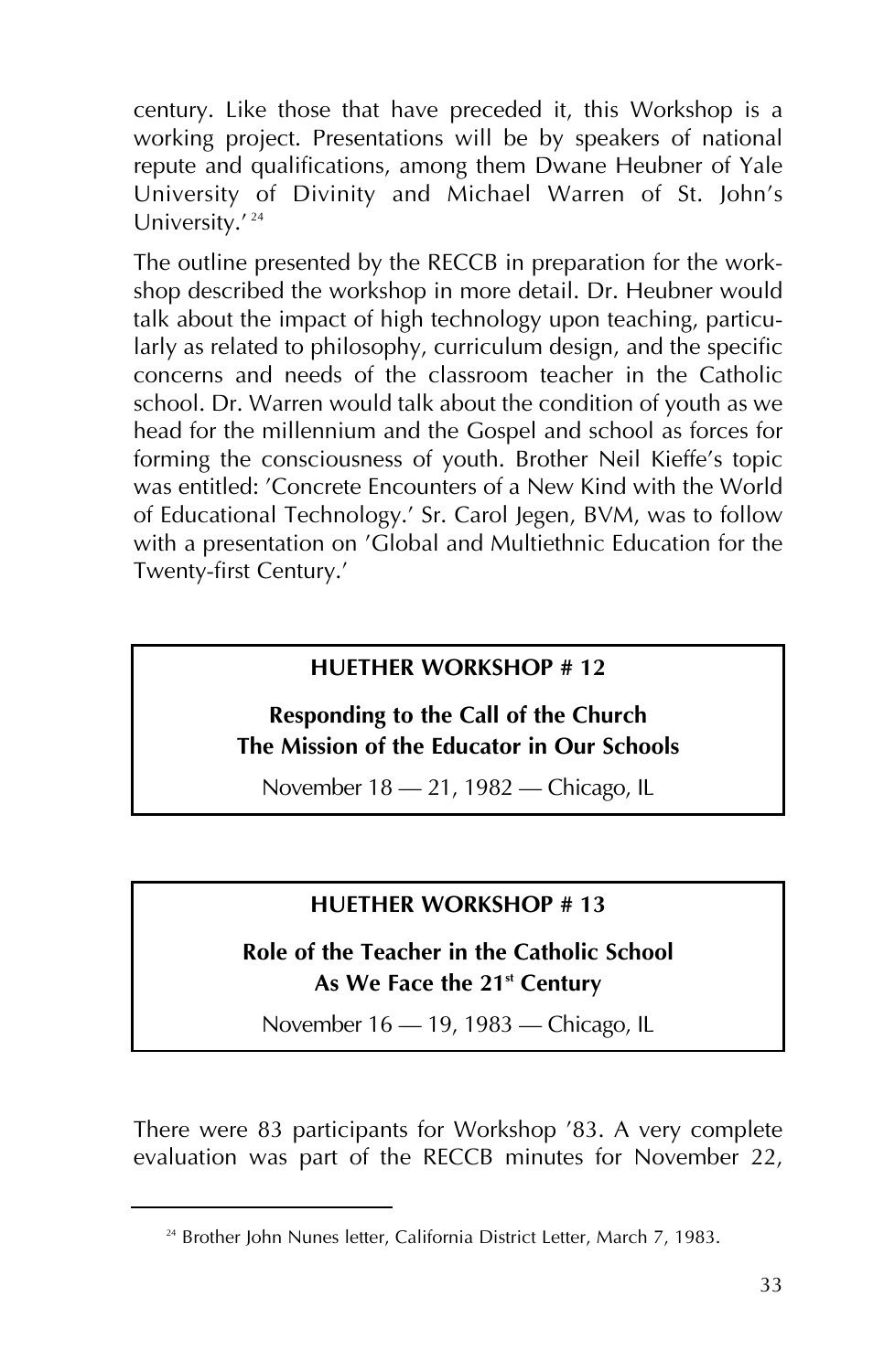century. Like those that have preceded it, this Workshop is a working project. Presentations will be by speakers of national repute and qualifications, among them Dwane Heubner of Yale University of Divinity and Michael Warren of St. John's University.'<sup>24</sup>

The outline presented by the RECCB in preparation for the workshop described the workshop in more detail. Dr. Heubner would talk about the impact of high technology upon teaching, particularly as related to philosophy, curriculum design, and the specific concerns and needs of the classroom teacher in the Catholic school. Dr. Warren would talk about the condition of youth as we head for the millennium and the Gospel and school as forces for forming the consciousness of youth. Brother Neil Kieffe's topic was entitled: 'Concrete Encounters of a New Kind with the World of Educational Technology.' Sr. Carol Jegen, BVM, was to follow with a presentation on 'Global and Multiethnic Education for the Twenty-first Century.'

#### **HUETHER WORKSHOP # 12**

#### **Responding to the Call of the Church The Mission of the Educator in Our Schools**

November 18 – 21, 1982 – Chicago, IL

#### **HUETHER WORKSHOP # 13**

#### **Role of the Teacher in the Catholic School** As We Face the 21<sup>st</sup> Century

November 16 - 19, 1983 - Chicago, IL

There were 83 participants for Workshop '83. A very complete evaluation was part of the RECCB minutes for November 22,

<sup>&</sup>lt;sup>24</sup> Brother John Nunes letter, California District Letter, March 7, 1983.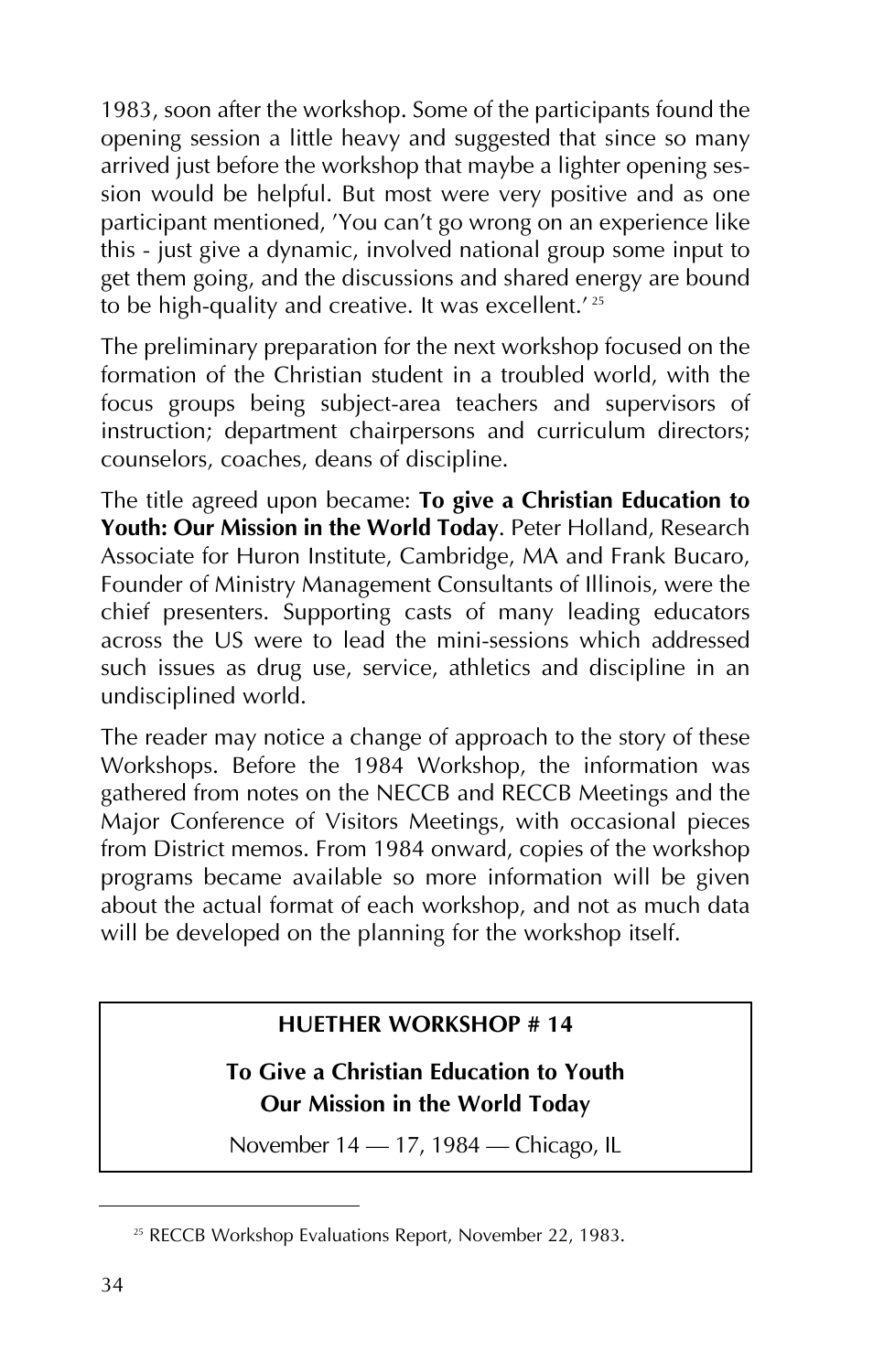1983, soon after the workshop. Some of the participants found the opening session a little heavy and suggested that since so many arrived just before the workshop that maybe a lighter opening session would be helpful. But most were very positive and as one participant mentioned, 'You can't go wrong on an experience like this - just give a dynamic, involved national group some input to get them going, and the discussions and shared energy are bound to be high-quality and creative. It was excellent.<sup>' 25</sup>

The preliminary preparation for the next workshop focused on the formation of the Christian student in a troubled world, with the focus groups being subject-area teachers and supervisors of instruction; department chairpersons and curriculum directors; counselors, coaches, deans of discipline.

The title agreed upon became: **To give a Christian Education to Youth: Our Mission in the World Today**. Peter Holland, Research Associate for Huron Institute, Cambridge, MA and Frank Bucaro, Founder of Ministry Management Consultants of Illinois, were the chief presenters. Supporting casts of many leading educators across the US were to lead the mini-sessions which addressed such issues as drug use, service, athletics and discipline in an undisciplined world.

The reader may notice a change of approach to the story of these Workshops. Before the 1984 Workshop, the information was gathered from notes on the NECCB and RECCB Meetings and the Major Conference of Visitors Meetings, with occasional pieces from District memos. From 1984 onward, copies of the workshop programs became available so more information will be given about the actual format of each workshop, and not as much data will be developed on the planning for the workshop itself.

#### **HUETHER WORKSHOP # 14**

#### **To Give a Christian Education to Youth Our Mission in the World Today**

November 14 – 17, 1984 – Chicago, IL

<sup>&</sup>lt;sup>25</sup> RECCB Workshop Evaluations Report, November 22, 1983.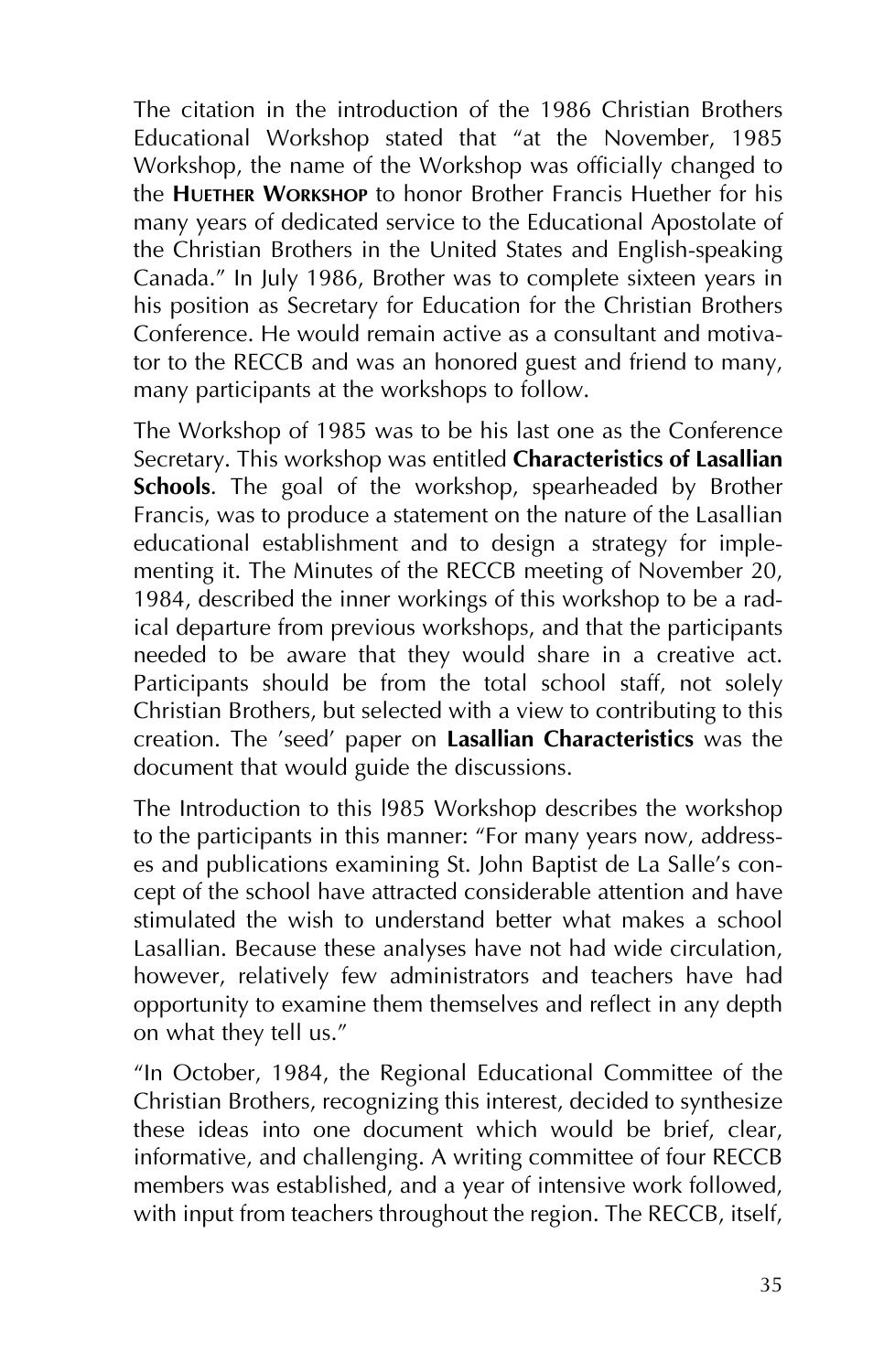The citation in the introduction of the 1986 Christian Brothers Educational Workshop stated that "at the November, 1985 Workshop, the name of the Workshop was officially changed to the **HUETHER WORKSHOP** to honor Brother Francis Huether for his many years of dedicated service to the Educational Apostolate of the Christian Brothers in the United States and English-speaking Canada." In July 1986, Brother was to complete sixteen years in his position as Secretary for Education for the Christian Brothers Conference. He would remain active as a consultant and motivator to the RECCB and was an honored guest and friend to many, many participants at the workshops to follow.

The Workshop of 1985 was to be his last one as the Conference Secretary. This workshop was entitled **Characteristics of Lasallian Schools**. The goal of the workshop, spearheaded by Brother Francis, was to produce a statement on the nature of the Lasallian educational establishment and to design a strategy for implementing it. The Minutes of the RECCB meeting of November 20, 1984, described the inner workings of this workshop to be a radical departure from previous workshops, and that the participants needed to be aware that they would share in a creative act. Participants should be from the total school staff, not solely Christian Brothers, but selected with a view to contributing to this creation. The 'seed' paper on **Lasallian Characteristics** was the document that would guide the discussions.

The Introduction to this l985 Workshop describes the workshop to the participants in this manner: "For many years now, addresses and publications examining St. John Baptist de La Salle's concept of the school have attracted considerable attention and have stimulated the wish to understand better what makes a school Lasallian. Because these analyses have not had wide circulation, however, relatively few administrators and teachers have had opportunity to examine them themselves and reflect in any depth on what they tell us."

"In October, 1984, the Regional Educational Committee of the Christian Brothers, recognizing this interest, decided to synthesize these ideas into one document which would be brief, clear, informative, and challenging. A writing committee of four RECCB members was established, and a year of intensive work followed, with input from teachers throughout the region. The RECCB, itself,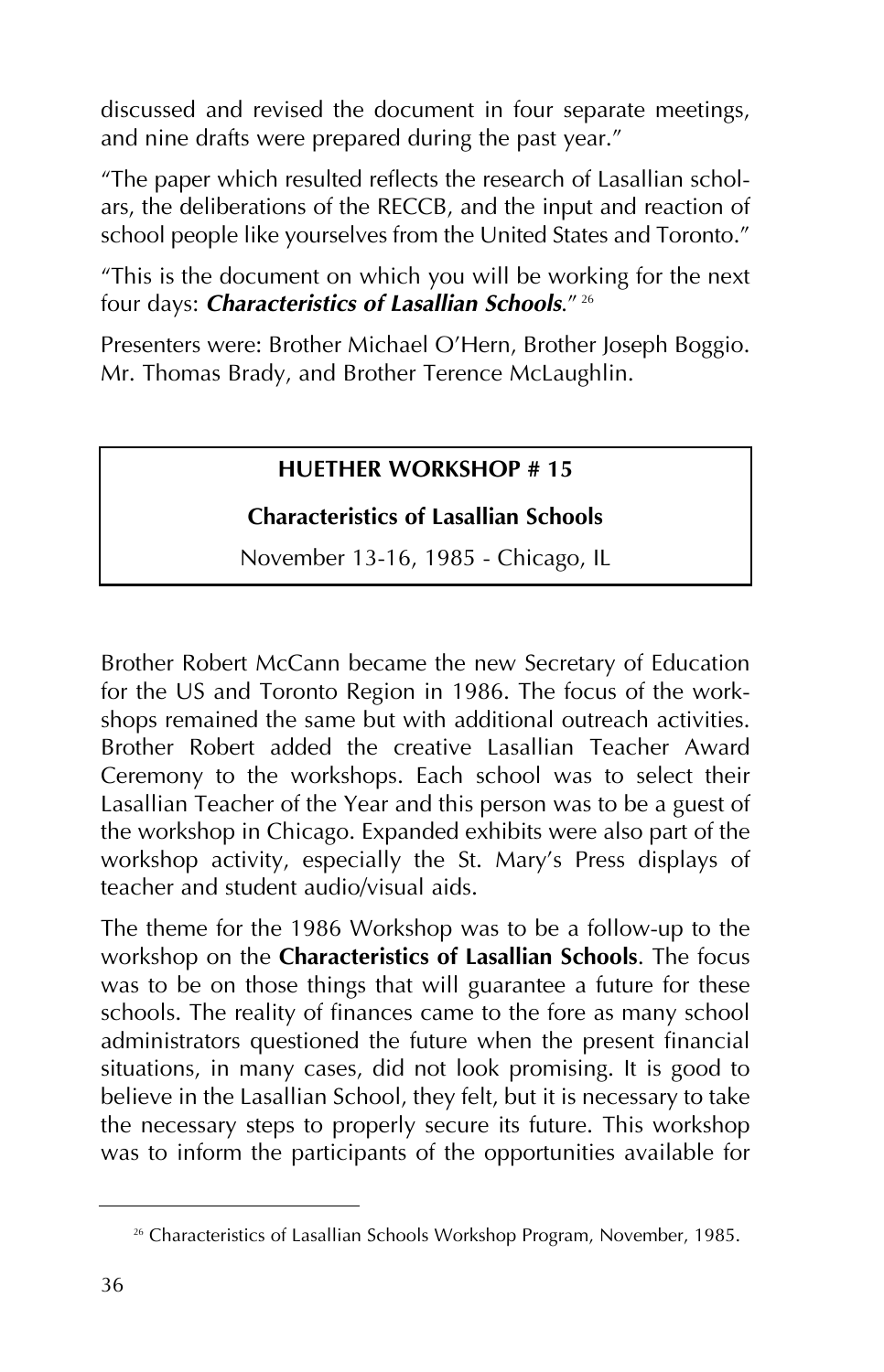discussed and revised the document in four separate meetings, and nine drafts were prepared during the past year."

"The paper which resulted reflects the research of Lasallian scholars, the deliberations of the RECCB, and the input and reaction of school people like yourselves from the United States and Toronto."

"This is the document on which you will be working for the next four days: *Characteristics of Lasallian Schools*." <sup>26</sup>

Presenters were: Brother Michael O'Hern, Brother Joseph Boggio. Mr. Thomas Brady, and Brother Terence McLaughlin.

#### **HUETHER WORKSHOP # 15**

#### **Characteristics of Lasallian Schools**

November 13-16, 1985 - Chicago, IL

Brother Robert McCann became the new Secretary of Education for the US and Toronto Region in 1986. The focus of the workshops remained the same but with additional outreach activities. Brother Robert added the creative Lasallian Teacher Award Ceremony to the workshops. Each school was to select their Lasallian Teacher of the Year and this person was to be a guest of the workshop in Chicago. Expanded exhibits were also part of the workshop activity, especially the St. Mary's Press displays of teacher and student audio/visual aids.

The theme for the 1986 Workshop was to be a follow-up to the workshop on the **Characteristics of Lasallian Schools**. The focus was to be on those things that will guarantee a future for these schools. The reality of finances came to the fore as many school administrators questioned the future when the present financial situations, in many cases, did not look promising. It is good to believe in the Lasallian School, they felt, but it is necessary to take the necessary steps to properly secure its future. This workshop was to inform the participants of the opportunities available for

<sup>&</sup>lt;sup>26</sup> Characteristics of Lasallian Schools Workshop Program, November, 1985.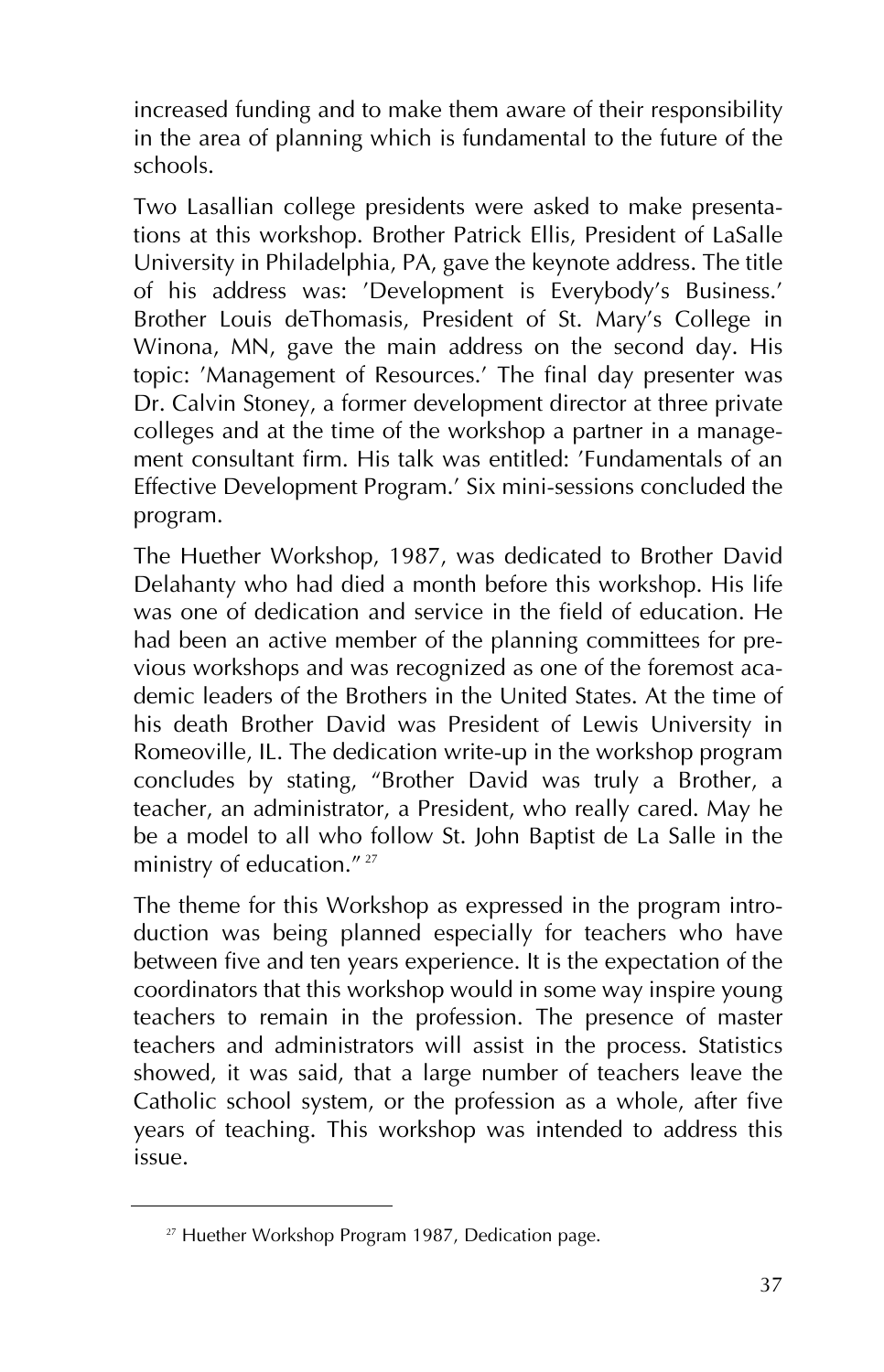increased funding and to make them aware of their responsibility in the area of planning which is fundamental to the future of the schools.

Two Lasallian college presidents were asked to make presentations at this workshop. Brother Patrick Ellis, President of LaSalle University in Philadelphia, PA, gave the keynote address. The title of his address was: 'Development is Everybody's Business.' Brother Louis deThomasis, President of St. Mary's College in Winona, MN, gave the main address on the second day. His topic: 'Management of Resources.' The final day presenter was Dr. Calvin Stoney, a former development director at three private colleges and at the time of the workshop a partner in a management consultant firm. His talk was entitled: 'Fundamentals of an Effective Development Program.' Six mini-sessions concluded the program.

The Huether Workshop, 1987, was dedicated to Brother David Delahanty who had died a month before this workshop. His life was one of dedication and service in the field of education. He had been an active member of the planning committees for previous workshops and was recognized as one of the foremost academic leaders of the Brothers in the United States. At the time of his death Brother David was President of Lewis University in Romeoville, IL. The dedication write-up in the workshop program concludes by stating, "Brother David was truly a Brother, a teacher, an administrator, a President, who really cared. May he be a model to all who follow St. John Baptist de La Salle in the ministry of education." <sup>27</sup>

The theme for this Workshop as expressed in the program introduction was being planned especially for teachers who have between five and ten years experience. It is the expectation of the coordinators that this workshop would in some way inspire young teachers to remain in the profession. The presence of master teachers and administrators will assist in the process. Statistics showed, it was said, that a large number of teachers leave the Catholic school system, or the profession as a whole, after five years of teaching. This workshop was intended to address this issue.

<sup>&</sup>lt;sup>27</sup> Huether Workshop Program 1987, Dedication page.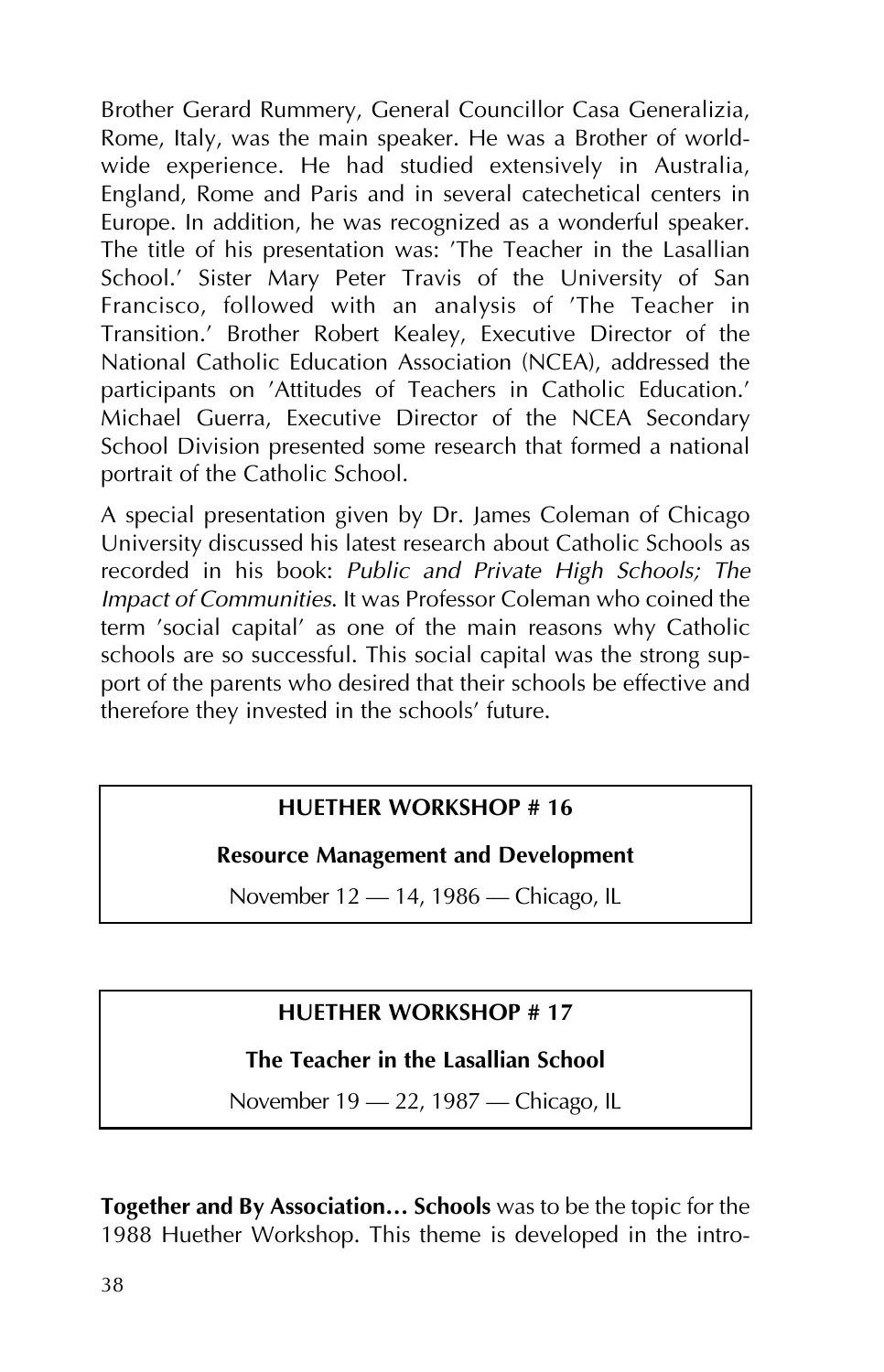Brother Gerard Rummery, General Councillor Casa Generalizia, Rome, Italy, was the main speaker. He was a Brother of worldwide experience. He had studied extensively in Australia, England, Rome and Paris and in several catechetical centers in Europe. In addition, he was recognized as a wonderful speaker. The title of his presentation was: 'The Teacher in the Lasallian School.' Sister Mary Peter Travis of the University of San Francisco, followed with an analysis of 'The Teacher in Transition.' Brother Robert Kealey, Executive Director of the National Catholic Education Association (NCEA), addressed the participants on 'Attitudes of Teachers in Catholic Education.' Michael Guerra, Executive Director of the NCEA Secondary School Division presented some research that formed a national portrait of the Catholic School.

A special presentation given by Dr. James Coleman of Chicago University discussed his latest research about Catholic Schools as recorded in his book: *Public and Private High Schools; The Impact of Communities*. It was Professor Coleman who coined the term 'social capital' as one of the main reasons why Catholic schools are so successful. This social capital was the strong support of the parents who desired that their schools be effective and therefore they invested in the schools' future.

#### **HUETHER WORKSHOP # 16**

#### **Resource Management and Development**

November 12 – 14, 1986 – Chicago, IL

#### **HUETHER WORKSHOP # 17**

#### **The Teacher in the Lasallian School**

November 19 - 22, 1987 - Chicago, IL

**Together and By Association… Schools** was to be the topic for the 1988 Huether Workshop. This theme is developed in the intro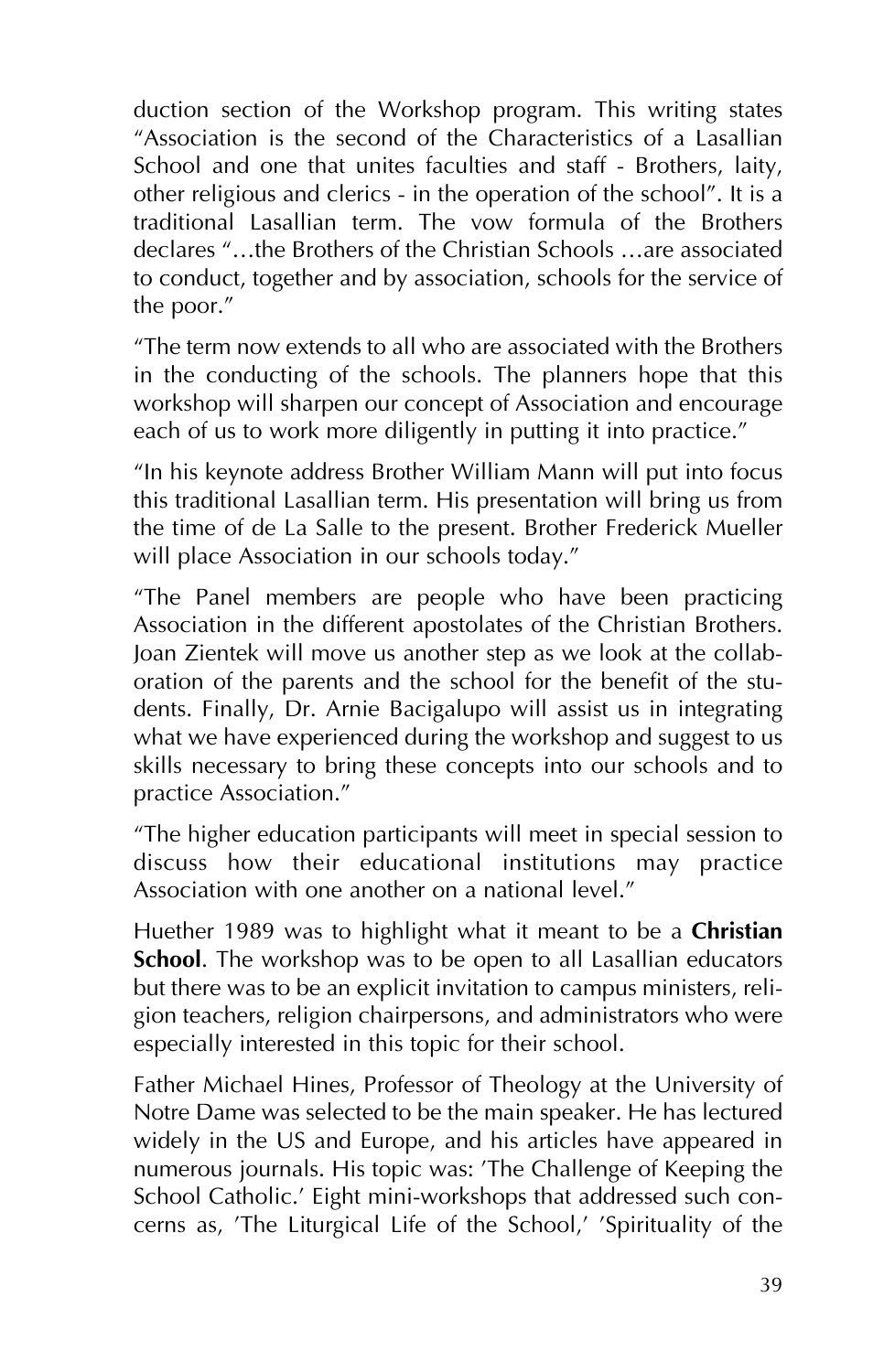duction section of the Workshop program. This writing states "Association is the second of the Characteristics of a Lasallian School and one that unites faculties and staff - Brothers, laity, other religious and clerics - in the operation of the school". It is a traditional Lasallian term. The vow formula of the Brothers declares "…the Brothers of the Christian Schools …are associated to conduct, together and by association, schools for the service of the poor."

"The term now extends to all who are associated with the Brothers in the conducting of the schools. The planners hope that this workshop will sharpen our concept of Association and encourage each of us to work more diligently in putting it into practice."

"In his keynote address Brother William Mann will put into focus this traditional Lasallian term. His presentation will bring us from the time of de La Salle to the present. Brother Frederick Mueller will place Association in our schools today."

"The Panel members are people who have been practicing Association in the different apostolates of the Christian Brothers. Joan Zientek will move us another step as we look at the collaboration of the parents and the school for the benefit of the students. Finally, Dr. Arnie Bacigalupo will assist us in integrating what we have experienced during the workshop and suggest to us skills necessary to bring these concepts into our schools and to practice Association."

"The higher education participants will meet in special session to discuss how their educational institutions may practice Association with one another on a national level."

Huether 1989 was to highlight what it meant to be a **Christian School**. The workshop was to be open to all Lasallian educators but there was to be an explicit invitation to campus ministers, religion teachers, religion chairpersons, and administrators who were especially interested in this topic for their school.

Father Michael Hines, Professor of Theology at the University of Notre Dame was selected to be the main speaker. He has lectured widely in the US and Europe, and his articles have appeared in numerous journals. His topic was: 'The Challenge of Keeping the School Catholic.' Eight mini-workshops that addressed such concerns as, 'The Liturgical Life of the School,' 'Spirituality of the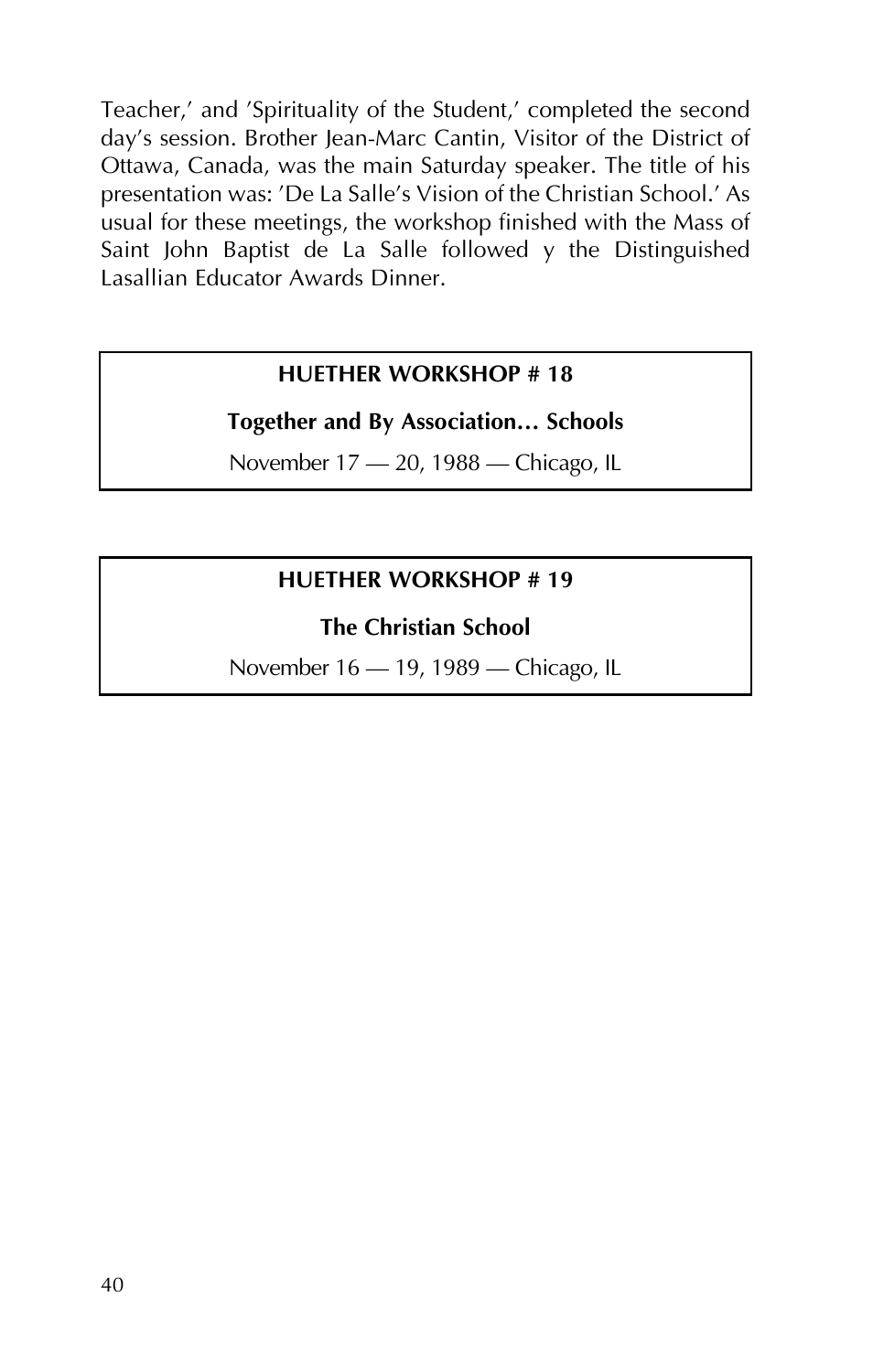Teacher,' and 'Spirituality of the Student,' completed the second day's session. Brother Jean-Marc Cantin, Visitor of the District of Ottawa, Canada, was the main Saturday speaker. The title of his presentation was: 'De La Salle's Vision of the Christian School.' As usual for these meetings, the workshop finished with the Mass of Saint John Baptist de La Salle followed y the Distinguished Lasallian Educator Awards Dinner.

#### **HUETHER WORKSHOP # 18**

#### **Together and By Association… Schools**

November 17 – 20, 1988 – Chicago, IL

#### **HUETHER WORKSHOP # 19**

#### **The Christian School**

November 16 - 19, 1989 - Chicago, IL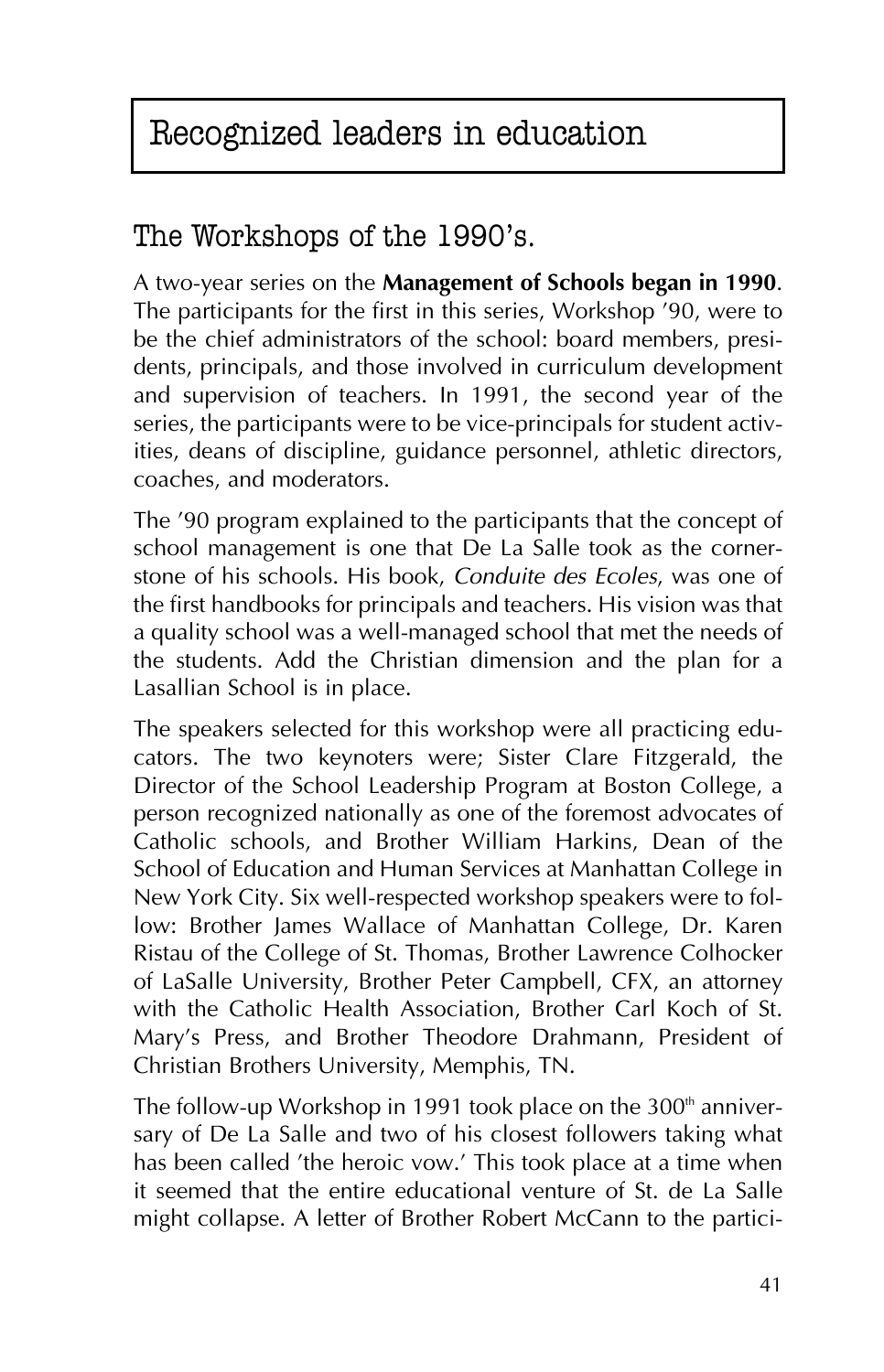# Recognized leaders in education

### The Workshops of the 1990's.

A two-year series on the **Management of Schools began in 1990**. The participants for the first in this series, Workshop '90, were to be the chief administrators of the school: board members, presidents, principals, and those involved in curriculum development and supervision of teachers. In 1991, the second year of the series, the participants were to be vice-principals for student activities, deans of discipline, guidance personnel, athletic directors, coaches, and moderators.

The '90 program explained to the participants that the concept of school management is one that De La Salle took as the cornerstone of his schools. His book, *Conduite des Ecoles*, was one of the first handbooks for principals and teachers. His vision was that a quality school was a well-managed school that met the needs of the students. Add the Christian dimension and the plan for a Lasallian School is in place.

The speakers selected for this workshop were all practicing educators. The two keynoters were; Sister Clare Fitzgerald, the Director of the School Leadership Program at Boston College, a person recognized nationally as one of the foremost advocates of Catholic schools, and Brother William Harkins, Dean of the School of Education and Human Services at Manhattan College in New York City. Six well-respected workshop speakers were to follow: Brother James Wallace of Manhattan College, Dr. Karen Ristau of the College of St. Thomas, Brother Lawrence Colhocker of LaSalle University, Brother Peter Campbell, CFX, an attorney with the Catholic Health Association, Brother Carl Koch of St. Mary's Press, and Brother Theodore Drahmann, President of Christian Brothers University, Memphis, TN.

The follow-up Workshop in 1991 took place on the  $300<sup>th</sup>$  anniversary of De La Salle and two of his closest followers taking what has been called 'the heroic vow.' This took place at a time when it seemed that the entire educational venture of St. de La Salle might collapse. A letter of Brother Robert McCann to the partici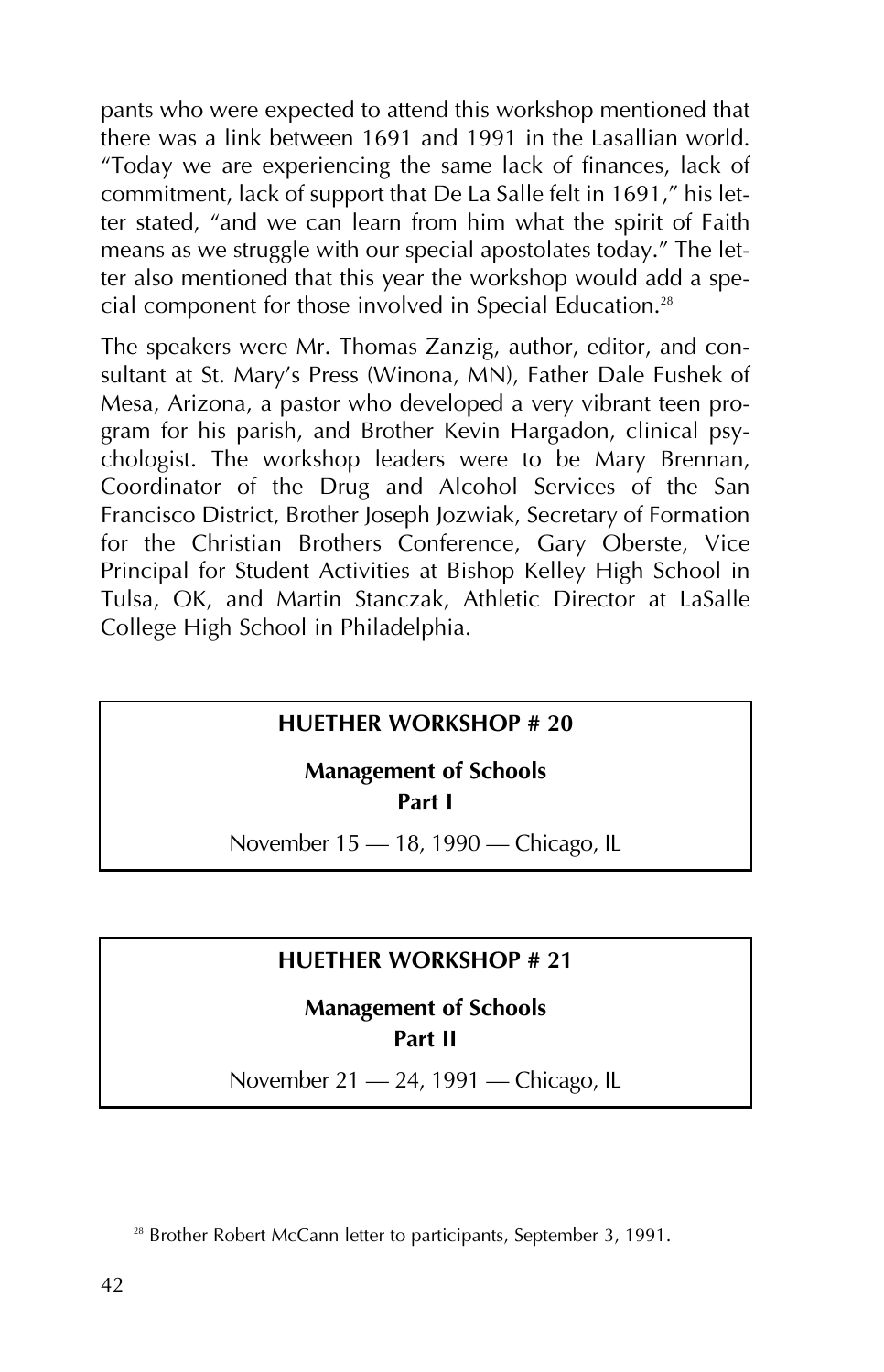pants who were expected to attend this workshop mentioned that there was a link between 1691 and 1991 in the Lasallian world. "Today we are experiencing the same lack of finances, lack of commitment, lack of support that De La Salle felt in 1691," his letter stated, "and we can learn from him what the spirit of Faith means as we struggle with our special apostolates today." The letter also mentioned that this year the workshop would add a special component for those involved in Special Education.<sup>28</sup>

The speakers were Mr. Thomas Zanzig, author, editor, and consultant at St. Mary's Press (Winona, MN), Father Dale Fushek of Mesa, Arizona, a pastor who developed a very vibrant teen program for his parish, and Brother Kevin Hargadon, clinical psychologist. The workshop leaders were to be Mary Brennan, Coordinator of the Drug and Alcohol Services of the San Francisco District, Brother Joseph Jozwiak, Secretary of Formation for the Christian Brothers Conference, Gary Oberste, Vice Principal for Student Activities at Bishop Kelley High School in Tulsa, OK, and Martin Stanczak, Athletic Director at LaSalle College High School in Philadelphia.

#### **HUETHER WORKSHOP # 20**

#### **Management of Schools Part I**

November 15 - 18, 1990 - Chicago, IL

#### **HUETHER WORKSHOP # 21**

#### **Management of Schools Part II**

November 21 – 24, 1991 – Chicago, IL

<sup>&</sup>lt;sup>28</sup> Brother Robert McCann letter to participants, September 3, 1991.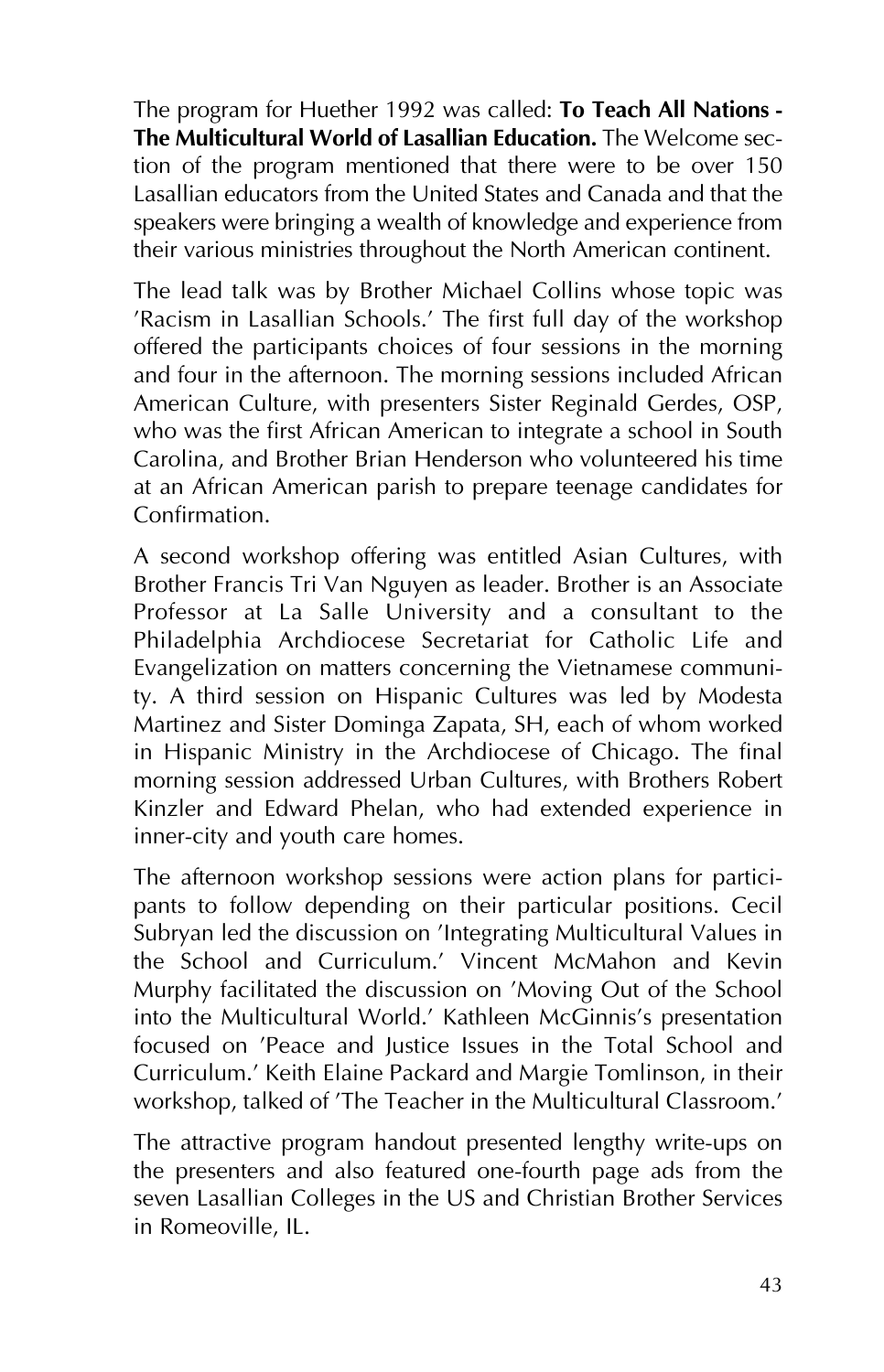The program for Huether 1992 was called: **To Teach All Nations - The Multicultural World of Lasallian Education.** The Welcome section of the program mentioned that there were to be over 150 Lasallian educators from the United States and Canada and that the speakers were bringing a wealth of knowledge and experience from their various ministries throughout the North American continent.

The lead talk was by Brother Michael Collins whose topic was 'Racism in Lasallian Schools.' The first full day of the workshop offered the participants choices of four sessions in the morning and four in the afternoon. The morning sessions included African American Culture, with presenters Sister Reginald Gerdes, OSP, who was the first African American to integrate a school in South Carolina, and Brother Brian Henderson who volunteered his time at an African American parish to prepare teenage candidates for Confirmation.

A second workshop offering was entitled Asian Cultures, with Brother Francis Tri Van Nguyen as leader. Brother is an Associate Professor at La Salle University and a consultant to the Philadelphia Archdiocese Secretariat for Catholic Life and Evangelization on matters concerning the Vietnamese community. A third session on Hispanic Cultures was led by Modesta Martinez and Sister Dominga Zapata, SH, each of whom worked in Hispanic Ministry in the Archdiocese of Chicago. The final morning session addressed Urban Cultures, with Brothers Robert Kinzler and Edward Phelan, who had extended experience in inner-city and youth care homes.

The afternoon workshop sessions were action plans for participants to follow depending on their particular positions. Cecil Subryan led the discussion on 'Integrating Multicultural Values in the School and Curriculum.' Vincent McMahon and Kevin Murphy facilitated the discussion on 'Moving Out of the School into the Multicultural World.' Kathleen McGinnis's presentation focused on 'Peace and Justice Issues in the Total School and Curriculum.' Keith Elaine Packard and Margie Tomlinson, in their workshop, talked of 'The Teacher in the Multicultural Classroom.'

The attractive program handout presented lengthy write-ups on the presenters and also featured one-fourth page ads from the seven Lasallian Colleges in the US and Christian Brother Services in Romeoville, IL.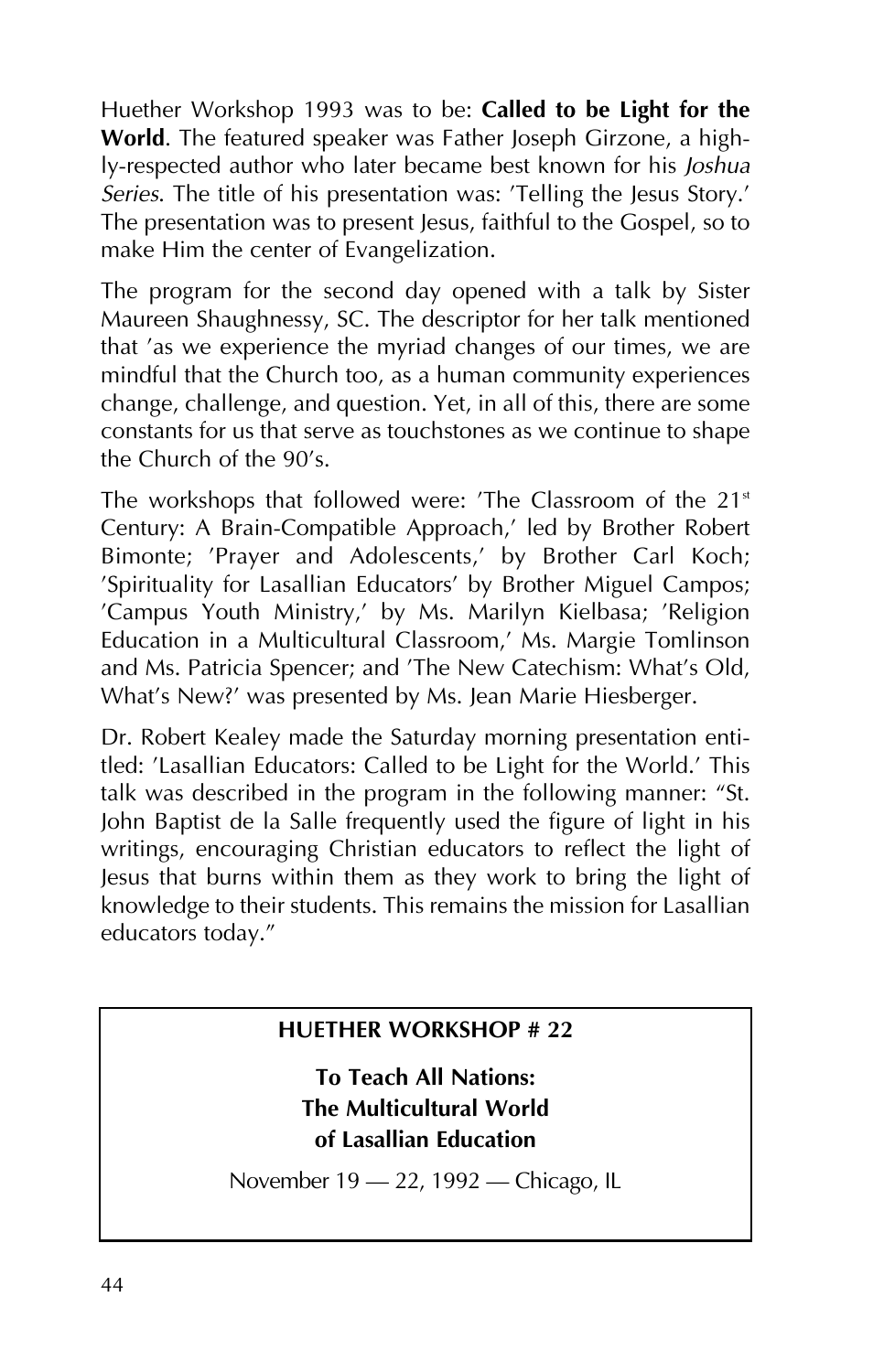Huether Workshop 1993 was to be: **Called to be Light for the World**. The featured speaker was Father Joseph Girzone, a highly-respected author who later became best known for his *Joshua Series*. The title of his presentation was: 'Telling the Jesus Story.' The presentation was to present Jesus, faithful to the Gospel, so to make Him the center of Evangelization.

The program for the second day opened with a talk by Sister Maureen Shaughnessy, SC. The descriptor for her talk mentioned that 'as we experience the myriad changes of our times, we are mindful that the Church too, as a human community experiences change, challenge, and question. Yet, in all of this, there are some constants for us that serve as touchstones as we continue to shape the Church of the 90's.

The workshops that followed were: 'The Classroom of the  $21<sup>st</sup>$ Century: A Brain-Compatible Approach,' led by Brother Robert Bimonte; 'Prayer and Adolescents,' by Brother Carl Koch; 'Spirituality for Lasallian Educators' by Brother Miguel Campos; 'Campus Youth Ministry,' by Ms. Marilyn Kielbasa; 'Religion Education in a Multicultural Classroom,' Ms. Margie Tomlinson and Ms. Patricia Spencer; and 'The New Catechism: What's Old, What's New?' was presented by Ms. Jean Marie Hiesberger.

Dr. Robert Kealey made the Saturday morning presentation entitled: 'Lasallian Educators: Called to be Light for the World.' This talk was described in the program in the following manner: "St. John Baptist de la Salle frequently used the figure of light in his writings, encouraging Christian educators to reflect the light of Jesus that burns within them as they work to bring the light of knowledge to their students. This remains the mission for Lasallian educators today."

#### **HUETHER WORKSHOP # 22**

**To Teach All Nations: The Multicultural World of Lasallian Education**

November 19 - 22, 1992 - Chicago, IL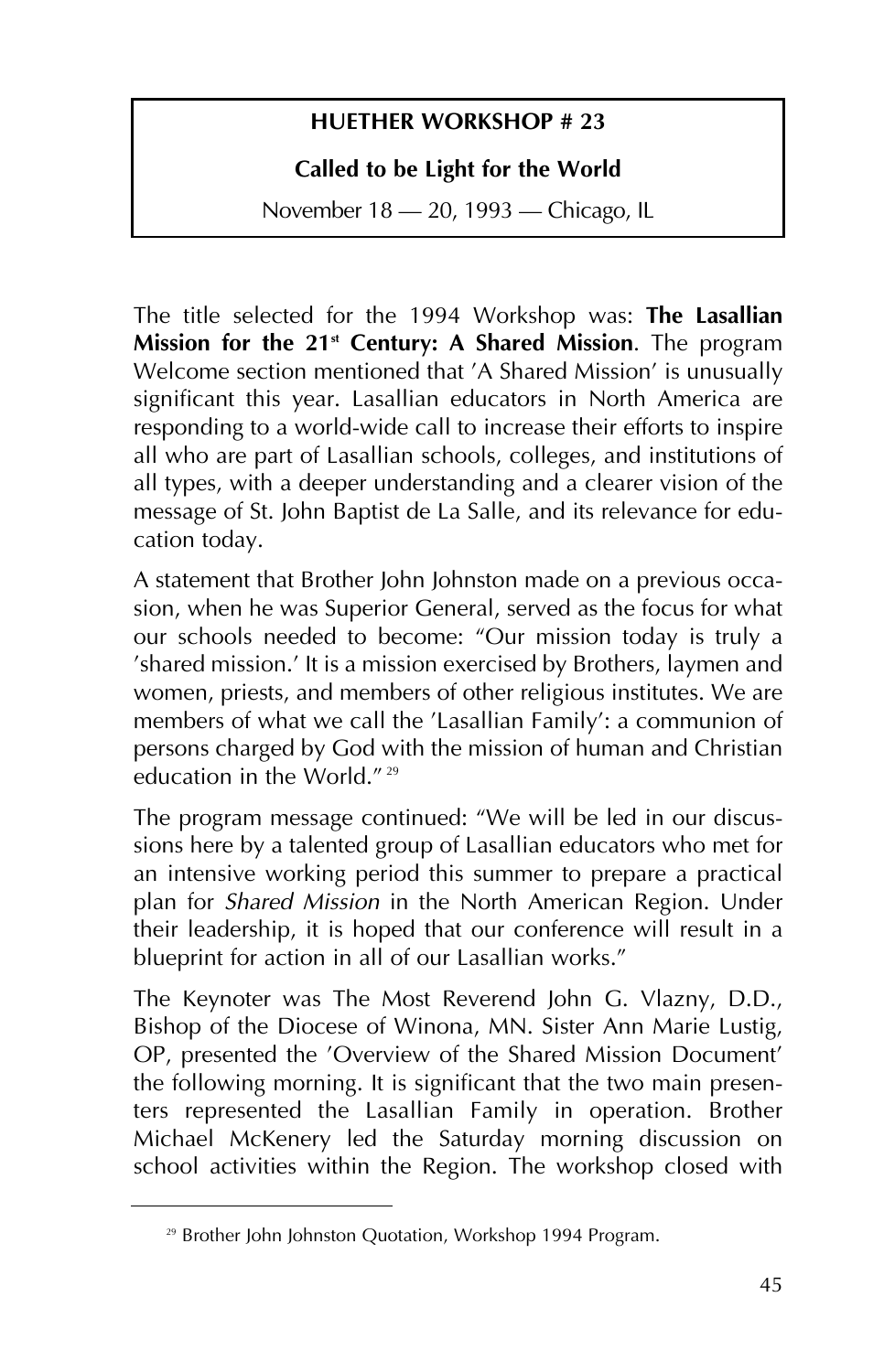#### **HUETHER WORKSHOP # 23**

#### **Called to be Light for the World**

November 18 – 20, 1993 – Chicago, IL

The title selected for the 1994 Workshop was: **The Lasallian Mission for the 21st Century: A Shared Mission**. The program Welcome section mentioned that 'A Shared Mission' is unusually significant this year. Lasallian educators in North America are responding to a world-wide call to increase their efforts to inspire all who are part of Lasallian schools, colleges, and institutions of all types, with a deeper understanding and a clearer vision of the message of St. John Baptist de La Salle, and its relevance for education today.

A statement that Brother John Johnston made on a previous occasion, when he was Superior General, served as the focus for what our schools needed to become: "Our mission today is truly a 'shared mission.' It is a mission exercised by Brothers, laymen and women, priests, and members of other religious institutes. We are members of what we call the 'Lasallian Family': a communion of persons charged by God with the mission of human and Christian education in the World."<sup>29</sup>

The program message continued: "We will be led in our discussions here by a talented group of Lasallian educators who met for an intensive working period this summer to prepare a practical plan for *Shared Mission* in the North American Region. Under their leadership, it is hoped that our conference will result in a blueprint for action in all of our Lasallian works."

The Keynoter was The Most Reverend John G. Vlazny, D.D., Bishop of the Diocese of Winona, MN. Sister Ann Marie Lustig, OP, presented the 'Overview of the Shared Mission Document' the following morning. It is significant that the two main presenters represented the Lasallian Family in operation. Brother Michael McKenery led the Saturday morning discussion on school activities within the Region. The workshop closed with

<sup>&</sup>lt;sup>29</sup> Brother John Johnston Quotation, Workshop 1994 Program.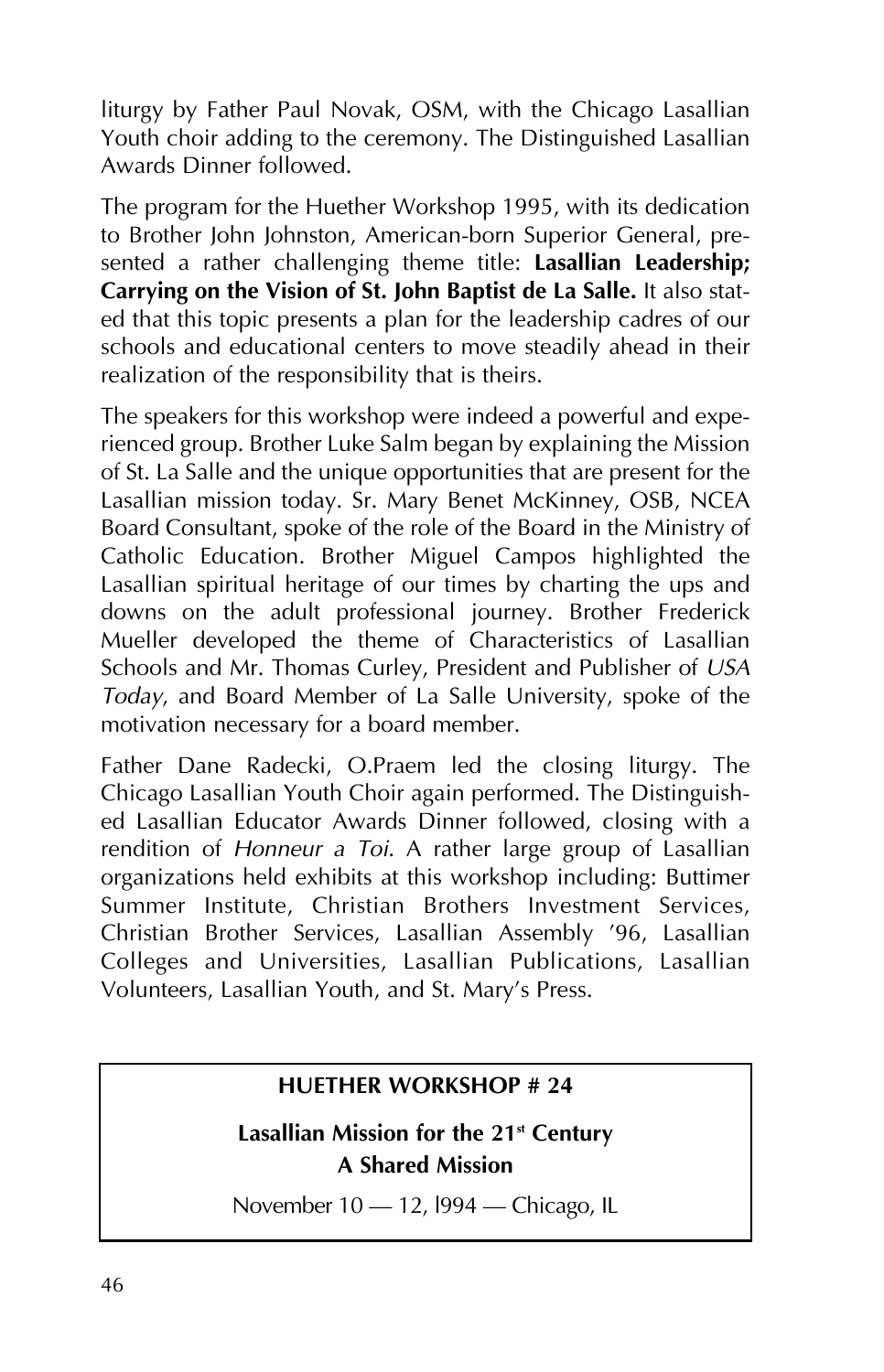liturgy by Father Paul Novak, OSM, with the Chicago Lasallian Youth choir adding to the ceremony. The Distinguished Lasallian Awards Dinner followed.

The program for the Huether Workshop 1995, with its dedication to Brother John Johnston, American-born Superior General, presented a rather challenging theme title: **Lasallian Leadership; Carrying on the Vision of St. John Baptist de La Salle.** It also stated that this topic presents a plan for the leadership cadres of our schools and educational centers to move steadily ahead in their realization of the responsibility that is theirs.

The speakers for this workshop were indeed a powerful and experienced group. Brother Luke Salm began by explaining the Mission of St. La Salle and the unique opportunities that are present for the Lasallian mission today. Sr. Mary Benet McKinney, OSB, NCEA Board Consultant, spoke of the role of the Board in the Ministry of Catholic Education. Brother Miguel Campos highlighted the Lasallian spiritual heritage of our times by charting the ups and downs on the adult professional journey. Brother Frederick Mueller developed the theme of Characteristics of Lasallian Schools and Mr. Thomas Curley, President and Publisher of *USA Today*, and Board Member of La Salle University, spoke of the motivation necessary for a board member.

Father Dane Radecki, O.Praem led the closing liturgy. The Chicago Lasallian Youth Choir again performed. The Distinguished Lasallian Educator Awards Dinner followed, closing with a rendition of *Honneur a Toi*. A rather large group of Lasallian organizations held exhibits at this workshop including: Buttimer Summer Institute, Christian Brothers Investment Services, Christian Brother Services, Lasallian Assembly '96, Lasallian Colleges and Universities, Lasallian Publications, Lasallian Volunteers, Lasallian Youth, and St. Mary's Press.

#### **HUETHER WORKSHOP # 24**

Lasallian Mission for the 21<sup>st</sup> Century **A Shared Mission**

November 10 - 12, 1994 - Chicago, IL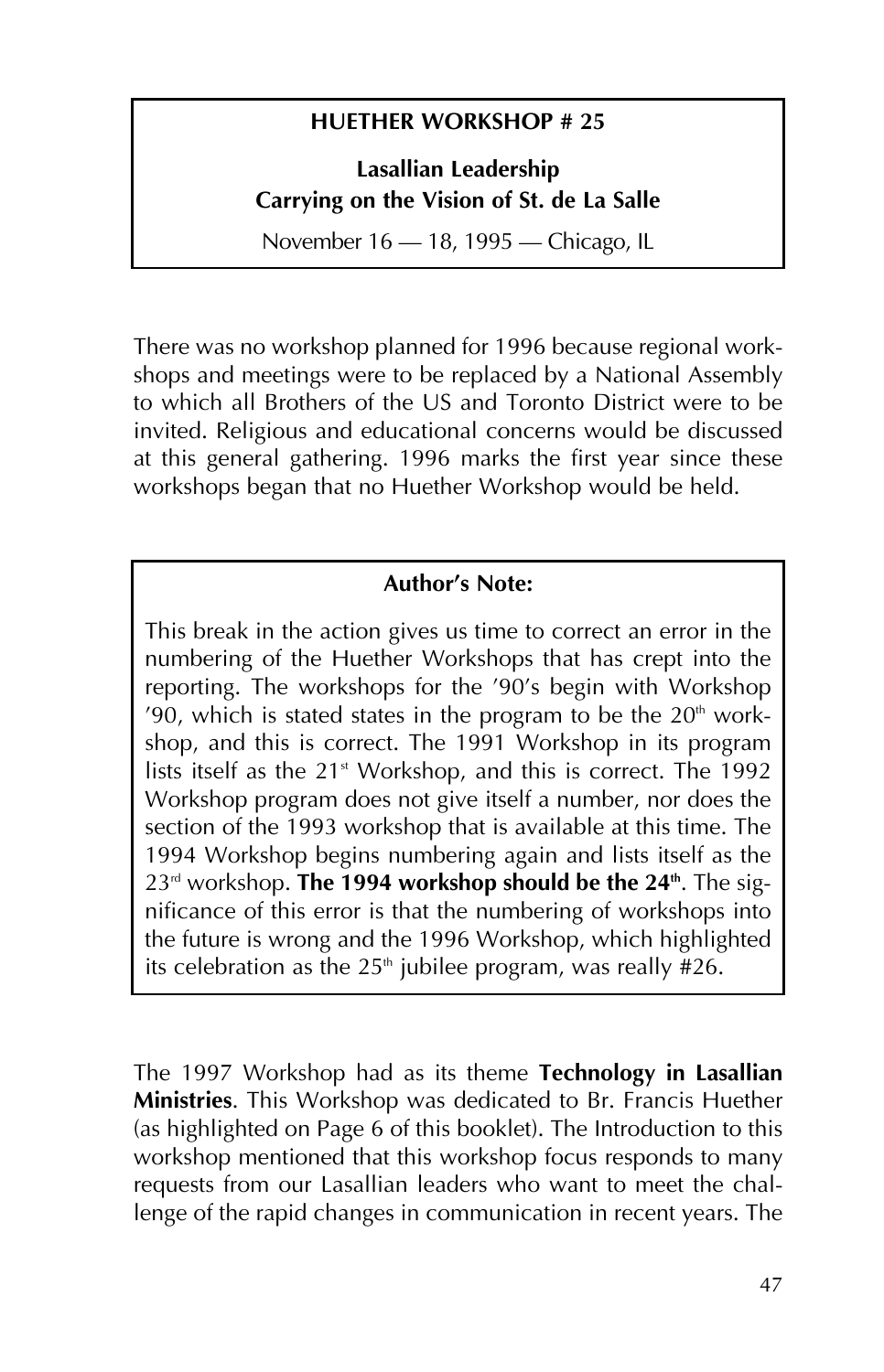#### **HUETHER WORKSHOP # 25**

**Lasallian Leadership Carrying on the Vision of St. de La Salle**

November 16 - 18, 1995 - Chicago, IL

There was no workshop planned for 1996 because regional workshops and meetings were to be replaced by a National Assembly to which all Brothers of the US and Toronto District were to be invited. Religious and educational concerns would be discussed at this general gathering. 1996 marks the first year since these workshops began that no Huether Workshop would be held.

#### **Author's Note:**

This break in the action gives us time to correct an error in the numbering of the Huether Workshops that has crept into the reporting. The workshops for the '90's begin with Workshop '90, which is stated states in the program to be the  $20<sup>th</sup>$  workshop, and this is correct. The 1991 Workshop in its program lists itself as the  $21<sup>st</sup>$  Workshop, and this is correct. The 1992 Workshop program does not give itself a number, nor does the section of the 1993 workshop that is available at this time. The 1994 Workshop begins numbering again and lists itself as the 23<sup>rd</sup> workshop. **The 1994 workshop should be the 24<sup>th</sup>**. The significance of this error is that the numbering of workshops into the future is wrong and the 1996 Workshop, which highlighted its celebration as the 25<sup>th</sup> jubilee program, was really #26.

The 1997 Workshop had as its theme **Technology in Lasallian Ministries**. This Workshop was dedicated to Br. Francis Huether (as highlighted on Page 6 of this booklet). The Introduction to this workshop mentioned that this workshop focus responds to many requests from our Lasallian leaders who want to meet the challenge of the rapid changes in communication in recent years. The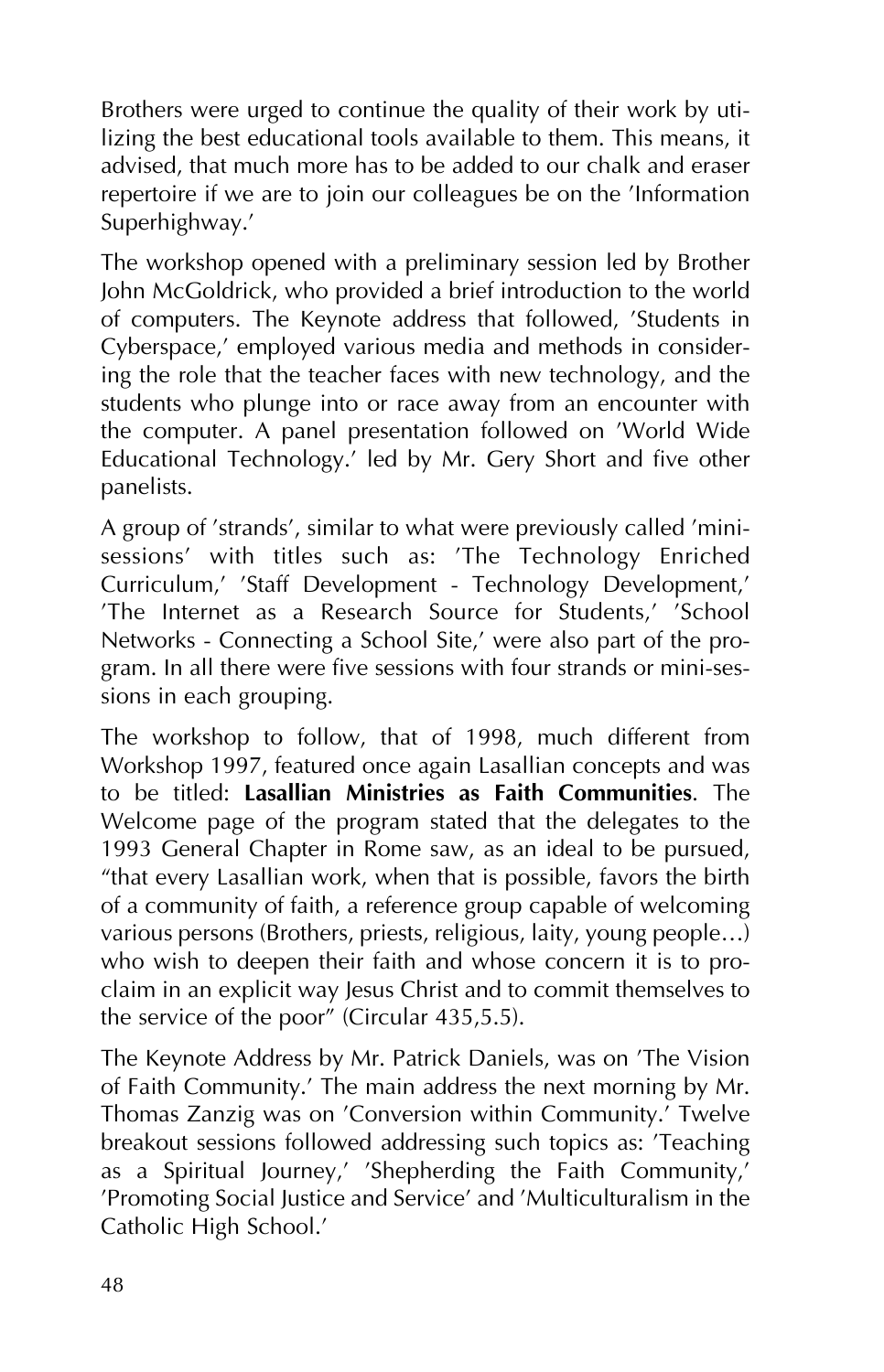Brothers were urged to continue the quality of their work by utilizing the best educational tools available to them. This means, it advised, that much more has to be added to our chalk and eraser repertoire if we are to join our colleagues be on the 'Information Superhighway.'

The workshop opened with a preliminary session led by Brother John McGoldrick, who provided a brief introduction to the world of computers. The Keynote address that followed, 'Students in Cyberspace,' employed various media and methods in considering the role that the teacher faces with new technology, and the students who plunge into or race away from an encounter with the computer. A panel presentation followed on 'World Wide Educational Technology.' led by Mr. Gery Short and five other panelists.

A group of 'strands', similar to what were previously called 'minisessions' with titles such as: 'The Technology Enriched Curriculum,' 'Staff Development - Technology Development,' 'The Internet as a Research Source for Students,' 'School Networks - Connecting a School Site,' were also part of the program. In all there were five sessions with four strands or mini-sessions in each grouping.

The workshop to follow, that of 1998, much different from Workshop 1997, featured once again Lasallian concepts and was to be titled: **Lasallian Ministries as Faith Communities**. The Welcome page of the program stated that the delegates to the 1993 General Chapter in Rome saw, as an ideal to be pursued, "that every Lasallian work, when that is possible, favors the birth of a community of faith, a reference group capable of welcoming various persons (Brothers, priests, religious, laity, young people…) who wish to deepen their faith and whose concern it is to proclaim in an explicit way Jesus Christ and to commit themselves to the service of the poor" (Circular 435,5.5).

The Keynote Address by Mr. Patrick Daniels, was on 'The Vision of Faith Community.' The main address the next morning by Mr. Thomas Zanzig was on 'Conversion within Community.' Twelve breakout sessions followed addressing such topics as: 'Teaching as a Spiritual Journey,' 'Shepherding the Faith Community,' 'Promoting Social Justice and Service' and 'Multiculturalism in the Catholic High School.'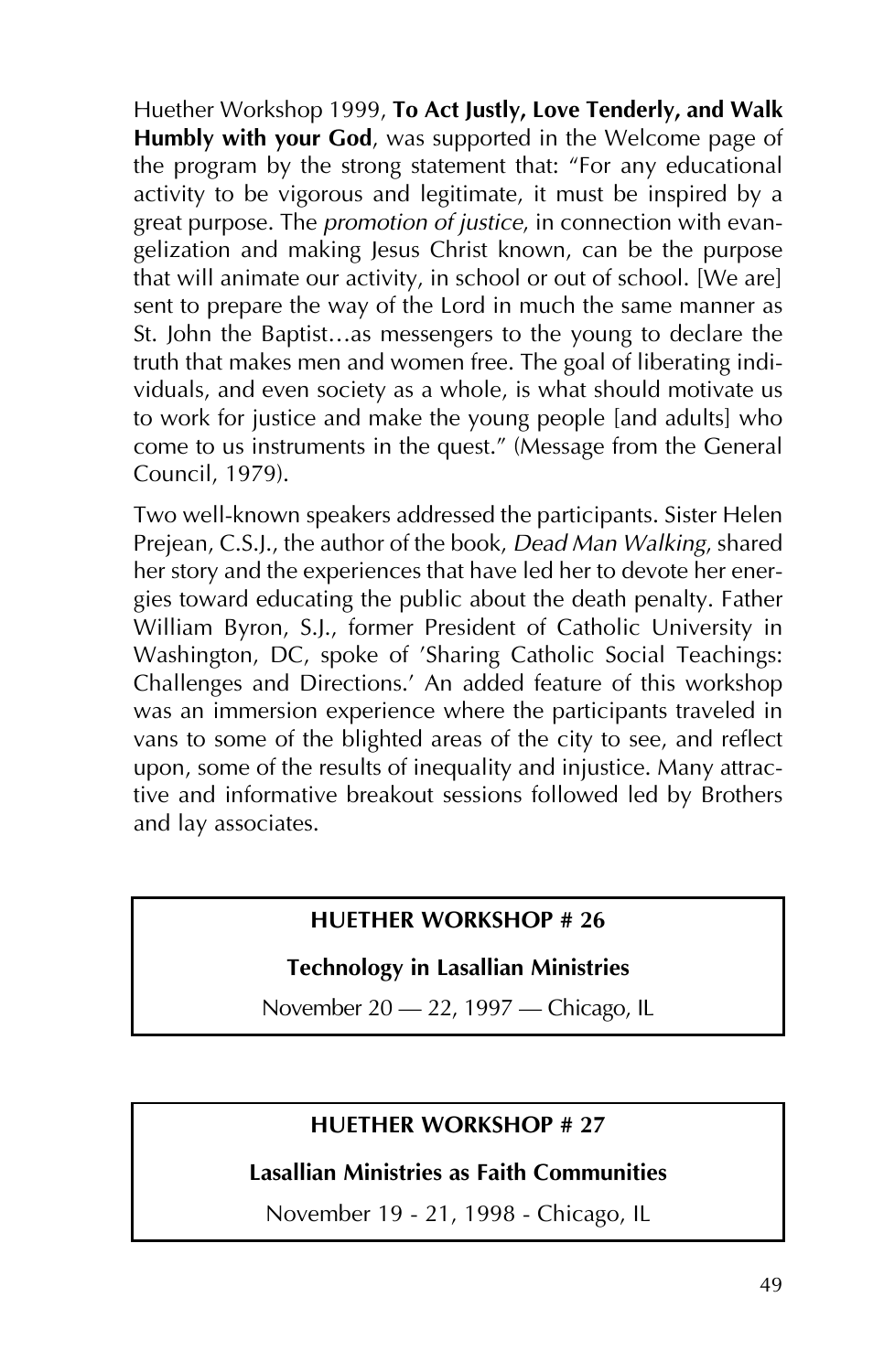Huether Workshop 1999, **To Act Justly, Love Tenderly, and Walk Humbly with your God**, was supported in the Welcome page of the program by the strong statement that: "For any educational activity to be vigorous and legitimate, it must be inspired by a great purpose. The *promotion of justice*, in connection with evangelization and making Jesus Christ known, can be the purpose that will animate our activity, in school or out of school. [We are] sent to prepare the way of the Lord in much the same manner as St. John the Baptist…as messengers to the young to declare the truth that makes men and women free. The goal of liberating individuals, and even society as a whole, is what should motivate us to work for justice and make the young people [and adults] who come to us instruments in the quest." (Message from the General Council, 1979).

Two well-known speakers addressed the participants. Sister Helen Prejean, C.S.J., the author of the book, *Dead Man Walking*, shared her story and the experiences that have led her to devote her energies toward educating the public about the death penalty. Father William Byron, S.J., former President of Catholic University in Washington, DC, spoke of 'Sharing Catholic Social Teachings: Challenges and Directions.' An added feature of this workshop was an immersion experience where the participants traveled in vans to some of the blighted areas of the city to see, and reflect upon, some of the results of inequality and injustice. Many attractive and informative breakout sessions followed led by Brothers and lay associates.

#### **HUETHER WORKSHOP # 26**

#### **Technology in Lasallian Ministries**

November 20 – 22, 1997 – Chicago, IL

#### **HUETHER WORKSHOP # 27**

**Lasallian Ministries as Faith Communities**

November 19 - 21, 1998 - Chicago, IL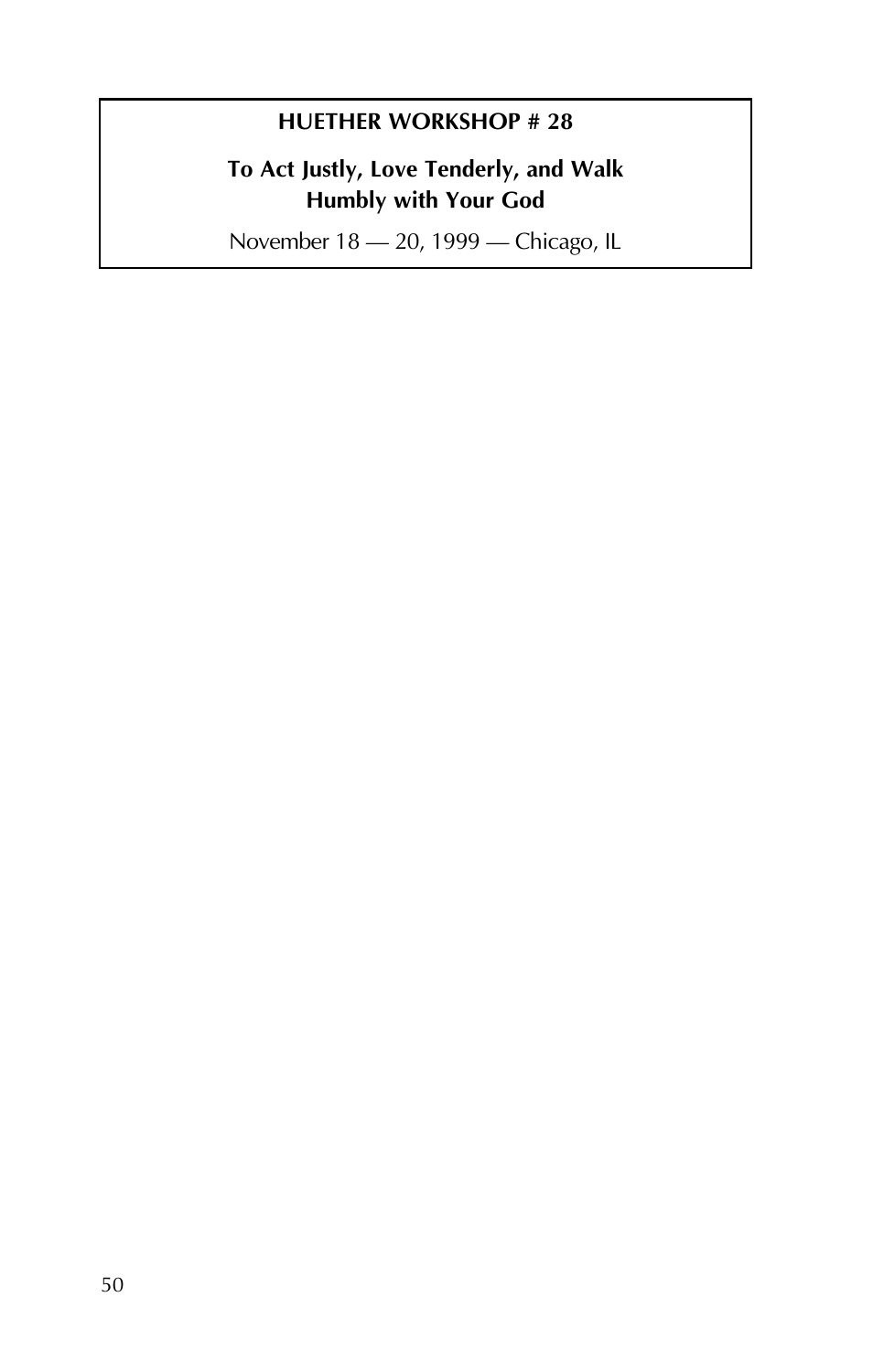#### **HUETHER WORKSHOP # 28**

#### **To Act Justly, Love Tenderly, and Walk Humbly with Your God**

November 18 - 20, 1999 - Chicago, IL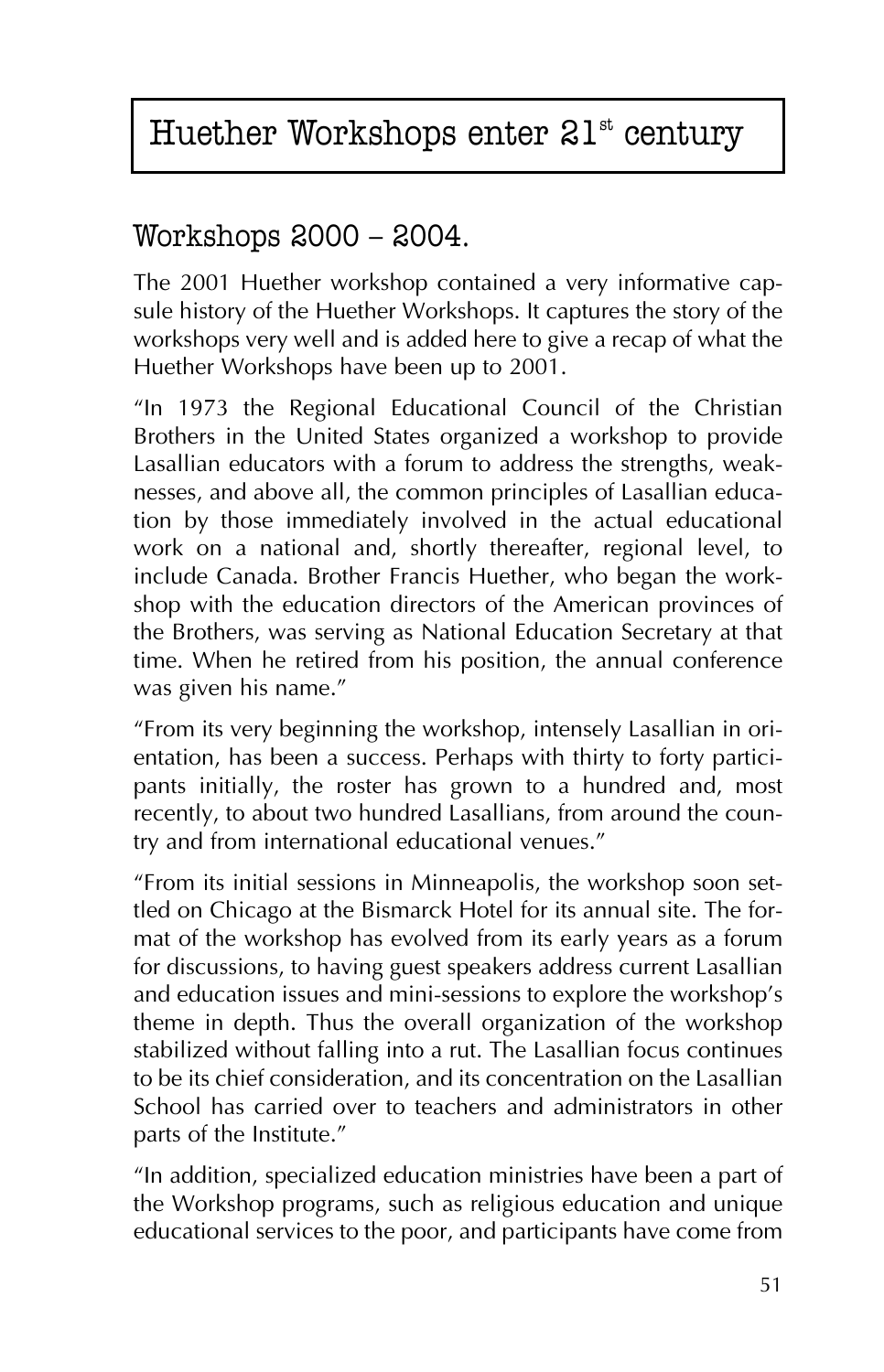# Huether Workshops enter  $21<sup>st</sup>$  century

### Workshops 2000 – 2004.

The 2001 Huether workshop contained a very informative capsule history of the Huether Workshops. It captures the story of the workshops very well and is added here to give a recap of what the Huether Workshops have been up to 2001.

"In 1973 the Regional Educational Council of the Christian Brothers in the United States organized a workshop to provide Lasallian educators with a forum to address the strengths, weaknesses, and above all, the common principles of Lasallian education by those immediately involved in the actual educational work on a national and, shortly thereafter, regional level, to include Canada. Brother Francis Huether, who began the workshop with the education directors of the American provinces of the Brothers, was serving as National Education Secretary at that time. When he retired from his position, the annual conference was given his name."

"From its very beginning the workshop, intensely Lasallian in orientation, has been a success. Perhaps with thirty to forty participants initially, the roster has grown to a hundred and, most recently, to about two hundred Lasallians, from around the country and from international educational venues."

"From its initial sessions in Minneapolis, the workshop soon settled on Chicago at the Bismarck Hotel for its annual site. The format of the workshop has evolved from its early years as a forum for discussions, to having guest speakers address current Lasallian and education issues and mini-sessions to explore the workshop's theme in depth. Thus the overall organization of the workshop stabilized without falling into a rut. The Lasallian focus continues to be its chief consideration, and its concentration on the Lasallian School has carried over to teachers and administrators in other parts of the Institute."

"In addition, specialized education ministries have been a part of the Workshop programs, such as religious education and unique educational services to the poor, and participants have come from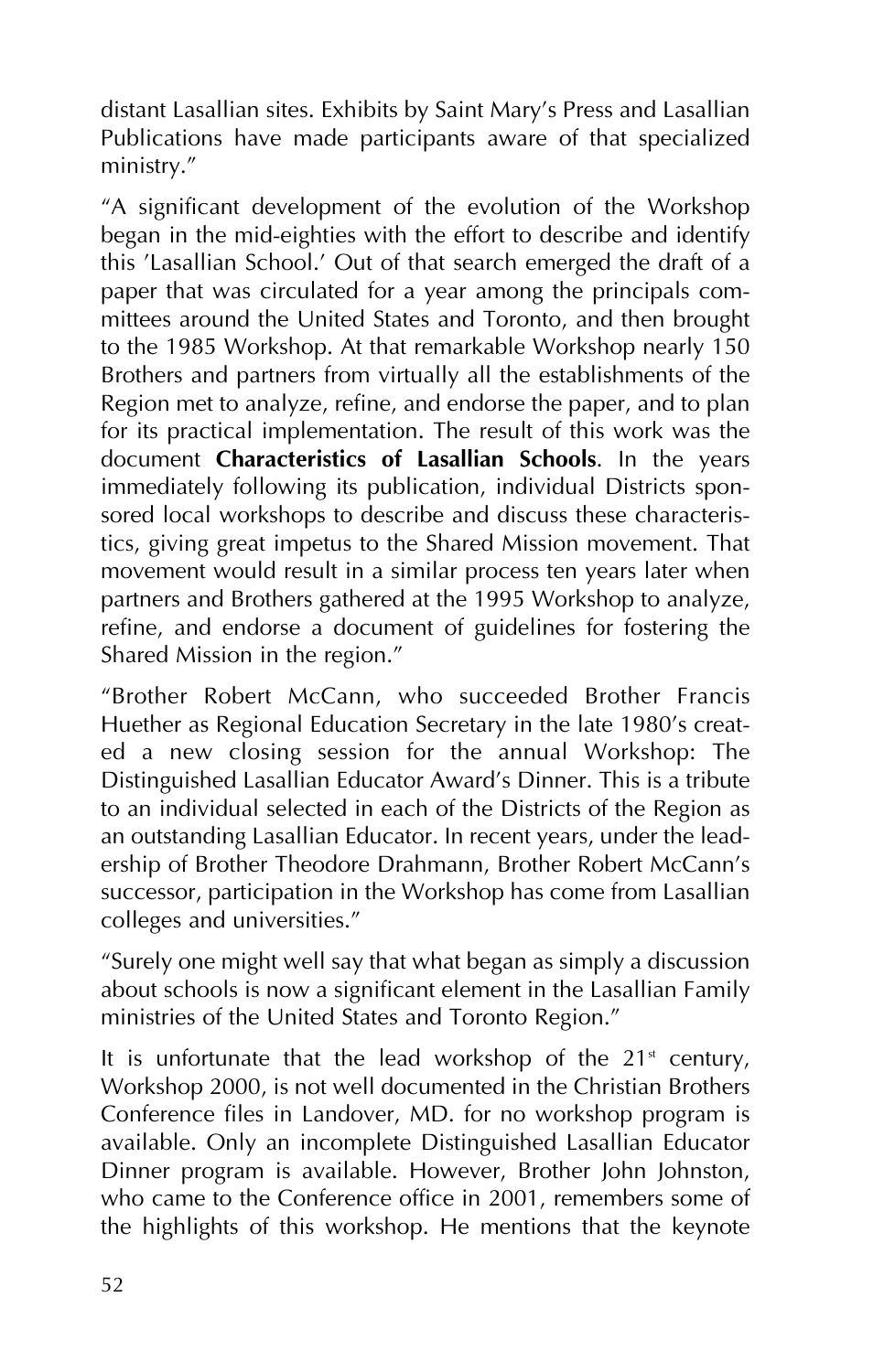distant Lasallian sites. Exhibits by Saint Mary's Press and Lasallian Publications have made participants aware of that specialized ministry."

"A significant development of the evolution of the Workshop began in the mid-eighties with the effort to describe and identify this 'Lasallian School.' Out of that search emerged the draft of a paper that was circulated for a year among the principals committees around the United States and Toronto, and then brought to the 1985 Workshop. At that remarkable Workshop nearly 150 Brothers and partners from virtually all the establishments of the Region met to analyze, refine, and endorse the paper, and to plan for its practical implementation. The result of this work was the document **Characteristics of Lasallian Schools**. In the years immediately following its publication, individual Districts sponsored local workshops to describe and discuss these characteristics, giving great impetus to the Shared Mission movement. That movement would result in a similar process ten years later when partners and Brothers gathered at the 1995 Workshop to analyze, refine, and endorse a document of guidelines for fostering the Shared Mission in the region."

"Brother Robert McCann, who succeeded Brother Francis Huether as Regional Education Secretary in the late 1980's created a new closing session for the annual Workshop: The Distinguished Lasallian Educator Award's Dinner. This is a tribute to an individual selected in each of the Districts of the Region as an outstanding Lasallian Educator. In recent years, under the leadership of Brother Theodore Drahmann, Brother Robert McCann's successor, participation in the Workshop has come from Lasallian colleges and universities."

"Surely one might well say that what began as simply a discussion about schools is now a significant element in the Lasallian Family ministries of the United States and Toronto Region."

It is unfortunate that the lead workshop of the  $21<sup>{st}</sup>$  century, Workshop 2000, is not well documented in the Christian Brothers Conference files in Landover, MD. for no workshop program is available. Only an incomplete Distinguished Lasallian Educator Dinner program is available. However, Brother John Johnston, who came to the Conference office in 2001, remembers some of the highlights of this workshop. He mentions that the keynote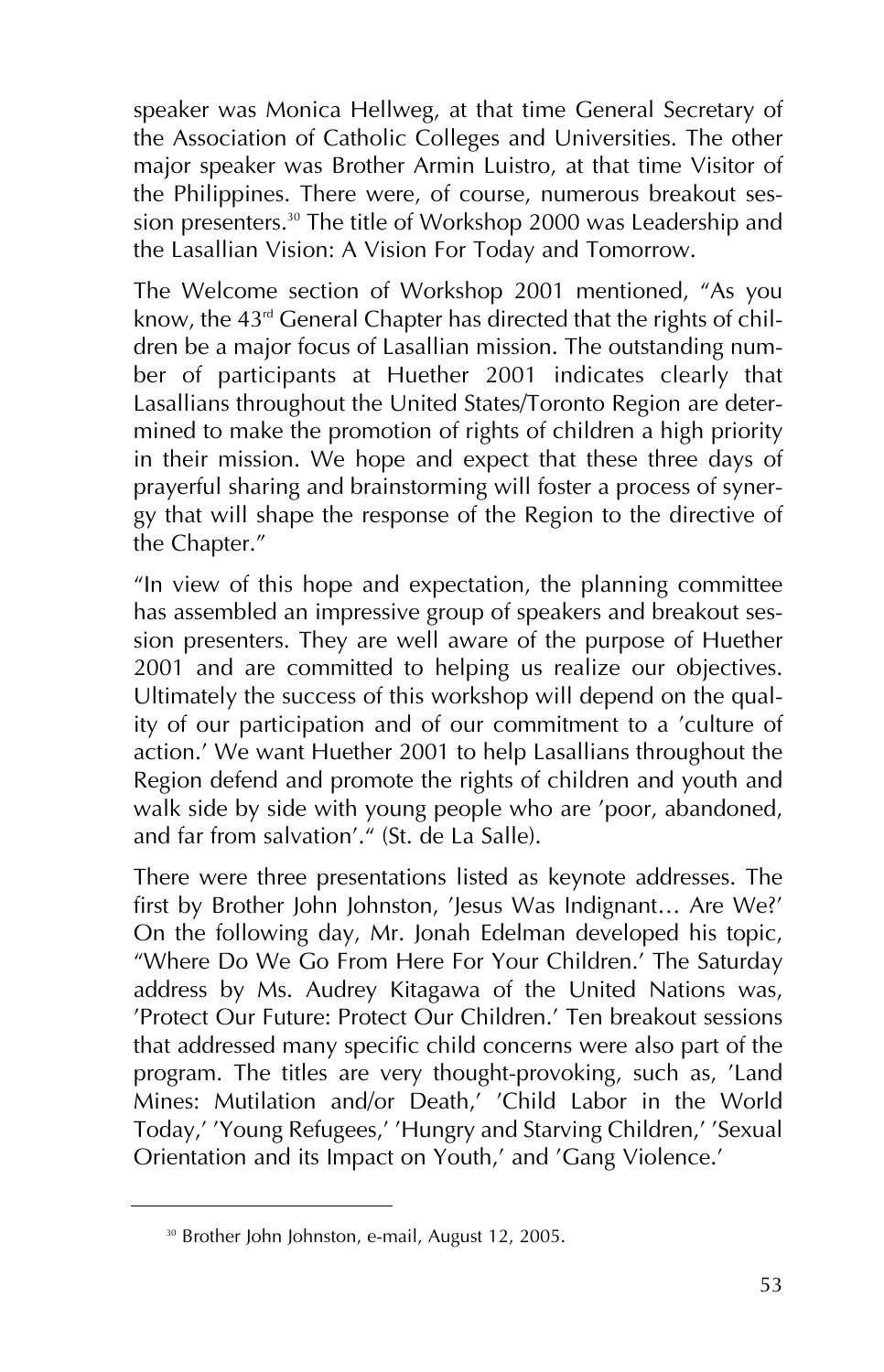speaker was Monica Hellweg, at that time General Secretary of the Association of Catholic Colleges and Universities. The other major speaker was Brother Armin Luistro, at that time Visitor of the Philippines. There were, of course, numerous breakout session presenters.<sup>30</sup> The title of Workshop 2000 was Leadership and the Lasallian Vision: A Vision For Today and Tomorrow.

The Welcome section of Workshop 2001 mentioned, "As you know, the 43<sup>rd</sup> General Chapter has directed that the rights of children be a major focus of Lasallian mission. The outstanding number of participants at Huether 2001 indicates clearly that Lasallians throughout the United States/Toronto Region are determined to make the promotion of rights of children a high priority in their mission. We hope and expect that these three days of prayerful sharing and brainstorming will foster a process of synergy that will shape the response of the Region to the directive of the Chapter."

"In view of this hope and expectation, the planning committee has assembled an impressive group of speakers and breakout session presenters. They are well aware of the purpose of Huether 2001 and are committed to helping us realize our objectives. Ultimately the success of this workshop will depend on the quality of our participation and of our commitment to a 'culture of action.' We want Huether 2001 to help Lasallians throughout the Region defend and promote the rights of children and youth and walk side by side with young people who are 'poor, abandoned, and far from salvation'." (St. de La Salle).

There were three presentations listed as keynote addresses. The first by Brother John Johnston, 'Jesus Was Indignant… Are We?' On the following day, Mr. Jonah Edelman developed his topic, "Where Do We Go From Here For Your Children.' The Saturday address by Ms. Audrey Kitagawa of the United Nations was, 'Protect Our Future: Protect Our Children.' Ten breakout sessions that addressed many specific child concerns were also part of the program. The titles are very thought-provoking, such as, 'Land Mines: Mutilation and/or Death,' 'Child Labor in the World Today,' 'Young Refugees,' 'Hungry and Starving Children,' 'Sexual Orientation and its Impact on Youth,' and 'Gang Violence.'

<sup>&</sup>lt;sup>30</sup> Brother John Johnston, e-mail, August 12, 2005.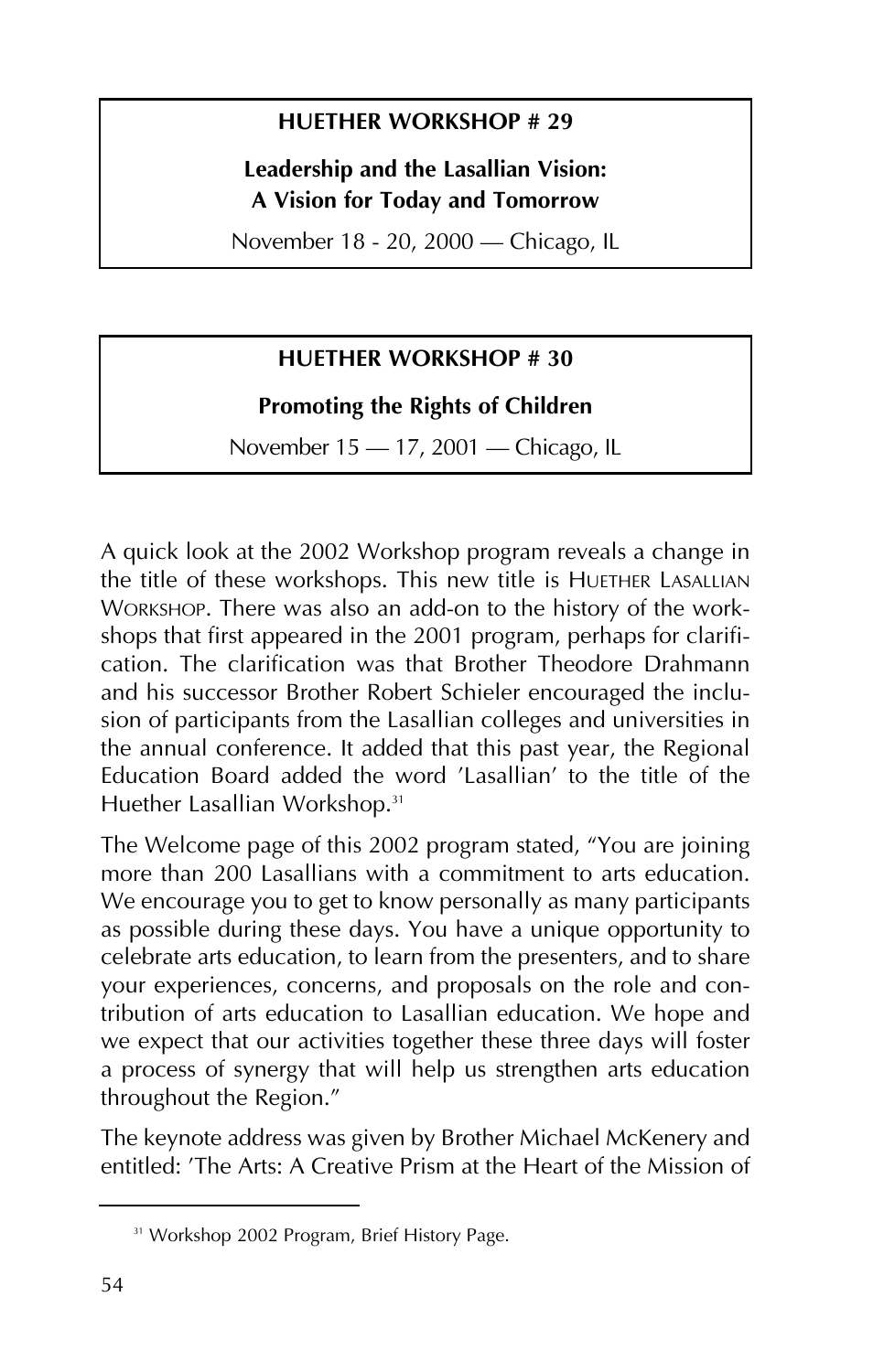#### **HUETHER WORKSHOP # 29**

#### **Leadership and the Lasallian Vision: A Vision for Today and Tomorrow**

November 18 - 20, 2000 – Chicago, IL

#### **HUETHER WORKSHOP # 30**

#### **Promoting the Rights of Children**

November 15 - 17, 2001 - Chicago, IL

A quick look at the 2002 Workshop program reveals a change in the title of these workshops. This new title is HUETHER LASALLIAN WORKSHOP. There was also an add-on to the history of the workshops that first appeared in the 2001 program, perhaps for clarification. The clarification was that Brother Theodore Drahmann and his successor Brother Robert Schieler encouraged the inclusion of participants from the Lasallian colleges and universities in the annual conference. It added that this past year, the Regional Education Board added the word 'Lasallian' to the title of the Huether Lasallian Workshop.<sup>31</sup>

The Welcome page of this 2002 program stated, "You are joining more than 200 Lasallians with a commitment to arts education. We encourage you to get to know personally as many participants as possible during these days. You have a unique opportunity to celebrate arts education, to learn from the presenters, and to share your experiences, concerns, and proposals on the role and contribution of arts education to Lasallian education. We hope and we expect that our activities together these three days will foster a process of synergy that will help us strengthen arts education throughout the Region."

The keynote address was given by Brother Michael McKenery and entitled: 'The Arts: A Creative Prism at the Heart of the Mission of

<sup>&</sup>lt;sup>31</sup> Workshop 2002 Program, Brief History Page.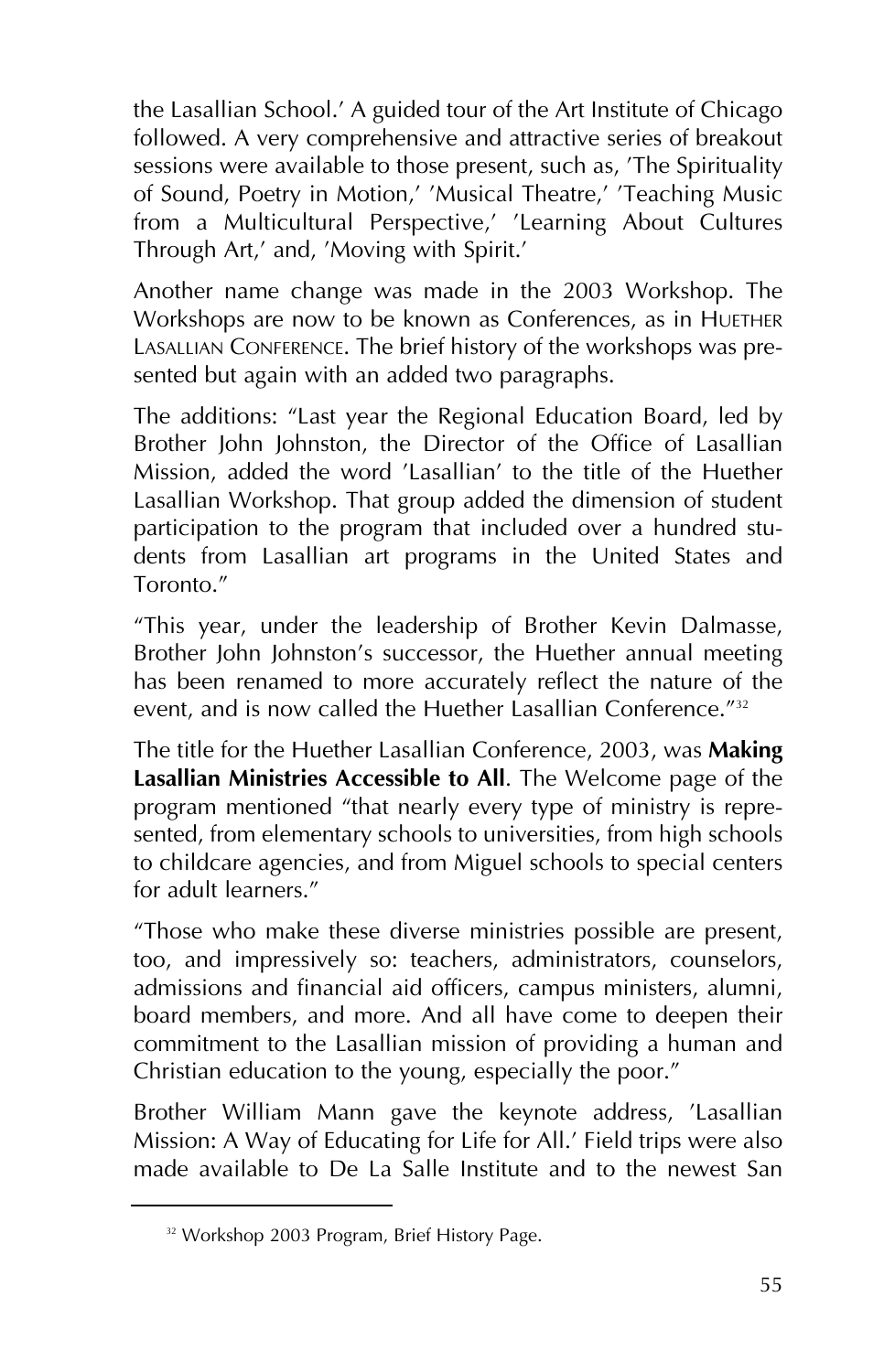the Lasallian School.' A guided tour of the Art Institute of Chicago followed. A very comprehensive and attractive series of breakout sessions were available to those present, such as, 'The Spirituality' of Sound, Poetry in Motion,' 'Musical Theatre,' 'Teaching Music from a Multicultural Perspective,' 'Learning About Cultures Through Art,' and, 'Moving with Spirit.'

Another name change was made in the 2003 Workshop. The Workshops are now to be known as Conferences, as in HUETHER LASALLIAN CONFERENCE. The brief history of the workshops was presented but again with an added two paragraphs.

The additions: "Last year the Regional Education Board, led by Brother John Johnston, the Director of the Office of Lasallian Mission, added the word 'Lasallian' to the title of the Huether Lasallian Workshop. That group added the dimension of student participation to the program that included over a hundred students from Lasallian art programs in the United States and Toronto."

"This year, under the leadership of Brother Kevin Dalmasse, Brother John Johnston's successor, the Huether annual meeting has been renamed to more accurately reflect the nature of the event, and is now called the Huether Lasallian Conference."<sup>32</sup>

The title for the Huether Lasallian Conference, 2003, was **Making Lasallian Ministries Accessible to All**. The Welcome page of the program mentioned "that nearly every type of ministry is represented, from elementary schools to universities, from high schools to childcare agencies, and from Miguel schools to special centers for adult learners."

"Those who make these diverse ministries possible are present, too, and impressively so: teachers, administrators, counselors, admissions and financial aid officers, campus ministers, alumni, board members, and more. And all have come to deepen their commitment to the Lasallian mission of providing a human and Christian education to the young, especially the poor."

Brother William Mann gave the keynote address, 'Lasallian Mission: A Way of Educating for Life for All.' Field trips were also made available to De La Salle Institute and to the newest San

<sup>&</sup>lt;sup>32</sup> Workshop 2003 Program, Brief History Page.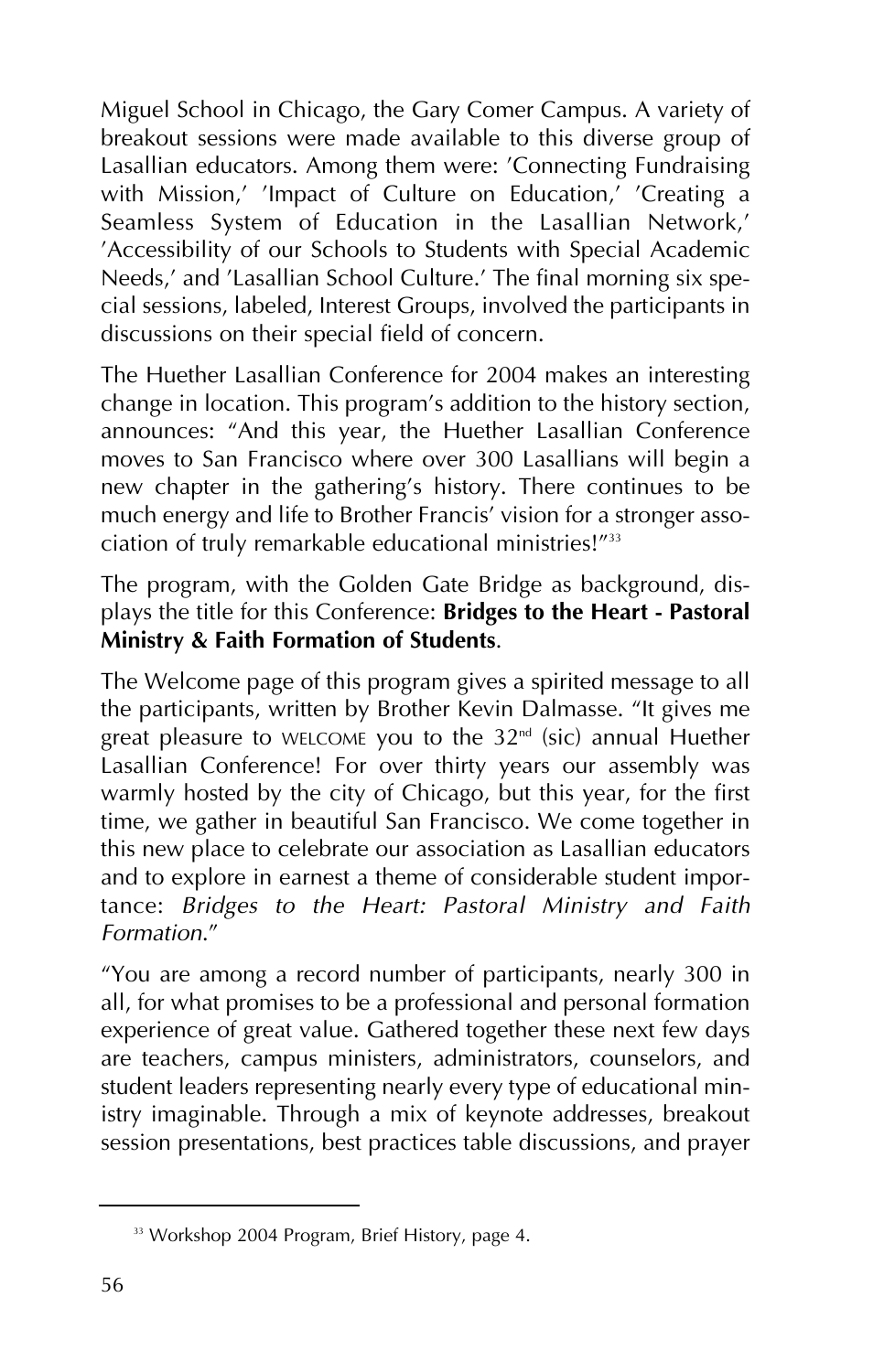Miguel School in Chicago, the Gary Comer Campus. A variety of breakout sessions were made available to this diverse group of Lasallian educators. Among them were: 'Connecting Fundraising with Mission,' 'Impact of Culture on Education,' 'Creating a Seamless System of Education in the Lasallian Network,' 'Accessibility of our Schools to Students with Special Academic Needs,' and 'Lasallian School Culture.' The final morning six special sessions, labeled, Interest Groups, involved the participants in discussions on their special field of concern.

The Huether Lasallian Conference for 2004 makes an interesting change in location. This program's addition to the history section, announces: "And this year, the Huether Lasallian Conference moves to San Francisco where over 300 Lasallians will begin a new chapter in the gathering's history. There continues to be much energy and life to Brother Francis' vision for a stronger association of truly remarkable educational ministries!"33

The program, with the Golden Gate Bridge as background, displays the title for this Conference: **Bridges to the Heart - Pastoral Ministry & Faith Formation of Students**.

The Welcome page of this program gives a spirited message to all the participants, written by Brother Kevin Dalmasse. "It gives me great pleasure to WELCOME you to the 32<sup>nd</sup> (sic) annual Huether Lasallian Conference! For over thirty years our assembly was warmly hosted by the city of Chicago, but this year, for the first time, we gather in beautiful San Francisco. We come together in this new place to celebrate our association as Lasallian educators and to explore in earnest a theme of considerable student importance: *Bridges to the Heart: Pastoral Ministry and Faith Formation*."

"You are among a record number of participants, nearly 300 in all, for what promises to be a professional and personal formation experience of great value. Gathered together these next few days are teachers, campus ministers, administrators, counselors, and student leaders representing nearly every type of educational ministry imaginable. Through a mix of keynote addresses, breakout session presentations, best practices table discussions, and prayer

<sup>&</sup>lt;sup>33</sup> Workshop 2004 Program, Brief History, page 4.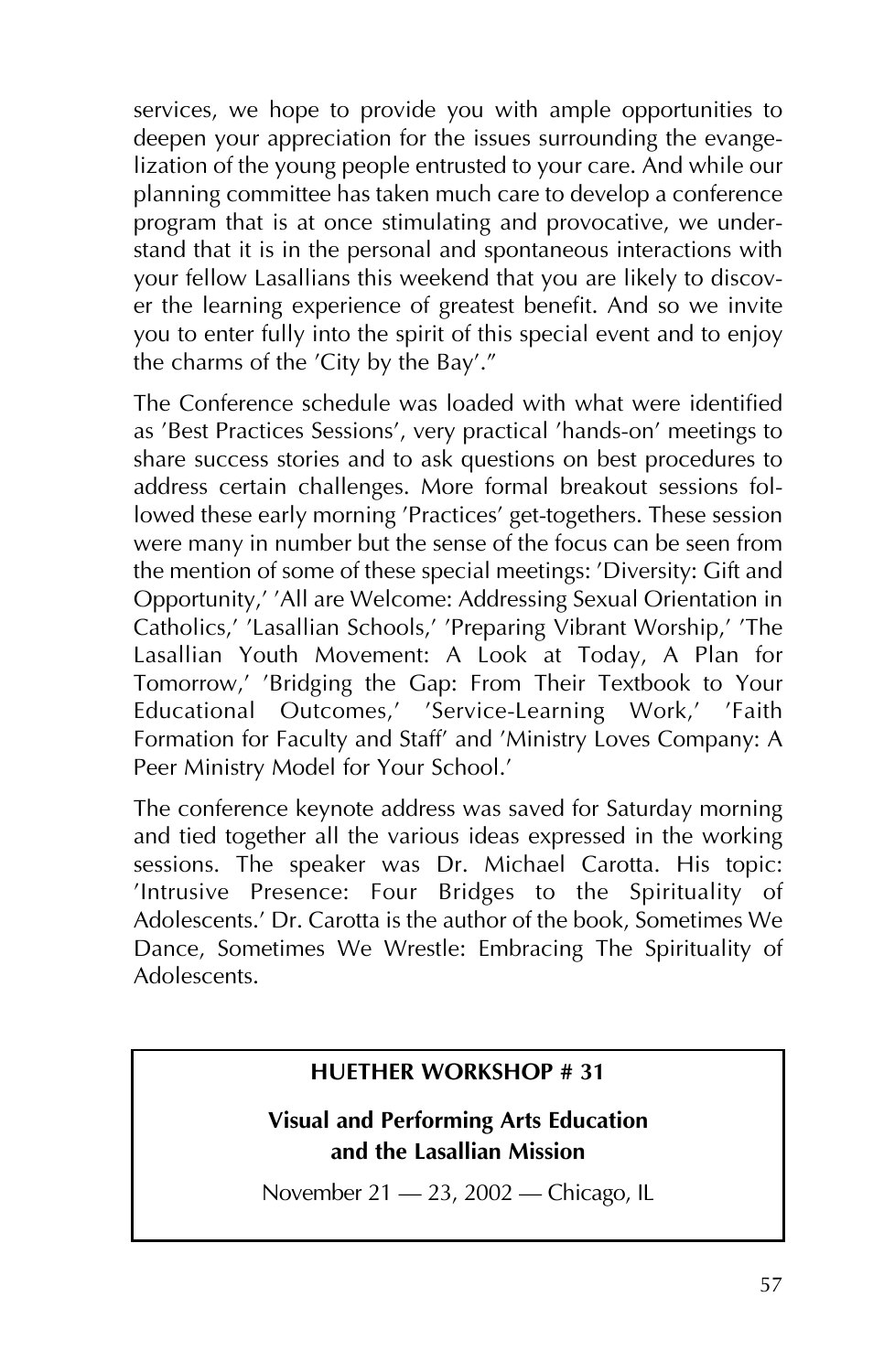services, we hope to provide you with ample opportunities to deepen your appreciation for the issues surrounding the evangelization of the young people entrusted to your care. And while our planning committee has taken much care to develop a conference program that is at once stimulating and provocative, we understand that it is in the personal and spontaneous interactions with your fellow Lasallians this weekend that you are likely to discover the learning experience of greatest benefit. And so we invite you to enter fully into the spirit of this special event and to enjoy the charms of the 'City by the Bay'."

The Conference schedule was loaded with what were identified as 'Best Practices Sessions', very practical 'hands-on' meetings to share success stories and to ask questions on best procedures to address certain challenges. More formal breakout sessions followed these early morning 'Practices' get-togethers. These session were many in number but the sense of the focus can be seen from the mention of some of these special meetings: 'Diversity: Gift and Opportunity,' 'All are Welcome: Addressing Sexual Orientation in Catholics,' 'Lasallian Schools,' 'Preparing Vibrant Worship,' 'The Lasallian Youth Movement: A Look at Today, A Plan for Tomorrow,' 'Bridging the Gap: From Their Textbook to Your Educational Outcomes,' 'Service-Learning Work,' 'Faith Formation for Faculty and Staff' and 'Ministry Loves Company: A Peer Ministry Model for Your School.'

The conference keynote address was saved for Saturday morning and tied together all the various ideas expressed in the working sessions. The speaker was Dr. Michael Carotta. His topic: 'Intrusive Presence: Four Bridges to the Spirituality of Adolescents.' Dr. Carotta is the author of the book, Sometimes We Dance, Sometimes We Wrestle: Embracing The Spirituality of Adolescents.

#### **HUETHER WORKSHOP # 31**

#### **Visual and Performing Arts Education and the Lasallian Mission**

November 21 – 23, 2002 – Chicago, IL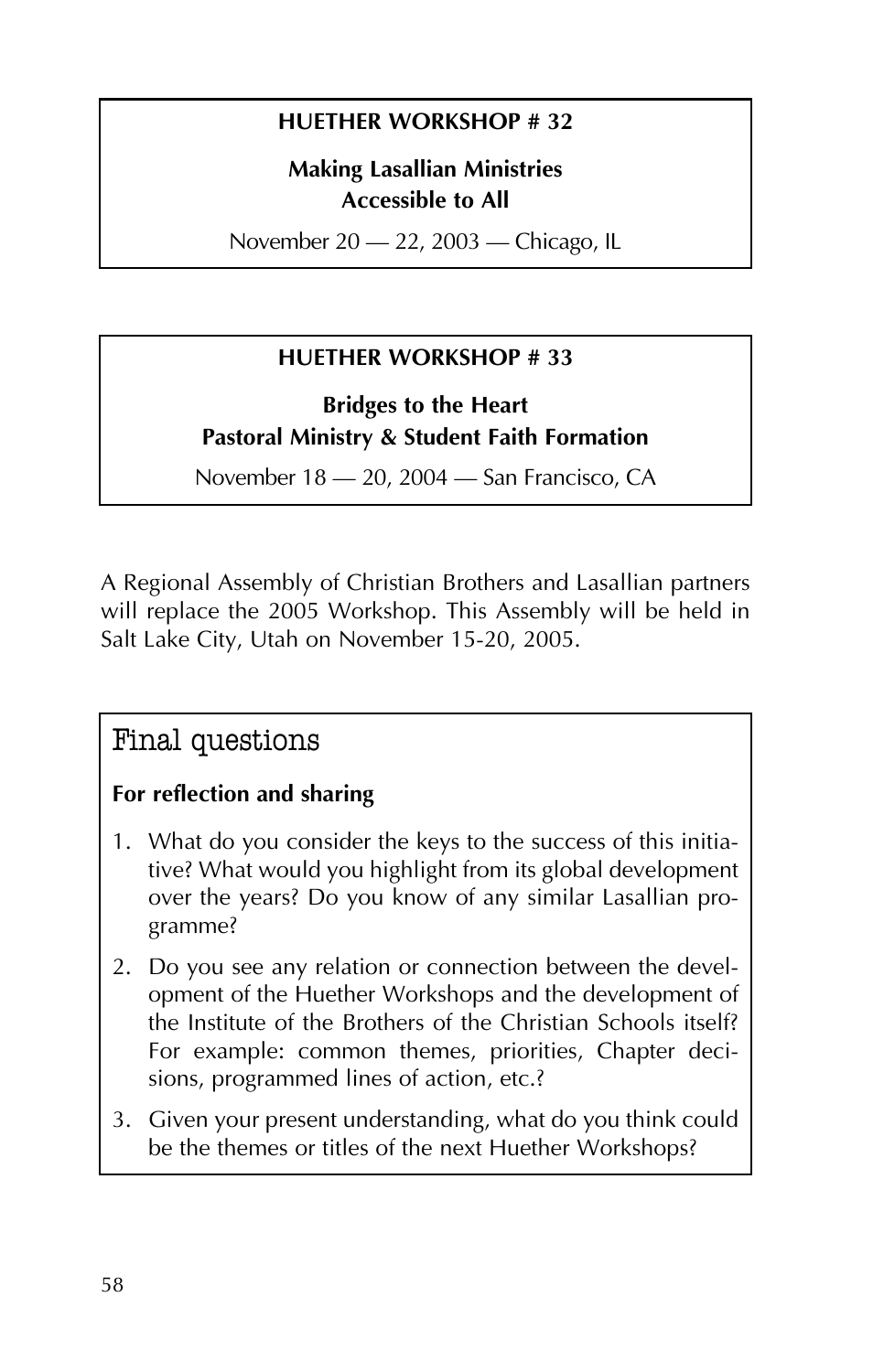#### **HUETHER WORKSHOP # 32**

#### **Making Lasallian Ministries Accessible to All**

November 20 - 22, 2003 - Chicago, IL

#### **HUETHER WORKSHOP # 33**

**Bridges to the Heart Pastoral Ministry & Student Faith Formation**

November 18 – 20, 2004 – San Francisco, CA

A Regional Assembly of Christian Brothers and Lasallian partners will replace the 2005 Workshop. This Assembly will be held in Salt Lake City, Utah on November 15-20, 2005.

#### Final questions

#### **For reflection and sharing**

- 1. What do you consider the keys to the success of this initiative? What would you highlight from its global development over the years? Do you know of any similar Lasallian programme?
- 2. Do you see any relation or connection between the development of the Huether Workshops and the development of the Institute of the Brothers of the Christian Schools itself? For example: common themes, priorities, Chapter decisions, programmed lines of action, etc.?
- 3. Given your present understanding, what do you think could be the themes or titles of the next Huether Workshops?